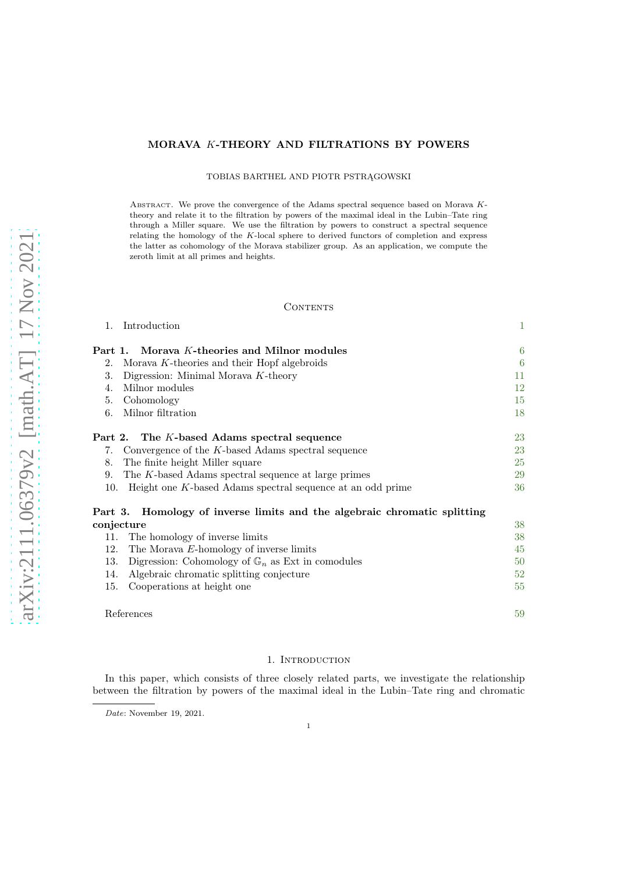# MORAVA K-THEORY AND FILTRATIONS BY POWERS

TOBIAS BARTHEL AND PIOTR PSTRĄGOWSKI

ABSTRACT. We prove the convergence of the Adams spectral sequence based on Morava  $K$ theory and relate it to the filtration by powers of the maximal ideal in the Lubin–Tate ring through a Miller square. We use the filtration by powers to construct a spectral sequence relating the homology of the K-local sphere to derived functors of completion and express the latter as cohomology of the Morava stabilizer group. As an application, we compute the zeroth limit at all primes and heights.

#### CONTENTS

| 1.  | Introduction                                                             | $\mathbf{1}$ |
|-----|--------------------------------------------------------------------------|--------------|
|     | Part 1. Morava K-theories and Milnor modules                             | 6            |
| 2.  | Morava K-theories and their Hopf algebroids                              | 6            |
| 3.  | Digression: Minimal Morava K-theory                                      | 11           |
| 4.  | Milnor modules                                                           | 12           |
| 5.  | Cohomology                                                               | 15           |
| 6.  | Milnor filtration                                                        | 18           |
|     | Part 2. The K-based Adams spectral sequence                              | 23           |
|     | 7. Convergence of the K-based Adams spectral sequence                    | 23           |
| 8.  | The finite height Miller square                                          | 25           |
| 9.  | The K-based Adams spectral sequence at large primes                      | 29           |
| 10. | Height one K-based Adams spectral sequence at an odd prime               | 36           |
|     | Part 3. Homology of inverse limits and the algebraic chromatic splitting |              |
|     | conjecture                                                               | 38           |
|     | 11. The homology of inverse limits                                       | 38           |
| 12. | The Morava E-homology of inverse limits                                  | 45           |
| 13. | Digression: Cohomology of $\mathbb{G}_n$ as Ext in comodules             | 50           |
| 14. | Algebraic chromatic splitting conjecture                                 | 52           |
| 15. | Cooperations at height one                                               | 55           |
|     |                                                                          |              |

#### 1. INTRODUCTION

References [59](#page-58-0)

<span id="page-0-0"></span>In this paper, which consists of three closely related parts, we investigate the relationship between the filtration by powers of the maximal ideal in the Lubin–Tate ring and chromatic

Date: November 19, 2021.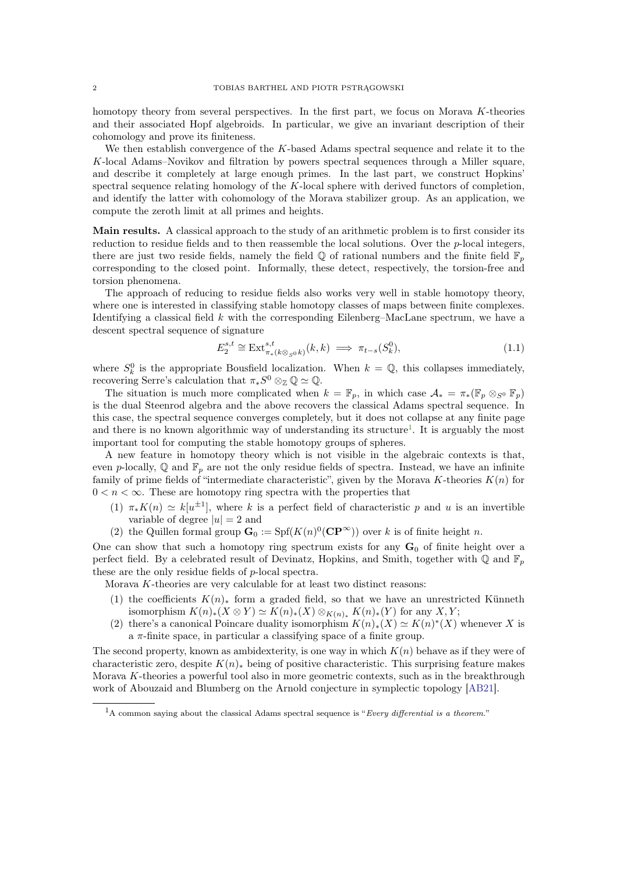<span id="page-1-2"></span>homotopy theory from several perspectives. In the first part, we focus on Morava K-theories and their associated Hopf algebroids. In particular, we give an invariant description of their cohomology and prove its finiteness.

We then establish convergence of the  $K$ -based Adams spectral sequence and relate it to the K-local Adams–Novikov and filtration by powers spectral sequences through a Miller square, and describe it completely at large enough primes. In the last part, we construct Hopkins' spectral sequence relating homology of the K-local sphere with derived functors of completion, and identify the latter with cohomology of the Morava stabilizer group. As an application, we compute the zeroth limit at all primes and heights.

Main results. A classical approach to the study of an arithmetic problem is to first consider its reduction to residue fields and to then reassemble the local solutions. Over the p-local integers, there are just two reside fields, namely the field  $\mathbb Q$  of rational numbers and the finite field  $\mathbb F_p$ corresponding to the closed point. Informally, these detect, respectively, the torsion-free and torsion phenomena.

The approach of reducing to residue fields also works very well in stable homotopy theory, where one is interested in classifying stable homotopy classes of maps between finite complexes. Identifying a classical field k with the corresponding Eilenberg–MacLane spectrum, we have a descent spectral sequence of signature

$$
E_2^{s,t} \cong \text{Ext}^{s,t}_{\pi_*(k \otimes_{S^0} k)}(k,k) \implies \pi_{t-s}(S_k^0),\tag{1.1}
$$

where  $S_k^0$  is the appropriate Bousfield localization. When  $k = \mathbb{Q}$ , this collapses immediately, recovering Serre's calculation that  $\pi_* S^0 \otimes_{\mathbb{Z}} \mathbb{Q} \simeq \mathbb{Q}$ .

The situation is much more complicated when  $k = \mathbb{F}_p$ , in which case  $\mathcal{A}_* = \pi_*(\mathbb{F}_p \otimes_{S^0} \mathbb{F}_p)$ is the dual Steenrod algebra and the above recovers the classical Adams spectral sequence. In this case, the spectral sequence converges completely, but it does not collapse at any finite page and there is no known algorithmic way of understanding its structure<sup>[1](#page-1-0)</sup>. It is arguably the most important tool for computing the stable homotopy groups of spheres.

A new feature in homotopy theory which is not visible in the algebraic contexts is that, even p-locally,  $\mathbb Q$  and  $\mathbb F_p$  are not the only residue fields of spectra. Instead, we have an infinite family of prime fields of "intermediate characteristic", given by the Morava K-theories  $K(n)$  for  $0 < n < \infty$ . These are homotopy ring spectra with the properties that

- (1)  $\pi_* K(n) \simeq k[u^{\pm 1}]$ , where k is a perfect field of characteristic p and u is an invertible variable of degree  $|u|=2$  and
- (2) the Quillen formal group  $\mathbf{G}_0 := \text{Spf}(K(n)^0(\mathbf{CP}^{\infty}))$  over k is of finite height n.

One can show that such a homotopy ring spectrum exists for any  $G_0$  of finite height over a perfect field. By a celebrated result of Devinatz, Hopkins, and Smith, together with  $\mathbb Q$  and  $\mathbb F_p$ these are the only residue fields of p-local spectra.

Morava  $K$ -theories are very calculable for at least two distinct reasons:

- (1) the coefficients  $K(n)_*$  form a graded field, so that we have an unrestricted Künneth isomorphism  $K(n)_*(X \otimes Y) \simeq K(n)_*(X) \otimes_{K(n)_*} K(n)_*(Y)$  for any  $X, Y$ ;
- <span id="page-1-1"></span>(2) there's a canonical Poincare duality isomorphism  $K(n)_*(X) \simeq K(n)^*(X)$  whenever X is a  $\pi$ -finite space, in particular a classifying space of a finite group.

The second property, known as ambidexterity, is one way in which  $K(n)$  behave as if they were of characteristic zero, despite  $K(n)_*$  being of positive characteristic. This surprising feature makes Morava K-theories a powerful tool also in more geometric contexts, such as in the breakthrough work of Abouzaid and Blumberg on the Arnold conjecture in symplectic topology [\[AB21\]](#page-58-1).

<span id="page-1-0"></span> $1_A$  common saying about the classical Adams spectral sequence is "Every differential is a theorem."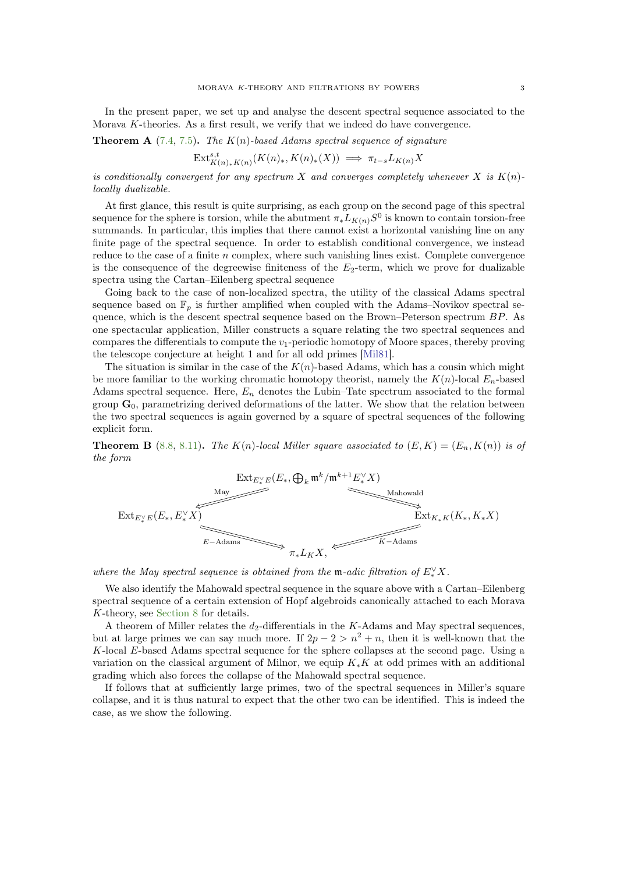<span id="page-2-0"></span>In the present paper, we set up and analyse the descent spectral sequence associated to the Morava K-theories. As a first result, we verify that we indeed do have convergence.

**Theorem A** [\(7.4,](#page-23-0) [7.5\)](#page-23-1). The  $K(n)$ -based Adams spectral sequence of signature

$$
\operatorname{Ext}_{K(n)_*K(n)}^{s,t}(K(n)_*, K(n)_*(X)) \implies \pi_{t-s}L_{K(n)}X
$$

is conditionally convergent for any spectrum X and converges completely whenever X is  $K(n)$ locally dualizable.

At first glance, this result is quite surprising, as each group on the second page of this spectral sequence for the sphere is torsion, while the abutment  $\pi_* L_{K(n)} S^0$  is known to contain torsion-free summands. In particular, this implies that there cannot exist a horizontal vanishing line on any finite page of the spectral sequence. In order to establish conditional convergence, we instead reduce to the case of a finite  $n$  complex, where such vanishing lines exist. Complete convergence is the consequence of the degreewise finiteness of the  $E_2$ -term, which we prove for dualizable spectra using the Cartan–Eilenberg spectral sequence

Going back to the case of non-localized spectra, the utility of the classical Adams spectral sequence based on  $\mathbb{F}_p$  is further amplified when coupled with the Adams–Novikov spectral sequence, which is the descent spectral sequence based on the Brown–Peterson spectrum  $BP$ . As one spectacular application, Miller constructs a square relating the two spectral sequences and compares the differentials to compute the  $v_1$ -periodic homotopy of Moore spaces, thereby proving the telescope conjecture at height 1 and for all odd primes [\[Mil81\]](#page-60-0).

The situation is similar in the case of the  $K(n)$ -based Adams, which has a cousin which might be more familiar to the working chromatic homotopy theorist, namely the  $K(n)$ -local  $E_n$ -based Adams spectral sequence. Here,  $E_n$  denotes the Lubin–Tate spectrum associated to the formal group  $G_0$ , parametrizing derived deformations of the latter. We show that the relation between the two spectral sequences is again governed by a square of spectral sequences of the following explicit form.

**Theorem B** [\(8.8,](#page-26-0) [8.11\)](#page-27-0). The  $K(n)$ -local Miller square associated to  $(E, K) = (E_n, K(n))$  is of the form

$$
\begin{array}{c}\n\text{Ext}_{E_{*}^{\vee}E}(E_{*}, \bigoplus_{k} \mathfrak{m}^{k}/\mathfrak{m}^{k+1}E_{*}^{\vee}X) \\
\hline\n\text{Matowald} \\
\text{Ext}_{E_{*}^{\vee}E}(E_{*}, E_{*}^{\vee}X) \\
\hline\n\text{Ext}_{E_{*}^{\vee}E}(E_{*}, E_{*}^{\vee}X) \\
\hline\n\text{Ext}_{E_{*}^{\vee}E}(E_{*}, E_{*}^{\vee}X) \\
\hline\n\text{Ext}_{E_{*}^{\vee}E}(E_{*}, E_{*}^{\vee}X) \\
\hline\n\text{Ext}_{E_{*}^{\vee}E}(E_{*}, E_{*}^{\vee}X) \\
\hline\n\text{Ext}_{E_{*}^{\vee}E}(E_{*}, E_{*}^{\vee}X) \\
\hline\n\text{Ext}_{E_{*}^{\vee}E}(E_{*}, E_{*}^{\vee}X) \\
\hline\n\end{array}
$$

where the May spectral sequence is obtained from the m-adic filtration of  $E_*^{\vee} X$ .

We also identify the Mahowald spectral sequence in the square above with a Cartan–Eilenberg spectral sequence of a certain extension of Hopf algebroids canonically attached to each Morava K-theory, see [Section 8](#page-24-0) for details.

A theorem of Miller relates the  $d_2$ -differentials in the K-Adams and May spectral sequences, but at large primes we can say much more. If  $2p - 2 > n^2 + n$ , then it is well-known that the K-local E-based Adams spectral sequence for the sphere collapses at the second page. Using a variation on the classical argument of Milnor, we equip  $K_*K$  at odd primes with an additional grading which also forces the collapse of the Mahowald spectral sequence.

If follows that at sufficiently large primes, two of the spectral sequences in Miller's square collapse, and it is thus natural to expect that the other two can be identified. This is indeed the case, as we show the following.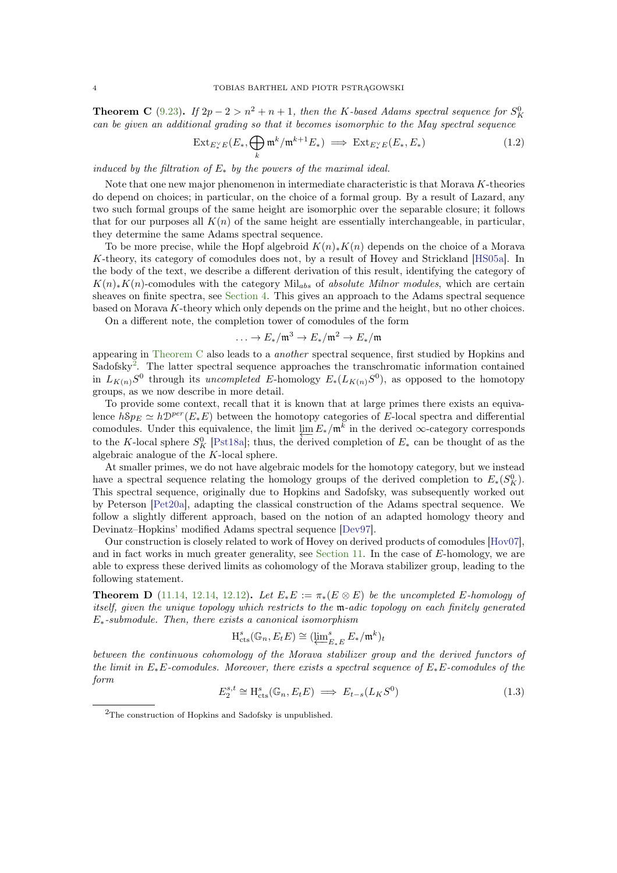<span id="page-3-1"></span>**Theorem C** [\(9.23\)](#page-34-0). If  $2p - 2 > n^2 + n + 1$ , then the K-based Adams spectral sequence for  $S_K^0$ can be given an additional grading so that it becomes isomorphic to the May spectral sequence

$$
\operatorname{Ext}_{E_{*}^{\vee}E}(E_{*}, \bigoplus_{k} \mathfrak{m}^{k}/\mathfrak{m}^{k+1}E_{*}) \implies \operatorname{Ext}_{E_{*}^{\vee}E}(E_{*}, E_{*})
$$
\n(1.2)

induced by the filtration of  $E_*$  by the powers of the maximal ideal.

Note that one new major phenomenon in intermediate characteristic is that Morava K-theories do depend on choices; in particular, on the choice of a formal group. By a result of Lazard, any two such formal groups of the same height are isomorphic over the separable closure; it follows that for our purposes all  $K(n)$  of the same height are essentially interchangeable, in particular, they determine the same Adams spectral sequence.

To be more precise, while the Hopf algebroid  $K(n)_*K(n)$  depends on the choice of a Morava K-theory, its category of comodules does not, by a result of Hovey and Strickland [\[HS05a\]](#page-59-0). In the body of the text, we describe a different derivation of this result, identifying the category of  $K(n)_*K(n)$ -comodules with the category Mil<sub>abs</sub> of absolute Milnor modules, which are certain sheaves on finite spectra, see [Section 4.](#page-11-0) This gives an approach to the Adams spectral sequence based on Morava K-theory which only depends on the prime and the height, but no other choices.

On a different note, the completion tower of comodules of the form

$$
\ldots \to E_*/\mathfrak{m}^3 \to E_*/\mathfrak{m}^2 \to E_*/\mathfrak{m}
$$

appearing in [Theorem C](#page-1-1) also leads to a another spectral sequence, first studied by Hopkins and Sadofsky<sup>[2](#page-3-0)</sup>. The latter spectral sequence approaches the transchromatic information contained in  $L_{K(n)}S^0$  through its *uncompleted* E-homology  $E_*(L_{K(n)}S^0)$ , as opposed to the homotopy groups, as we now describe in more detail.

To provide some context, recall that it is known that at large primes there exists an equivalence  $hSp_E \simeq h\mathcal{D}^{per}(E_*E)$  between the homotopy categories of E-local spectra and differential comodules. Under this equivalence, the limit  $\lim_{k \to \infty} E_*/\mathfrak{m}^k$  in the derived ∞-category corresponds to the K-local sphere  $S_K^0$  [\[Pst18a\]](#page-60-1); thus, the derived completion of  $E_*$  can be thought of as the algebraic analogue of the K-local sphere.

At smaller primes, we do not have algebraic models for the homotopy category, but we instead have a spectral sequence relating the homology groups of the derived completion to  $E_*(S_R^0)$ . This spectral sequence, originally due to Hopkins and Sadofsky, was subsequently worked out by Peterson [\[Pet20a\]](#page-60-2), adapting the classical construction of the Adams spectral sequence. We follow a slightly different approach, based on the notion of an adapted homology theory and Devinatz–Hopkins' modified Adams spectral sequence [\[Dev97\]](#page-59-1).

Our construction is closely related to work of Hovey on derived products of comodules [\[Hov07\]](#page-59-2), and in fact works in much greater generality, see [Section 11.](#page-37-1) In the case of E-homology, we are able to express these derived limits as cohomology of the Morava stabilizer group, leading to the following statement.

**Theorem D** [\(11.14,](#page-41-0) [12.14,](#page-48-0) [12.12\)](#page-47-0). Let  $E_*E := \pi_*(E \otimes E)$  be the uncompleted E-homology of itself, given the unique topology which restricts to the m-adic topology on each finitely generated  $E_*$ -submodule. Then, there exists a canonical isomorphism

$$
\mathrm{H}_{\mathrm{cts}}^s(\mathbb{G}_n, E_t E) \cong (\varprojlim\nolimits_{E_*E}^s E_*/\mathfrak{m}^k)_t
$$

between the continuous cohomology of the Morava stabilizer group and the derived functors of the limit in  $E_*E$ -comodules. Moreover, there exists a spectral sequence of  $E_*E$ -comodules of the form

$$
E_2^{s,t} \cong \text{H}_{\text{cts}}^s(\mathbb{G}_n, E_t E) \implies E_{t-s}(L_K S^0) \tag{1.3}
$$

<span id="page-3-0"></span><sup>2</sup>The construction of Hopkins and Sadofsky is unpublished.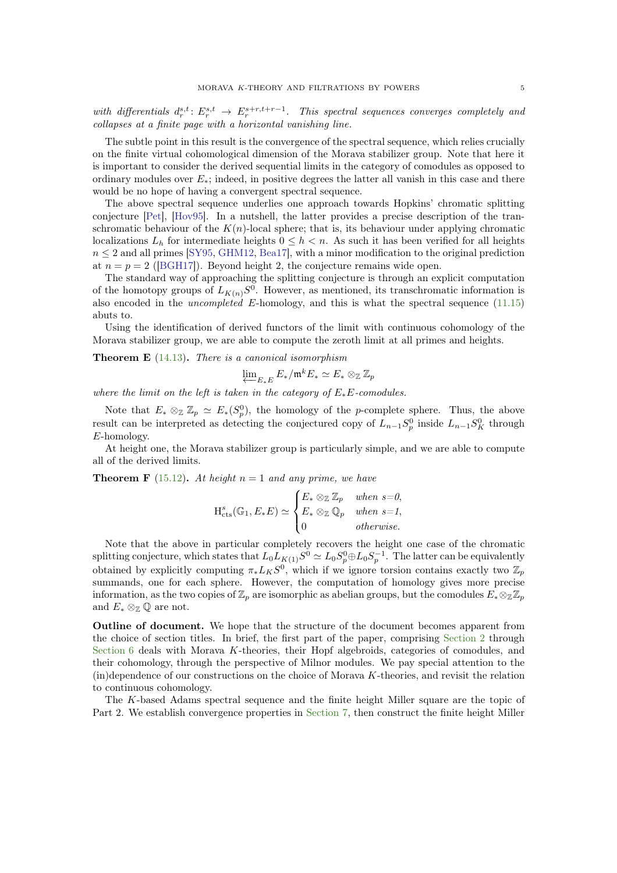<span id="page-4-0"></span>with differentials  $d_r^{s,t}: E_r^{s,t} \to E_r^{s+r,t+r-1}$ . This spectral sequences converges completely and collapses at a finite page with a horizontal vanishing line.

The subtle point in this result is the convergence of the spectral sequence, which relies crucially on the finite virtual cohomological dimension of the Morava stabilizer group. Note that here it is important to consider the derived sequential limits in the category of comodules as opposed to ordinary modules over  $E_*$ ; indeed, in positive degrees the latter all vanish in this case and there would be no hope of having a convergent spectral sequence.

The above spectral sequence underlies one approach towards Hopkins' chromatic splitting conjecture [\[Pet\]](#page-60-3), [\[Hov95\]](#page-59-3). In a nutshell, the latter provides a precise description of the transchromatic behaviour of the  $K(n)$ -local sphere; that is, its behaviour under applying chromatic localizations  $L_h$  for intermediate heights  $0 \leq h \leq n$ . As such it has been verified for all heights  $n \leq 2$  and all primes [\[SY95,](#page-60-4) [GHM12,](#page-59-4) [Bea17\]](#page-58-2), with a minor modification to the original prediction at  $n = p = 2$  ([\[BGH17\]](#page-59-5)). Beyond height 2, the conjecture remains wide open.

The standard way of approaching the splitting conjecture is through an explicit computation of the homotopy groups of  $L_{K(n)}S^0$ . However, as mentioned, its transchromatic information is also encoded in the *uncompleted* E-homology, and this is what the spectral sequence  $(11.15)$ abuts to.

Using the identification of derived functors of the limit with continuous cohomology of the Morava stabilizer group, we are able to compute the zeroth limit at all primes and heights.

**Theorem E**  $(14.13)$ . There is a canonical isomorphism

$$
\varprojlim_{E_*E} E_*/\mathfrak{m}^k E_* \simeq E_* \otimes_{\mathbb{Z}} \mathbb{Z}_p
$$

where the limit on the left is taken in the category of  $E_*E$ -comodules.

Note that  $E_* \otimes_{\mathbb{Z}} \mathbb{Z}_p \simeq E_*(S_p^0)$ , the homology of the p-complete sphere. Thus, the above result can be interpreted as detecting the conjectured copy of  $L_{n-1}S_p^0$  inside  $L_{n-1}S_K^0$  through E-homology.

At height one, the Morava stabilizer group is particularly simple, and we are able to compute all of the derived limits.

**Theorem F** [\(15.12\)](#page-58-3). At height  $n = 1$  and any prime, we have

$$
H_{\text{cts}}^{s}(\mathbb{G}_{1}, E_{*}E) \simeq \begin{cases} E_{*} \otimes_{\mathbb{Z}} \mathbb{Z}_{p} & when s=0, \\ E_{*} \otimes_{\mathbb{Z}} \mathbb{Q}_{p} & when s=1, \\ 0 & otherwise. \end{cases}
$$

Note that the above in particular completely recovers the height one case of the chromatic splitting conjecture, which states that  $L_0 L_{K(1)} S^0 \simeq L_0 S_p^0 \oplus L_0 S_p^{-1}$ . The latter can be equivalently obtained by explicitly computing  $\pi_* L_K S^0$ , which if we ignore torsion contains exactly two  $\mathbb{Z}_p$ summands, one for each sphere. However, the computation of homology gives more precise information, as the two copies of  $\mathbb{Z}_p$  are isomorphic as abelian groups, but the comodules  $E_* \otimes_{\mathbb{Z}} \mathbb{Z}_p$ and  $E_* \otimes_{\mathbb{Z}} \mathbb{Q}$  are not.

Outline of document. We hope that the structure of the document becomes apparent from the choice of section titles. In brief, the first part of the paper, comprising [Section 2](#page-5-1) through [Section 6](#page-17-0) deals with Morava K-theories, their Hopf algebroids, categories of comodules, and their cohomology, through the perspective of Milnor modules. We pay special attention to the  $(in)$ dependence of our constructions on the choice of Morava  $K$ -theories, and revisit the relation to continuous cohomology.

The K-based Adams spectral sequence and the finite height Miller square are the topic of Part 2. We establish convergence properties in [Section 7,](#page-22-1) then construct the finite height Miller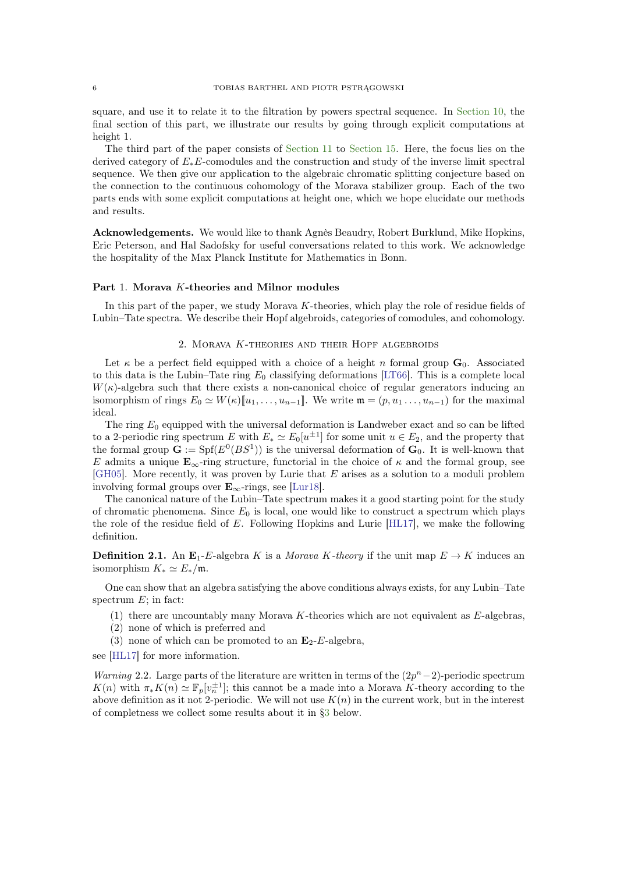<span id="page-5-3"></span>square, and use it to relate it to the filtration by powers spectral sequence. In [Section 10,](#page-35-0) the final section of this part, we illustrate our results by going through explicit computations at height 1.

The third part of the paper consists of [Section 11](#page-37-1) to [Section 15.](#page-54-0) Here, the focus lies on the derived category of E∗E-comodules and the construction and study of the inverse limit spectral sequence. We then give our application to the algebraic chromatic splitting conjecture based on the connection to the continuous cohomology of the Morava stabilizer group. Each of the two parts ends with some explicit computations at height one, which we hope elucidate our methods and results.

Acknowledgements. We would like to thank Agnès Beaudry, Robert Burklund, Mike Hopkins, Eric Peterson, and Hal Sadofsky for useful conversations related to this work. We acknowledge the hospitality of the Max Planck Institute for Mathematics in Bonn.

## <span id="page-5-0"></span>Part 1. Morava K-theories and Milnor modules

<span id="page-5-1"></span>In this part of the paper, we study Morava  $K$ -theories, which play the role of residue fields of Lubin–Tate spectra. We describe their Hopf algebroids, categories of comodules, and cohomology.

# 2. MORAVA  $K$ -THEORIES AND THEIR HOPF ALGEBROIDS

Let  $\kappa$  be a perfect field equipped with a choice of a height n formal group  $\mathbf{G}_0$ . Associated to this data is the Lubin–Tate ring  $E_0$  classifying deformations [\[LT66\]](#page-60-5). This is a complete local  $W(\kappa)$ -algebra such that there exists a non-canonical choice of regular generators inducing an isomorphism of rings  $E_0 \simeq W(\kappa)[\![u_1,\ldots,u_{n-1}]\!]$ . We write  $\mathfrak{m} = (p, u_1 \ldots, u_{n-1})$  for the maximal ideal.

The ring  $E_0$  equipped with the universal deformation is Landweber exact and so can be lifted to a 2-periodic ring spectrum E with  $E_* \simeq E_0[u^{\pm 1}]$  for some unit  $u \in E_2$ , and the property that the formal group  $\mathbf{G} := \text{Spf}(E^0(BS^1))$  is the universal deformation of  $\mathbf{G}_0$ . It is well-known that E admits a unique  $\mathbf{E}_{\infty}$ -ring structure, functorial in the choice of  $\kappa$  and the formal group, see [\[GH05\]](#page-59-6). More recently, it was proven by Lurie that  $E$  arises as a solution to a moduli problem involving formal groups over  $\mathbf{E}_{\infty}$ -rings, see [\[Lur18\]](#page-60-6).

The canonical nature of the Lubin–Tate spectrum makes it a good starting point for the study of chromatic phenomena. Since  $E_0$  is local, one would like to construct a spectrum which plays the role of the residue field of  $E$ . Following Hopkins and Lurie [\[HL17\]](#page-59-7), we make the following definition.

<span id="page-5-2"></span>**Definition 2.1.** An  $\mathbf{E}_1$ -E-algebra K is a *Morava K*-theory if the unit map  $E \to K$  induces an isomorphism  $K_* \simeq E_*/\mathfrak{m}$ .

One can show that an algebra satisfying the above conditions always exists, for any Lubin–Tate spectrum  $E$ ; in fact:

- (1) there are uncountably many Morava K-theories which are not equivalent as  $E$ -algebras,
- (2) none of which is preferred and
- (3) none of which can be promoted to an  $\mathbf{E}_2$ -E-algebra,

see [\[HL17\]](#page-59-7) for more information.

*Warning* 2.2. Large parts of the literature are written in terms of the  $(2p^{n}-2)$ -periodic spectrum  $K(n)$  with  $\pi_* K(n) \simeq \mathbb{F}_p[v_n^{\pm 1}]$ ; this cannot be a made into a Morava K-theory according to the above definition as it not 2-periodic. We will not use  $K(n)$  in the current work, but in the interest of completness we collect some results about it in [§3](#page-10-0) below.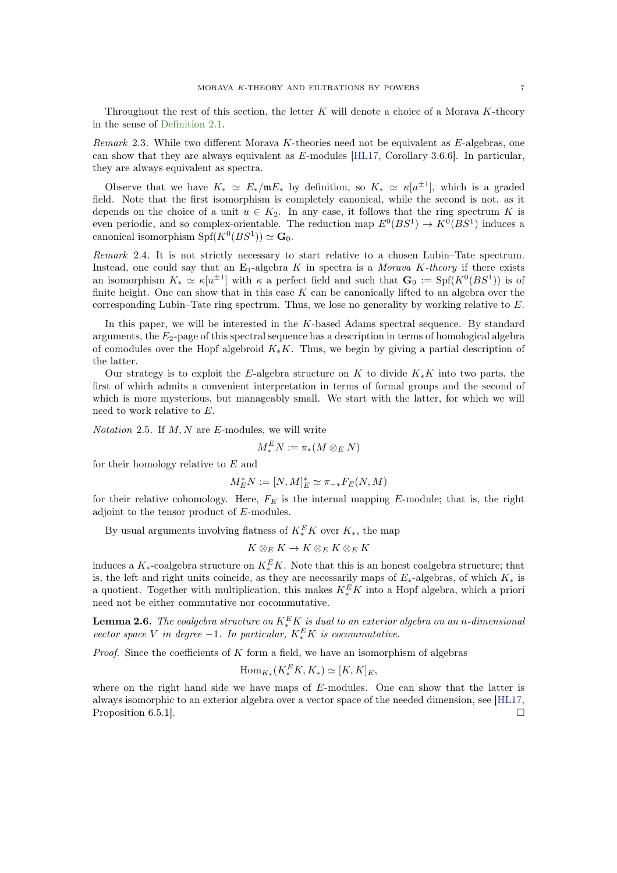<span id="page-6-2"></span>Throughout the rest of this section, the letter  $K$  will denote a choice of a Morava  $K$ -theory in the sense of [Definition 2.1.](#page-5-2)

Remark 2.3. While two different Morava K-theories need not be equivalent as E-algebras, one can show that they are always equivalent as E-modules [\[HL17,](#page-59-7) Corollary 3.6.6]. In particular, they are always equivalent as spectra.

Observe that we have  $K_* \simeq E_*/\mathfrak{m}E_*$  by definition, so  $K_* \simeq \kappa[u^{\pm 1}]$ , which is a graded field. Note that the first isomorphism is completely canonical, while the second is not, as it depends on the choice of a unit  $u \in K_2$ . In any case, it follows that the ring spectrum K is even periodic, and so complex-orientable. The reduction map  $E^0(BS^1) \to K^0(BS^1)$  induces a canonical isomorphism  $\text{Spf}(K^0(BS^1)) \simeq \mathbf{G}_0$ .

Remark 2.4. It is not strictly necessary to start relative to a chosen Lubin–Tate spectrum. Instead, one could say that an  $\mathbf{E}_1$ -algebra K in spectra is a *Morava K-theory* if there exists an isomorphism  $K_* \simeq \kappa[u^{\pm 1}]$  with  $\kappa$  a perfect field and such that  $\mathbf{G}_0 := Spf(K^0(BS^1))$  is of finite height. One can show that in this case  $K$  can be canonically lifted to an algebra over the corresponding Lubin–Tate ring spectrum. Thus, we lose no generality by working relative to  $E$ .

In this paper, we will be interested in the K-based Adams spectral sequence. By standard arguments, the  $E_2$ -page of this spectral sequence has a description in terms of homological algebra of comodules over the Hopf algebroid  $K_{*}K$ . Thus, we begin by giving a partial description of the latter.

Our strategy is to exploit the E-algebra structure on K to divide  $K_*K$  into two parts, the first of which admits a convenient interpretation in terms of formal groups and the second of which is more mysterious, but manageably small. We start with the latter, for which we will need to work relative to E.

*Notation* 2.5. If  $M, N$  are  $E$ -modules, we will write

 $M_*^E N := \pi_*(M \otimes_E N)$ 

for their homology relative to  $E$  and

$$
M_E^*N:=[N,M]_E^*\simeq \pi_{-*}F_E(N,M)
$$

for their relative cohomology. Here,  $F_E$  is the internal mapping E-module; that is, the right adjoint to the tensor product of E-modules.

By usual arguments involving flatness of  $K_*^E K$  over  $K_*$ , the map

$$
K\otimes_E K\to K\otimes_E K\otimes_E K
$$

induces a  $K_*$ -coalgebra structure on  $K_*^E K$ . Note that this is an honest coalgebra structure; that is, the left and right units coincide, as they are necessarily maps of  $E_*$ -algebras, of which  $K_*$  is a quotient. Together with multiplication, this makes  $K_*^E K$  into a Hopf algebra, which a priori need not be either commutative nor cocommutative.

<span id="page-6-0"></span>**Lemma 2.6.** The coalgebra structure on  $K_*^E K$  is dual to an exterior algebra on an n-dimensional vector space V in degree  $-1$ . In particular,  $K_*^E K$  is cocommutative.

*Proof.* Since the coefficients of  $K$  form a field, we have an isomorphism of algebras

$$
\mathrm{Hom}_{K_*}(K_*^E K, K_*) \simeq [K, K]_E,
$$

<span id="page-6-1"></span>where on the right hand side we have maps of E-modules. One can show that the latter is always isomorphic to an exterior algebra over a vector space of the needed dimension, see [\[HL17,](#page-59-7) Proposition 6.5.1].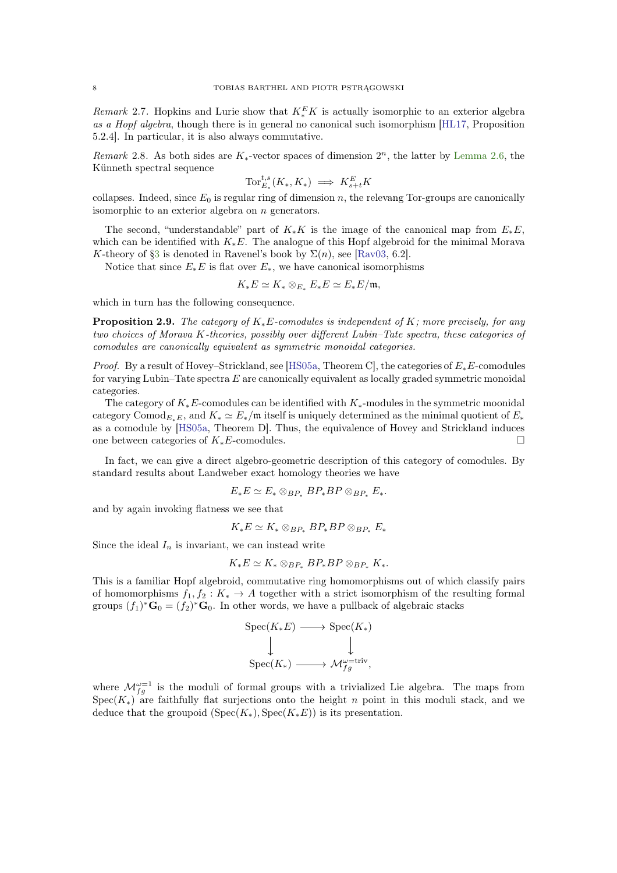<span id="page-7-3"></span>Remark 2.7. Hopkins and Lurie show that  $K_*^E K$  is actually isomorphic to an exterior algebra as a Hopf algebra, though there is in general no canonical such isomorphism [\[HL17,](#page-59-7) Proposition 5.2.4]. In particular, it is also always commutative.

<span id="page-7-0"></span>Remark 2.8. As both sides are  $K_*$ -vector spaces of dimension  $2^n$ , the latter by [Lemma 2.6,](#page-6-0) the Künneth spectral sequence

$$
\operatorname{Tor}_{E_*}^{t,s}(K_*,K_*) \implies K_{s+t}^E K
$$

collapses. Indeed, since  $E_0$  is regular ring of dimension n, the relevang Tor-groups are canonically isomorphic to an exterior algebra on  $n$  generators.

The second, "understandable" part of  $K_*K$  is the image of the canonical map from  $E_*E$ , which can be identified with  $K_*E$ . The analogue of this Hopf algebroid for the minimal Morava K-theory of [§3](#page-10-0) is denoted in Ravenel's book by  $\Sigma(n)$ , see [\[Rav03,](#page-60-7) 6.2].

Notice that since  $E_*E$  is flat over  $E_*$ , we have canonical isomorphisms

$$
K_*E \simeq K_* \otimes_{E_*} E_*E \simeq E_*E/\mathfrak{m},
$$

<span id="page-7-1"></span>which in turn has the following consequence.

**Proposition 2.9.** The category of  $K_*E$ -comodules is independent of K; more precisely, for any two choices of Morava K-theories, possibly over different Lubin–Tate spectra, these categories of comodules are canonically equivalent as symmetric monoidal categories.

*Proof.* By a result of Hovey–Strickland, see [\[HS05a,](#page-59-0) Theorem C], the categories of  $E_*E$ -comodules for varying Lubin–Tate spectra  $E$  are canonically equivalent as locally graded symmetric monoidal categories.

The category of  $K_*E$ -comodules can be identified with  $K_*$ -modules in the symmetric moonidal category Comod<sub>E⋅E</sub>, and  $K_* \simeq E_*/\mathfrak{m}$  itself is uniquely determined as the minimal quotient of  $E_*$ as a comodule by [\[HS05a,](#page-59-0) Theorem D]. Thus, the equivalence of Hovey and Strickland induces one between categories of  $K_*E$ -comodules. □

In fact, we can give a direct algebro-geometric description of this category of comodules. By standard results about Landweber exact homology theories we have

$$
E_*E \simeq E_* \otimes_{BP_*} BP_*BP \otimes_{BP_*} E_*.
$$

and by again invoking flatness we see that

$$
K_*E \simeq K_* \otimes_{BP_*} BP_*BP \otimes_{BP_*} E_*
$$

Since the ideal  $I_n$  is invariant, we can instead write

$$
K_*E \simeq K_* \otimes_{BP_*} BP_*BP \otimes_{BP_*} K_*.
$$

This is a familiar Hopf algebroid, commutative ring homomorphisms out of which classify pairs of homomorphisms  $f_1, f_2 : K_* \to A$  together with a strict isomorphism of the resulting formal groups  $(f_1)^* \mathbf{G}_0 = (f_2)^* \mathbf{G}_0$ . In other words, we have a pullback of algebraic stacks

$$
\begin{aligned} \text{Spec}(K_*E) &\longrightarrow \text{Spec}(K_*)\\ &\downarrow \qquad \qquad \downarrow\\ \text{Spec}(K_*) &\longrightarrow \mathcal{M}_{f_g}^{\omega=\text{triv}}, \end{aligned}
$$

<span id="page-7-2"></span>where  $\mathcal{M}_{fg}^{\omega=1}$  is the moduli of formal groups with a trivialized Lie algebra. The maps from  $Spec(K_*)$  are faithfully flat surjections onto the height n point in this moduli stack, and we deduce that the groupoid  $(Spec(K_*)$ ,  $Spec(K_*E))$  is its presentation.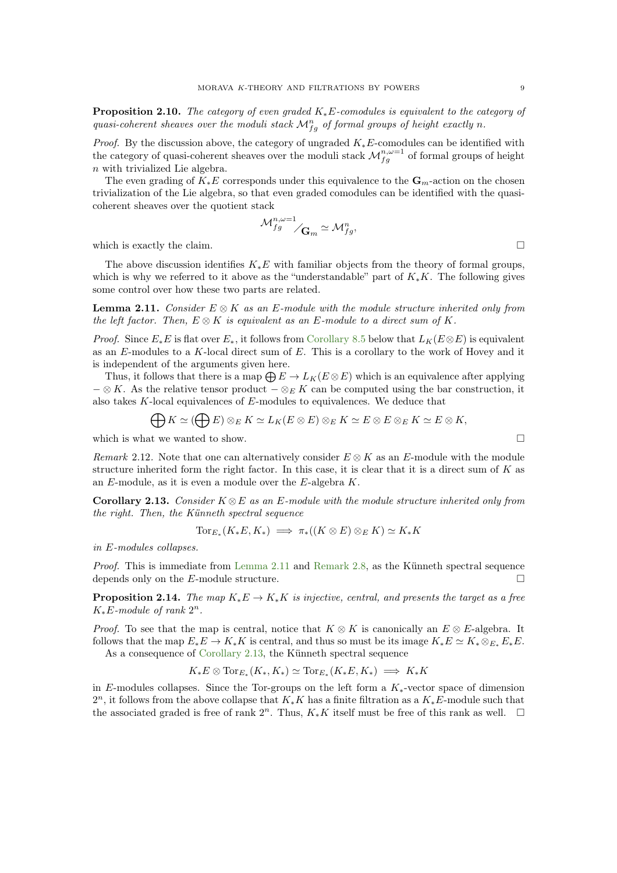**Proposition 2.10.** The category of even graded  $K_*E$ -comodules is equivalent to the category of quasi-coherent sheaves over the moduli stack  $\mathcal{M}_{fg}^n$  of formal groups of height exactly n.

*Proof.* By the discussion above, the category of ungraded  $K_*E$ -comodules can be identified with the category of quasi-coherent sheaves over the moduli stack  $\mathcal{M}_{fg}^{n,\omega=1}$  of formal groups of height n with trivialized Lie algebra.

The even grading of  $K_*E$  corresponds under this equivalence to the  $\mathbf{G}_m$ -action on the chosen trivialization of the Lie algebra, so that even graded comodules can be identified with the quasicoherent sheaves over the quotient stack

$$
\mathcal{M}_{fg}^{n,\omega=1}_{\qquadsigma} \sim \mathcal{M}_{fg}^{n},
$$
 which is exactly the claim.

The above discussion identifies  $K_*E$  with familiar objects from the theory of formal groups, which is why we referred to it above as the "understandable" part of  $K_*K$ . The following gives some control over how these two parts are related.

<span id="page-8-0"></span>**Lemma 2.11.** Consider  $E \otimes K$  as an E-module with the module structure inherited only from the left factor. Then,  $E \otimes K$  is equivalent as an E-module to a direct sum of K.

*Proof.* Since  $E_*E$  is flat over  $E_*$ , it follows from [Corollary 8.5](#page-25-0) below that  $L_K(E \otimes E)$  is equivalent as an  $E$ -modules to a  $K$ -local direct sum of  $E$ . This is a corollary to the work of Hovey and it is independent of the arguments given here.

Thus, it follows that there is a map  $\bigoplus E \to L_K(E \otimes E)$  which is an equivalence after applying  $-\otimes K$ . As the relative tensor product  $-\otimes_E K$  can be computed using the bar construction, it also takes  $K$ -local equivalences of  $E$ -modules to equivalences. We deduce that

$$
\bigoplus K \simeq (\bigoplus E) \otimes_E K \simeq L_K(E \otimes E) \otimes_E K \simeq E \otimes E \otimes_E K \simeq E \otimes K,
$$

which is what we wanted to show.  $\Box$ 

Remark 2.12. Note that one can alternatively consider  $E \otimes K$  as an E-module with the module structure inherited form the right factor. In this case, it is clear that it is a direct sum of  $K$  as an  $E$ -module, as it is even a module over the  $E$ -algebra  $K$ .

<span id="page-8-1"></span>Corollary 2.13. Consider  $K \otimes E$  as an E-module with the module structure inherited only from the right. Then, the Künneth spectral sequence

$$
\operatorname{Tor}_{E_*}(K_*E, K_*) \implies \pi_*((K \otimes E) \otimes_E K) \simeq K_*K
$$

in E-modules collapses.

Proof. This is immediate from [Lemma 2.11](#page-8-0) and [Remark 2.8,](#page-7-0) as the Künneth spectral sequence depends only on the E-module structure.  $\Box$ 

<span id="page-8-2"></span>**Proposition 2.14.** The map  $K_*E \to K_*K$  is injective, central, and presents the target as a free  $K_*E$ -module of rank  $2^n$ .

*Proof.* To see that the map is central, notice that  $K \otimes K$  is canonically an  $E \otimes E$ -algebra. It follows that the map  $E_*E \to K_*K$  is central, and thus so must be its image  $K_*E \simeq K_*\otimes_{E_*}E_*E_*$ . As a consequence of [Corollary 2.13,](#page-8-1) the Künneth spectral sequence

$$
K_*E\otimes \operatorname{Tor}_{E_*}(K_*,K_*)\simeq \operatorname{Tor}_{E_*}(K_*E,K_*)\implies K_*K
$$

in E-modules collapses. Since the Tor-groups on the left form a  $K_*$ -vector space of dimension  $2^n$ , it follows from the above collapse that  $K_*K$  has a finite filtration as a  $K_*E$ -module such that the associated graded is free of rank  $2^n$ . Thus,  $K_*K$  itself must be free of this rank as well.  $\Box$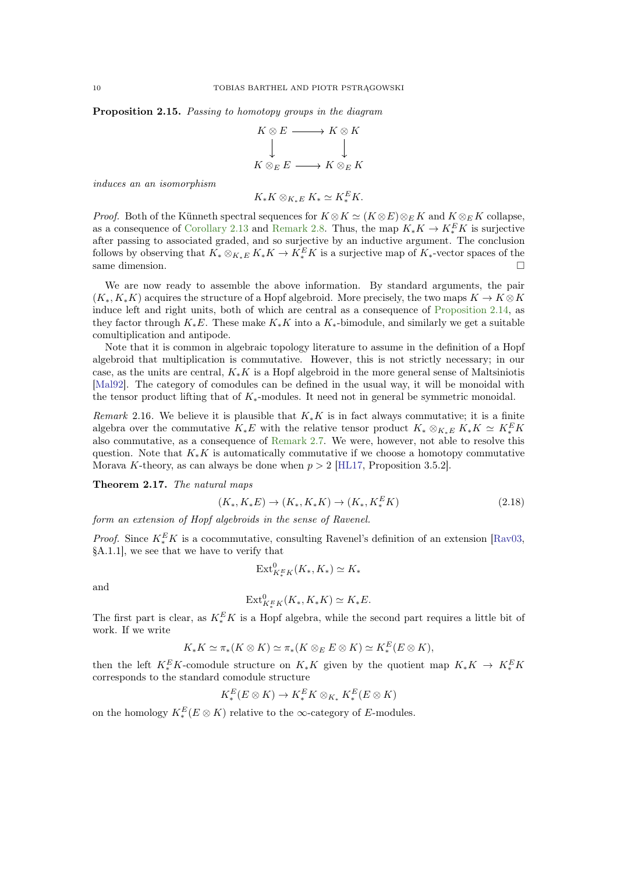<span id="page-9-2"></span>Proposition 2.15. Passing to homotopy groups in the diagram

$$
K \otimes E \longrightarrow K \otimes K
$$
  

$$
\downarrow \qquad \qquad \downarrow
$$
  

$$
K \otimes_E E \longrightarrow K \otimes_E K
$$

induces an an isomorphism

$$
K_*K\otimes_{K_*E}K_*\simeq K_*^EK.
$$

*Proof.* Both of the Künneth spectral sequences for  $K \otimes K \simeq (K \otimes E) \otimes_E K$  and  $K \otimes_E K$  collapse, as a consequence of [Corollary 2.13](#page-8-1) and [Remark 2.8.](#page-7-0) Thus, the map  $K_*K \to K_*^E K$  is surjective after passing to associated graded, and so surjective by an inductive argument. The conclusion follows by observing that  $K_* \otimes_{K_*E} K_*K \to K_*^E K$  is a surjective map of  $K_*$ -vector spaces of the same dimension.

We are now ready to assemble the above information. By standard arguments, the pair  $(K_*, K_*K)$  acquires the structure of a Hopf algebroid. More precisely, the two maps  $K \to K \otimes K$ induce left and right units, both of which are central as a consequence of [Proposition 2.14,](#page-8-2) as they factor through  $K_*E$ . These make  $K_*K$  into a  $K_*$ -bimodule, and similarly we get a suitable comultiplication and antipode.

Note that it is common in algebraic topology literature to assume in the definition of a Hopf algebroid that multiplication is commutative. However, this is not strictly necessary; in our case, as the units are central,  $K_*K$  is a Hopf algebroid in the more general sense of Maltsiniotis [\[Mal92\]](#page-60-8). The category of comodules can be defined in the usual way, it will be monoidal with the tensor product lifting that of  $K_*$ -modules. It need not in general be symmetric monoidal.

<span id="page-9-0"></span>Remark 2.16. We believe it is plausible that  $K_*K$  is in fact always commutative; it is a finite algebra over the commutative  $K_*E$  with the relative tensor product  $K_* \otimes_{K_*E} K_*K \simeq K_*^E K_*$ also commutative, as a consequence of [Remark 2.7.](#page-6-1) We were, however, not able to resolve this question. Note that  $K_*K$  is automatically commutative if we choose a homotopy commutative Morava K-theory, as can always be done when  $p > 2$  [\[HL17,](#page-59-7) Proposition 3.5.2].

<span id="page-9-1"></span>Theorem 2.17. The natural maps

$$
(K_*, K_*E) \to (K_*, K_*K) \to (K_*, K_*^E K)
$$
\n(2.18)

form an extension of Hopf algebroids in the sense of Ravenel.

*Proof.* Since  $K_*^E K$  is a cocommutative, consulting Ravenel's definition of an extension [\[Rav03,](#page-60-7) §A.1.1], we see that we have to verify that

$$
\operatorname{Ext}^0_{K^E_*K}(K_*, K_*) \simeq K_*
$$

and

$$
\operatorname{Ext}^0_{K^E_*K}(K_*, K_*K) \simeq K_*E.
$$

The first part is clear, as  $K_*^E K$  is a Hopf algebra, while the second part requires a little bit of work. If we write

$$
K_*K \simeq \pi_*(K \otimes K) \simeq \pi_*(K \otimes_E E \otimes K) \simeq K_*^E(E \otimes K),
$$

then the left  $K_*^E K$ -comodule structure on  $K_* K$  given by the quotient map  $K_* K \to K_*^E K$ corresponds to the standard comodule structure

$$
K_*^E(E \otimes K) \to K_*^E K \otimes_{K_*} K_*^E(E \otimes K)
$$

on the homology  $K_*^E(E \otimes K)$  relative to the  $\infty$ -category of E-modules.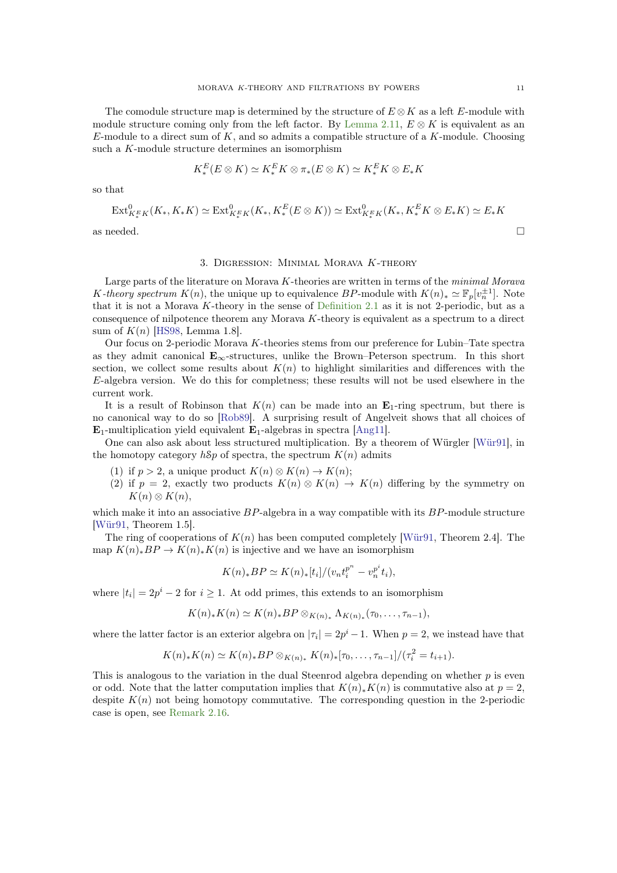<span id="page-10-1"></span>The comodule structure map is determined by the structure of  $E \otimes K$  as a left E-module with module structure coming only from the left factor. By [Lemma 2.11,](#page-8-0)  $E \otimes K$  is equivalent as an  $E$ -module to a direct sum of K, and so admits a compatible structure of a K-module. Choosing such a K-module structure determines an isomorphism

$$
K_*^E(E \otimes K) \simeq K_*^E K \otimes \pi_*(E \otimes K) \simeq K_*^E K \otimes E_* K
$$

so that

$$
\text{Ext}^{0}_{K_{*}^{E}K}(K_{*}, K_{*}K) \simeq \text{Ext}^{0}_{K_{*}^{E}K}(K_{*}, K_{*}^{E}(E \otimes K)) \simeq \text{Ext}^{0}_{K_{*}^{E}K}(K_{*}, K_{*}^{E}K \otimes E_{*}K) \simeq E_{*}K
$$

<span id="page-10-0"></span>as needed.  $\Box$ 

# 3. Digression: Minimal Morava K-theory

Large parts of the literature on Morava K-theories are written in terms of the minimal Morava K-theory spectrum  $K(n)$ , the unique up to equivalence BP-module with  $K(n)_* \simeq \mathbb{F}_p[v_n^{\pm 1}]$ . Note that it is not a Morava  $K$ -theory in the sense of [Definition 2.1](#page-5-2) as it is not 2-periodic, but as a consequence of nilpotence theorem any Morava  $K$ -theory is equivalent as a spectrum to a direct sum of  $K(n)$  [\[HS98,](#page-59-8) Lemma 1.8].

Our focus on 2-periodic Morava K-theories stems from our preference for Lubin–Tate spectra as they admit canonical  $E_{\infty}$ -structures, unlike the Brown–Peterson spectrum. In this short section, we collect some results about  $K(n)$  to highlight similarities and differences with the  $E$ -algebra version. We do this for completness; these results will not be used elsewhere in the current work.

It is a result of Robinson that  $K(n)$  can be made into an  $\mathbf{E}_1$ -ring spectrum, but there is no canonical way to do so [\[Rob89\]](#page-60-9). A surprising result of Angelveit shows that all choices of  $E_1$ -multiplication yield equivalent  $E_1$ -algebras in spectra [\[Ang11\]](#page-58-4).

One can also ask about less structured multiplication. By a theorem of Würgler [\[Wür91\]](#page-60-10), in the homotopy category  $h\$ p of spectra, the spectrum  $K(n)$  admits

- (1) if  $p > 2$ , a unique product  $K(n) \otimes K(n) \rightarrow K(n)$ ;
- (2) if  $p = 2$ , exactly two products  $K(n) \otimes K(n) \rightarrow K(n)$  differing by the symmetry on  $K(n) \otimes K(n),$

which make it into an associative  $BP$ -algebra in a way compatible with its  $BP$ -module structure [\[Wür91,](#page-60-10) Theorem 1.5].

The ring of cooperations of  $K(n)$  has been computed completely [\[Wür91,](#page-60-10) Theorem 2.4]. The map  $K(n)_{*}BP \to K(n)_{*}K(n)$  is injective and we have an isomorphism

$$
K(n)_*BP \simeq K(n)_*[t_i]/(v_n t_i^{p^n} - v_n^{p^i} t_i),
$$

where  $|t_i| = 2p^i - 2$  for  $i \ge 1$ . At odd primes, this extends to an isomorphism

$$
K(n)_*K(n) \simeq K(n)_*BP \otimes_{K(n)_*} \Lambda_{K(n)_*}(\tau_0,\ldots,\tau_{n-1}),
$$

where the latter factor is an exterior algebra on  $|\tau_i| = 2p^i - 1$ . When  $p = 2$ , we instead have that

$$
K(n)_*K(n) \simeq K(n)_*BP \otimes_{K(n)_*} K(n)_*[\tau_0,\ldots,\tau_{n-1}]/(\tau_i^2 = t_{i+1}).
$$

This is analogous to the variation in the dual Steenrod algebra depending on whether  $p$  is even or odd. Note that the latter computation implies that  $K(n)_*K(n)$  is commutative also at  $p=2$ , despite  $K(n)$  not being homotopy commutative. The corresponding question in the 2-periodic case is open, see [Remark 2.16.](#page-9-0)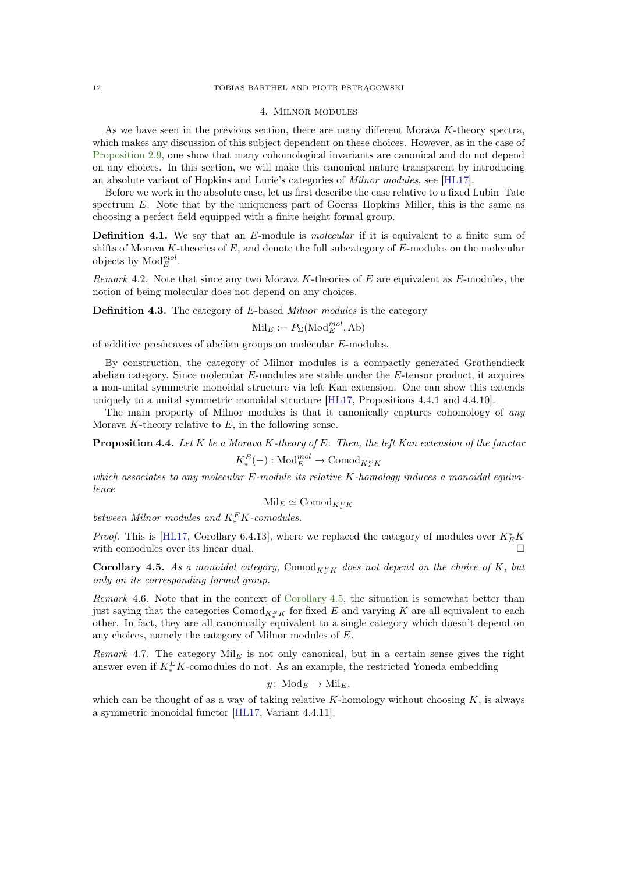## 4. Milnor modules

<span id="page-11-4"></span><span id="page-11-0"></span>As we have seen in the previous section, there are many different Morava K-theory spectra, which makes any discussion of this subject dependent on these choices. However, as in the case of [Proposition 2.9,](#page-7-1) one show that many cohomological invariants are canonical and do not depend on any choices. In this section, we will make this canonical nature transparent by introducing an absolute variant of Hopkins and Lurie's categories of Milnor modules, see [\[HL17\]](#page-59-7).

Before we work in the absolute case, let us first describe the case relative to a fixed Lubin–Tate spectrum  $E$ . Note that by the uniqueness part of Goerss–Hopkins–Miller, this is the same as choosing a perfect field equipped with a finite height formal group.

**Definition 4.1.** We say that an E-module is *molecular* if it is equivalent to a finite sum of shifts of Morava K-theories of  $E$ , and denote the full subcategory of  $E$ -modules on the molecular objects by  $\text{Mod}_{E}^{mol}$ .

Remark 4.2. Note that since any two Morava K-theories of E are equivalent as  $E$ -modules, the notion of being molecular does not depend on any choices.

Definition 4.3. The category of E-based Milnor modules is the category

$$
\text{Mil}_E := P_\Sigma(\text{Mod}_E^{mol}, \text{Ab})
$$

of additive presheaves of abelian groups on molecular E-modules.

By construction, the category of Milnor modules is a compactly generated Grothendieck abelian category. Since molecular E-modules are stable under the E-tensor product, it acquires a non-unital symmetric monoidal structure via left Kan extension. One can show this extends uniquely to a unital symmetric monoidal structure [\[HL17,](#page-59-7) Propositions 4.4.1 and 4.4.10].

<span id="page-11-2"></span>The main property of Milnor modules is that it canonically captures cohomology of any Morava  $K$ -theory relative to  $E$ , in the following sense.

**Proposition 4.4.** Let  $K$  be a Morava  $K$ -theory of  $E$ . Then, the left  $K$ an extension of the functor  $K_*^E(-)$ : Mod $_{E}^{mol} \rightarrow \text{Comod}_{K_*^E K}$ 

which associates to any molecular E-module its relative K-homology induces a monoidal equivalence

$$
\mathrm{Mil}_E \simeq \mathrm{Comod}_{K^E_*K}
$$

between Milnor modules and  $K_*^E K$ -comodules.

*Proof.* This is [\[HL17,](#page-59-7) Corollary 6.4.13], where we replaced the category of modules over  $K_E^* K$ with comodules over its linear dual.

<span id="page-11-1"></span>**Corollary 4.5.** As a monoidal category,  $Comod_{K^E_K}$  does not depend on the choice of K, but only on its corresponding formal group.

Remark 4.6. Note that in the context of [Corollary 4.5,](#page-11-1) the situation is somewhat better than just saying that the categories  $\text{Comod}_{K^E_K}$  for fixed E and varying K are all equivalent to each other. In fact, they are all canonically equivalent to a single category which doesn't depend on any choices, namely the category of Milnor modules of E.

<span id="page-11-3"></span>Remark 4.7. The category  $\text{Mil}_E$  is not only canonical, but in a certain sense gives the right answer even if  $K_{*}^{E}K$ -comodules do not. As an example, the restricted Yoneda embedding

$$
y\colon \mathrm{Mod}_E \to \mathrm{Mil}_E,
$$

which can be thought of as a way of taking relative K-homology without choosing  $K$ , is always a symmetric monoidal functor [\[HL17,](#page-59-7) Variant 4.4.11].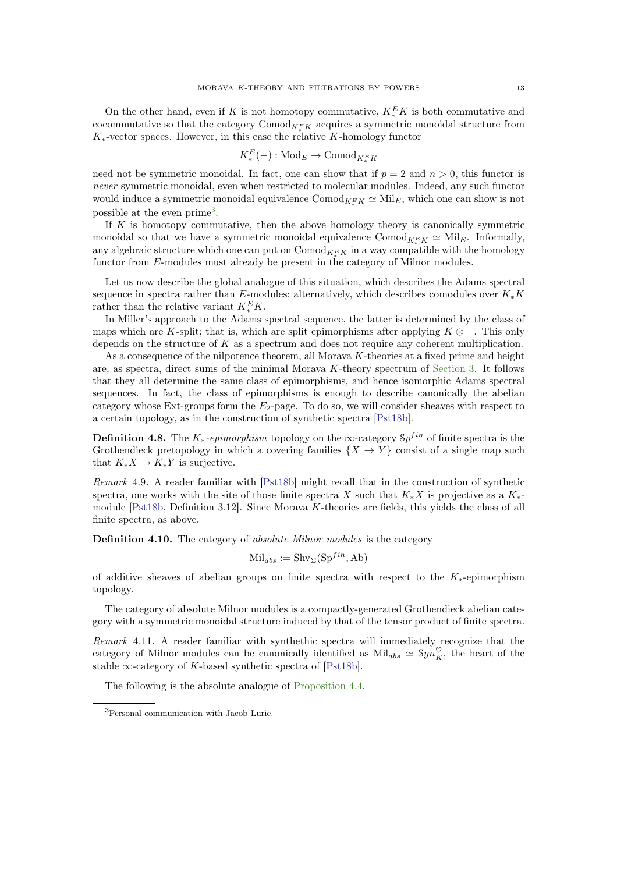<span id="page-12-2"></span>On the other hand, even if K is not homotopy commutative,  $K_*^E K$  is both commutative and cocommutative so that the category  $Comod_{K^E_{*}K}$  acquires a symmetric monoidal structure from  $K_*$ -vector spaces. However, in this case the relative K-homology functor

$$
K_*^E(-): \text{Mod}_E \to \text{Comod}_{K_*^E K}
$$

need not be symmetric monoidal. In fact, one can show that if  $p = 2$  and  $n > 0$ , this functor is never symmetric monoidal, even when restricted to molecular modules. Indeed, any such functor would induce a symmetric monoidal equivalence  $\mathrm{Comod}_{K^E_*K} \simeq \mathrm{Mil}_E$ , which one can show is not possible at the even prime<sup>[3](#page-12-0)</sup>.

If  $K$  is homotopy commutative, then the above homology theory is canonically symmetric monoidal so that we have a symmetric monoidal equivalence  $Comod_{K_{*}^{E}K} \simeq Mil_{E}$ . Informally, any algebraic structure which one can put on  $\mathrm{Comod}_{K^E_\ast K}$  in a way compatible with the homology functor from E-modules must already be present in the category of Milnor modules.

Let us now describe the global analogue of this situation, which describes the Adams spectral sequence in spectra rather than E-modules; alternatively, which describes comodules over  $K_*K$ rather than the relative variant  $K_*^E K$ .

In Miller's approach to the Adams spectral sequence, the latter is determined by the class of maps which are K-split; that is, which are split epimorphisms after applying  $K \otimes -$ . This only depends on the structure of  $K$  as a spectrum and does not require any coherent multiplication.

As a consequence of the nilpotence theorem, all Morava K-theories at a fixed prime and height are, as spectra, direct sums of the minimal Morava  $K$ -theory spectrum of [Section 3.](#page-10-0) It follows that they all determine the same class of epimorphisms, and hence isomorphic Adams spectral sequences. In fact, the class of epimorphisms is enough to describe canonically the abelian category whose Ext-groups form the  $E_2$ -page. To do so, we will consider sheaves with respect to a certain topology, as in the construction of synthetic spectra [\[Pst18b\]](#page-60-11).

**Definition 4.8.** The  $K_*$ -epimorphism topology on the  $\infty$ -category  $\delta p^{fin}$  of finite spectra is the Grothendieck pretopology in which a covering families  $\{X \to Y\}$  consist of a single map such that  $K_*X \to K_*Y$  is surjective.

Remark 4.9. A reader familiar with [\[Pst18b\]](#page-60-11) might recall that in the construction of synthetic spectra, one works with the site of those finite spectra X such that  $K_*X$  is projective as a  $K_*$ module  $[Pst18b, Definition 3.12]$ . Since Morava K-theories are fields, this yields the class of all finite spectra, as above.

Definition 4.10. The category of *absolute Milnor modules* is the category

$$
\text{Mil}_{abs} := \text{Shv}_{\Sigma}(\text{Sp}^{fin}, \text{Ab})
$$

of additive sheaves of abelian groups on finite spectra with respect to the  $K_*$ -epimorphism topology.

The category of absolute Milnor modules is a compactly-generated Grothendieck abelian category with a symmetric monoidal structure induced by that of the tensor product of finite spectra.

Remark 4.11. A reader familiar with synthethic spectra will immediately recognize that the category of Milnor modules can be canonically identified as  $\text{Mil}_{abs} \simeq \text{Syn}_K^{\heartsuit}$ , the heart of the stable  $\infty$ -category of K-based synthetic spectra of [\[Pst18b\]](#page-60-11).

<span id="page-12-1"></span>The following is the absolute analogue of [Proposition 4.4.](#page-11-2)

<span id="page-12-0"></span><sup>3</sup>Personal communication with Jacob Lurie.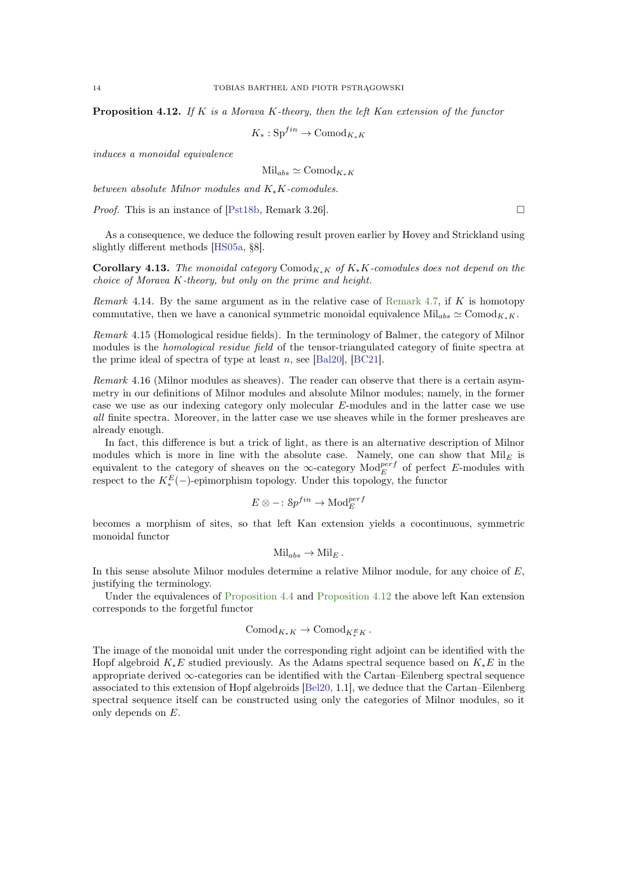<span id="page-13-0"></span>**Proposition 4.12.** If K is a Morava K-theory, then the left Kan extension of the functor

$$
K_*: \text{Sp}^{fin} \to \text{Comod}_{K_*K}
$$

induces a monoidal equivalence

 $\mathrm{Mil}_{abs} \simeq \mathrm{Comod}_{K_*K}$ 

between absolute Milnor modules and K∗K-comodules.

*Proof.* This is an instance of [\[Pst18b,](#page-60-11) Remark 3.26].

As a consequence, we deduce the following result proven earlier by Hovey and Strickland using slightly different methods [\[HS05a,](#page-59-0) §8].

**Corollary 4.13.** The monoidal category Comod<sub>K∗</sub>K of  $K_*K$ -comodules does not depend on the choice of Morava K-theory, but only on the prime and height.

Remark 4.14. By the same argument as in the relative case of [Remark 4.7,](#page-11-3) if  $K$  is homotopy commutative, then we have a canonical symmetric monoidal equivalence Mil<sub>abs</sub>  $\simeq$  Comod<sub>K∗K</sub>.

Remark 4.15 (Homological residue fields). In the terminology of Balmer, the category of Milnor modules is the *homological residue field* of the tensor-triangulated category of finite spectra at the prime ideal of spectra of type at least n, see [\[Bal20\]](#page-58-5), [\[BC21\]](#page-58-6).

Remark 4.16 (Milnor modules as sheaves). The reader can observe that there is a certain asymmetry in our definitions of Milnor modules and absolute Milnor modules; namely, in the former case we use as our indexing category only molecular E-modules and in the latter case we use all finite spectra. Moreover, in the latter case we use sheaves while in the former presheaves are already enough.

In fact, this difference is but a trick of light, as there is an alternative description of Milnor modules which is more in line with the absolute case. Namely, one can show that  $Mil<sub>E</sub>$  is equivalent to the category of sheaves on the ∞-category  $\text{Mod}_{E}^{perf}$  of perfect E-modules with respect to the  $K_*^E(-)$ -epimorphism topology. Under this topology, the functor

$$
E \otimes - : \mathcal{S}p^{fin} \to \text{Mod}^{perf}_E
$$

becomes a morphism of sites, so that left Kan extension yields a cocontinuous, symmetric monoidal functor

$$
Mil_{abs} \to Mil_E.
$$

In this sense absolute Milnor modules determine a relative Milnor module, for any choice of  $E$ , justifying the terminology.

Under the equivalences of [Proposition 4.4](#page-11-2) and [Proposition 4.12](#page-12-1) the above left Kan extension corresponds to the forgetful functor

$$
Comod_{K_*K} \to Comod_{K_*^EK}.
$$

The image of the monoidal unit under the corresponding right adjoint can be identified with the Hopf algebroid  $K_*E$  studied previously. As the Adams spectral sequence based on  $K_*E$  in the appropriate derived ∞-categories can be identified with the Cartan–Eilenberg spectral sequence associated to this extension of Hopf algebroids [\[Bel20,](#page-58-7) 1.1], we deduce that the Cartan–Eilenberg spectral sequence itself can be constructed using only the categories of Milnor modules, so it only depends on E.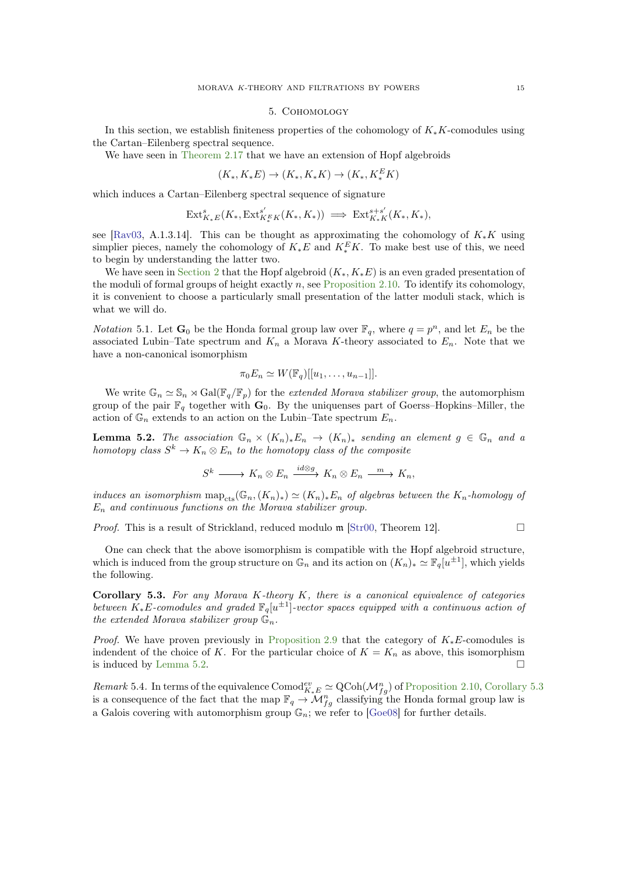#### 5. Cohomology

<span id="page-14-4"></span><span id="page-14-0"></span>In this section, we establish finiteness properties of the cohomology of  $K_*K$ -comodules using the Cartan–Eilenberg spectral sequence.

We have seen in [Theorem 2.17](#page-9-1) that we have an extension of Hopf algebroids

$$
(K_*, K_*E) \to (K_*, K_*K) \to (K_*, K_*^E K)
$$

which induces a Cartan–Eilenberg spectral sequence of signature

$$
\mathrm{Ext}^s_{K_*E}(K_*,\mathrm{Ext}^{s'}_{K_*^EK}(K_*,K_*)) \implies \mathrm{Ext}^{s+s'}_{K_*K}(K_*,K_*),
$$

see [\[Rav03,](#page-60-7) A.1.3.14]. This can be thought as approximating the cohomology of  $K_*K$  using simplier pieces, namely the cohomology of  $K_*E$  and  $K_*^E K$ . To make best use of this, we need to begin by understanding the latter two.

We have seen in [Section 2](#page-5-1) that the Hopf algebroid  $(K_*, K_*E)$  is an even graded presentation of the moduli of formal groups of height exactly n, see [Proposition 2.10.](#page-7-2) To identify its cohomology, it is convenient to choose a particularly small presentation of the latter moduli stack, which is what we will do.

*Notation* 5.1. Let  $\mathbf{G}_0$  be the Honda formal group law over  $\mathbb{F}_q$ , where  $q = p^n$ , and let  $E_n$  be the associated Lubin–Tate spectrum and  $K_n$  a Morava K-theory associated to  $E_n$ . Note that we have a non-canonical isomorphism

$$
\pi_0 E_n \simeq W(\mathbb{F}_q)[[u_1,\ldots,u_{n-1}]].
$$

We write  $\mathbb{G}_n \simeq \mathbb{S}_n \rtimes \text{Gal}(\mathbb{F}_q/\mathbb{F}_p)$  for the extended Morava stabilizer group, the automorphism group of the pair  $\mathbb{F}_q$  together with  $\mathbf{G}_0$ . By the uniquenses part of Goerss–Hopkins–Miller, the action of  $\mathbb{G}_n$  extends to an action on the Lubin–Tate spectrum  $E_n$ .

<span id="page-14-1"></span>**Lemma 5.2.** The association  $\mathbb{G}_n \times (K_n)_*E_n \to (K_n)_*$  sending an element  $g \in \mathbb{G}_n$  and a homotopy class  $S^k \to K_n \otimes E_n$  to the homotopy class of the composite

$$
S^k \longrightarrow K_n \otimes E_n \xrightarrow{id \otimes g} K_n \otimes E_n \xrightarrow{m} K_n,
$$

induces an isomorphism  $map_{cts}(\mathbb{G}_n,(K_n)_*) \simeq (K_n)_*E_n$  of algebras between the  $K_n$ -homology of  $E_n$  and continuous functions on the Morava stabilizer group.

*Proof.* This is a result of Strickland, reduced modulo  $\mathfrak{m}$  [\[Str00,](#page-60-12) Theorem 12].

One can check that the above isomorphism is compatible with the Hopf algebroid structure, which is induced from the group structure on  $\mathbb{G}_n$  and its action on  $(K_n)_* \simeq \mathbb{F}_q[u^{\pm 1}]$ , which yields the following.

<span id="page-14-2"></span>Corollary 5.3. For any Morava K-theory K, there is a canonical equivalence of categories between  $K_*E$ -comodules and graded  $\mathbb{F}_q[u^{\pm 1}]$ -vector spaces equipped with a continuous action of the extended Morava stabilizer group  $\mathbb{G}_n$ .

*Proof.* We have proven previously in [Proposition 2.9](#page-7-1) that the category of  $K_*E$ -comodules is indendent of the choice of K. For the particular choice of  $K = K_n$  as above, this isomorphism is induced by [Lemma 5.2.](#page-14-1)

<span id="page-14-3"></span>Remark 5.4. In terms of the equivalence  $\text{Comod}_{K_*E}^{ev} \simeq \text{QCoh}(\mathcal{M}_{fg}^n)$  of [Proposition 2.10,](#page-7-2) [Corollary 5.3](#page-14-2) is a consequence of the fact that the map  $\mathbb{F}_q \to \mathcal{M}_{fg}^n$  classifying the Honda formal group law is a Galois covering with automorphism group  $\mathbb{G}_n$ ; we refer to [\[Goe08\]](#page-59-9) for further details.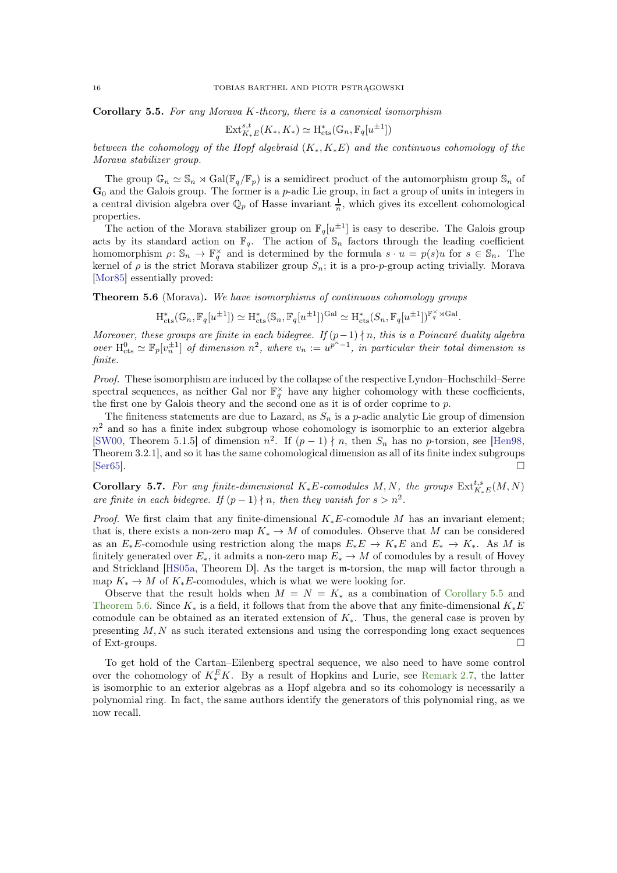<span id="page-15-2"></span>Corollary 5.5. For any Morava K-theory, there is a canonical isomorphism

$$
\operatorname{Ext}_{K_*E}^{s,t}(K_*, K_*) \simeq \operatorname{H}_{\operatorname{cts}}^*(\mathbb{G}_n, \mathbb{F}_q[u^{\pm 1}])
$$

between the cohomology of the Hopf algebraid  $(K_*, K_*E)$  and the continuous cohomology of the Morava stabilizer group.

The group  $\mathbb{G}_n \simeq \mathbb{S}_n \rtimes \text{Gal}(\mathbb{F}_q/\mathbb{F}_p)$  is a semidirect product of the automorphism group  $\mathbb{S}_n$  of  $\mathbf{G}_0$  and the Galois group. The former is a p-adic Lie group, in fact a group of units in integers in a central division algebra over  $\mathbb{Q}_p$  of Hasse invariant  $\frac{1}{n}$ , which gives its excellent cohomological properties.

The action of the Morava stabilizer group on  $\mathbb{F}_q[u^{\pm 1}]$  is easy to describe. The Galois group acts by its standard action on  $\mathbb{F}_q$ . The action of  $\mathbb{S}_n$  factors through the leading coefficient homomorphism  $\rho \colon \mathbb{S}_n \to \mathbb{F}_q^{\times}$  and is determined by the formula  $s \cdot u = p(s)u$  for  $s \in \mathbb{S}_n$ . The kernel of  $\rho$  is the strict Morava stabilizer group  $S_n$ ; it is a pro-p-group acting trivially. Morava [\[Mor85\]](#page-60-13) essentially proved:

<span id="page-15-0"></span>Theorem 5.6 (Morava). We have isomorphisms of continuous cohomology groups

$$
\textnormal{H}^*_{\textnormal{cts}}(\mathbb{G}_n,\mathbb{F}_q[u^{\pm 1}])\simeq \textnormal{H}^*_{\textnormal{cts}}(\mathbb{S}_n,\mathbb{F}_q[u^{\pm 1}])^{\textnormal{Gal}}\simeq \textnormal{H}^*_{\textnormal{cts}}(S_n,\mathbb{F}_q[u^{\pm 1}])^{\mathbb{F}_q^{\times}\rtimes \textnormal{Gal}}.
$$

Moreover, these groups are finite in each bidegree. If  $(p-1) \nmid n$ , this is a Poincaré duality algebra over  $H_{\text{cts}}^0 \simeq \mathbb{F}_p[v_n^{\pm 1}]$  of dimension  $n^2$ , where  $v_n := u^{p^n-1}$ , in particular their total dimension is finite.

Proof. These isomorphism are induced by the collapse of the respective Lyndon–Hochschild–Serre spectral sequences, as neither Gal nor  $\mathbb{F}_q^{\times}$  have any higher cohomology with these coefficients, the first one by Galois theory and the second one as it is of order coprime to p.

The finiteness statements are due to Lazard, as  $S_n$  is a p-adic analytic Lie group of dimension  $n<sup>2</sup>$  and so has a finite index subgroup whose cohomology is isomorphic to an exterior algebra [\[SW00,](#page-60-14) Theorem 5.1.5] of dimension  $n^2$ . If  $(p-1) \nmid n$ , then  $S_n$  has no p-torsion, see [\[Hen98,](#page-59-10) Theorem 3.2.1], and so it has the same cohomological dimension as all of its finite index subgroups  $\Box$  Ser65].

<span id="page-15-1"></span>**Corollary 5.7.** For any finite-dimensional  $K_*E$ -comodules  $M, N$ , the groups  $\text{Ext}_{K_*E}^{t,s}(M, N)$ are finite in each bidegree. If  $(p-1) \nmid n$ , then they vanish for  $s > n^2$ .

*Proof.* We first claim that any finite-dimensional  $K_*E$ -comodule M has an invariant element; that is, there exists a non-zero map  $K_* \to M$  of comodules. Observe that M can be considered as an  $E_*E$ -comodule using restriction along the maps  $E_*E \to K_*E$  and  $E_* \to K_*$ . As M is finitely generated over  $E_*$ , it admits a non-zero map  $E_* \to M$  of comodules by a result of Hovey and Strickland [\[HS05a,](#page-59-0) Theorem D]. As the target is m-torsion, the map will factor through a map  $K_* \to M$  of  $K_*E$ -comodules, which is what we were looking for.

Observe that the result holds when  $M = N = K_*$  as a combination of [Corollary 5.5](#page-14-3) and [Theorem 5.6.](#page-15-0) Since  $K_*$  is a field, it follows that from the above that any finite-dimensional  $K_*E$ comodule can be obtained as an iterated extension of  $K_{\ast}$ . Thus, the general case is proven by presenting  $M, N$  as such iterated extensions and using the corresponding long exact sequences of Ext-groups.  $\Box$ 

To get hold of the Cartan–Eilenberg spectral sequence, we also need to have some control over the cohomology of  $K_*^E K$ . By a result of Hopkins and Lurie, see [Remark 2.7,](#page-6-1) the latter is isomorphic to an exterior algebras as a Hopf algebra and so its cohomology is necessarily a polynomial ring. In fact, the same authors identify the generators of this polynomial ring, as we now recall.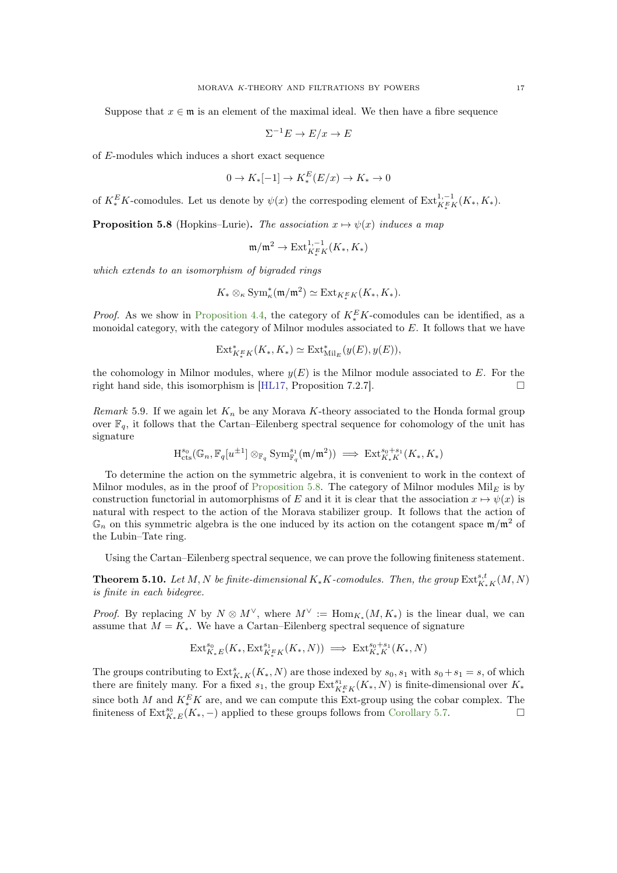<span id="page-16-2"></span>Suppose that  $x \in \mathfrak{m}$  is an element of the maximal ideal. We then have a fibre sequence

$$
\Sigma^{-1}E \to E/x \to E
$$

of E-modules which induces a short exact sequence

$$
0 \to K_*[-1] \to K_*^E(E/x) \to K_* \to 0
$$

<span id="page-16-0"></span>of  $K_*^E K$ -comodules. Let us denote by  $\psi(x)$  the correspoding element of  $\text{Ext}_{K_*^E K}^{1,-1}(K_*, K_*)$ .

**Proposition 5.8** (Hopkins–Lurie). The association  $x \mapsto \psi(x)$  induces a map

$$
\mathfrak{m}/\mathfrak{m}^2 \to \operatorname{Ext}^{1,-1}_{K^E_\ast K}(K_\ast,K_\ast)
$$

which extends to an isomorphism of bigraded rings

$$
K_* \otimes_{\kappa} \text{Sym}_{\kappa}^*(\mathfrak{m}/\mathfrak{m}^2) \simeq \text{Ext}_{K^E_*K}(K_*, K_*).
$$

*Proof.* As we show in [Proposition 4.4,](#page-11-2) the category of  $K_*^E K$ -comodules can be identified, as a monoidal category, with the category of Milnor modules associated to  $E$ . It follows that we have

$$
\mathrm{Ext}^*_{K^E_*K}(K_*, K_*) \simeq \mathrm{Ext}^*_{\mathrm{Mil}_E}(y(E), y(E)),
$$

the cohomology in Milnor modules, where  $y(E)$  is the Milnor module associated to E. For the right hand side, this isomorphism is [\[HL17,](#page-59-7) Proposition 7.2.7].

Remark 5.9. If we again let  $K_n$  be any Morava K-theory associated to the Honda formal group over  $\mathbb{F}_q$ , it follows that the Cartan–Eilenberg spectral sequence for cohomology of the unit has signature

$$
\mathrm{H}^{s_0}_{\mathrm{cts}}(\mathbb{G}_n,\mathbb{F}_q[u^{\pm 1}]\otimes_{\mathbb{F}_q}\mathrm{Sym}^{s_1}_{\mathbb{F}_q}(\mathfrak{m}/\mathfrak{m}^2))\implies \mathrm{Ext}^{s_0+s_1}_{K_*K}(K_*,K_*)
$$

To determine the action on the symmetric algebra, it is convenient to work in the context of Milnor modules, as in the proof of [Proposition 5.8.](#page-16-0) The category of Milnor modules  $\text{Mil}_{E}$  is by construction functorial in automorphisms of E and it it is clear that the association  $x \mapsto \psi(x)$  is natural with respect to the action of the Morava stabilizer group. It follows that the action of  $\mathbb{G}_n$  on this symmetric algebra is the one induced by its action on the cotangent space  $\mathfrak{m}/\mathfrak{m}^2$  of the Lubin–Tate ring.

<span id="page-16-1"></span>Using the Cartan–Eilenberg spectral sequence, we can prove the following finiteness statement.

**Theorem 5.10.** Let  $M, N$  be finite-dimensional  $K_*K$ -comodules. Then, the group  $\mathrm{Ext}^{s,t}_{K_*K}(M,N)$ is finite in each bidegree.

*Proof.* By replacing N by  $N \otimes M^{\vee}$ , where  $M^{\vee} := \text{Hom}_{K_*}(M, K_*)$  is the linear dual, we can assume that  $M = K_*$ . We have a Cartan–Eilenberg spectral sequence of signature

$$
\operatorname{Ext}^{s_0}_{K_*E}(K_*,\operatorname{Ext}^{s_1}_{K^E_*K}(K_*,N)) \implies \operatorname{Ext}^{s_0+s_1}_{K_*K}(K_*,N)
$$

The groups contributing to  $\text{Ext}_{K_*K}^s(K_*, N)$  are those indexed by  $s_0, s_1$  with  $s_0 + s_1 = s$ , of which there are finitely many. For a fixed  $s_1$ , the group  $\text{Ext}_{K^x_*K}^{s_1}(K_*, N)$  is finite-dimensional over  $K_*$ since both M and  $K^E_*$ K are, and we can compute this Ext-group using the cobar complex. The finiteness of  $\text{Ext}_{K_*E}^{s_0}(K_*,-)$  applied to these groups follows from [Corollary 5.7.](#page-15-1)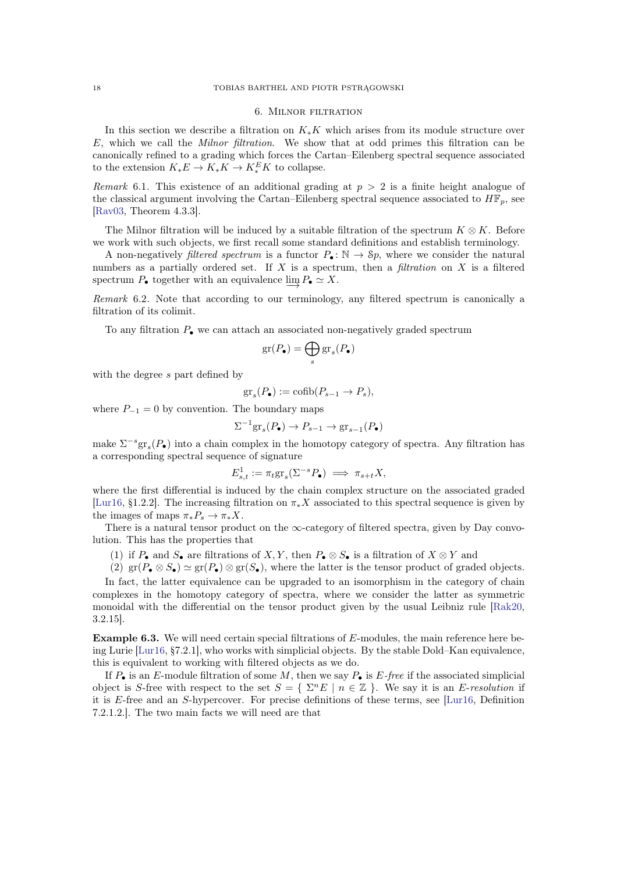## 6. Milnor filtration

<span id="page-17-1"></span><span id="page-17-0"></span>In this section we describe a filtration on  $K_*K$  which arises from its module structure over E, which we call the Milnor filtration. We show that at odd primes this filtration can be canonically refined to a grading which forces the Cartan–Eilenberg spectral sequence associated to the extension  $K_*E \to K_*K \to K_*^E K$  to collapse.

Remark 6.1. This existence of an additional grading at  $p > 2$  is a finite height analogue of the classical argument involving the Cartan–Eilenberg spectral sequence associated to  $H\mathbb{F}_p$ , see [\[Rav03,](#page-60-7) Theorem 4.3.3].

The Milnor filtration will be induced by a suitable filtration of the spectrum  $K \otimes K$ . Before we work with such objects, we first recall some standard definitions and establish terminology.

A non-negatively *filtered spectrum* is a functor  $P_{\bullet} : \mathbb{N} \to Sp$ , where we consider the natural numbers as a partially ordered set. If X is a spectrum, then a filtration on X is a filtered spectrum  $P_{\bullet}$  together with an equivalence  $\varinjlim P_{\bullet} \simeq X$ .

Remark 6.2. Note that according to our terminology, any filtered spectrum is canonically a filtration of its colimit.

To any filtration  $P_{\bullet}$  we can attach an associated non-negatively graded spectrum

$$
\mathrm{gr}(P_\bullet)=\bigoplus_s\mathrm{gr}_s(P_\bullet)
$$

with the degree s part defined by

$$
\mathrm{gr}_s(P_{\bullet}) := \mathrm{cofib}(P_{s-1} \to P_s),
$$

where  $P_{-1} = 0$  by convention. The boundary maps

$$
\Sigma^{-1}\mathrm{gr}_s(P_{\bullet}) \to P_{s-1} \to \mathrm{gr}_{s-1}(P_{\bullet})
$$

make  $\Sigma^{-s}$ gr<sub>s</sub> $(P_{\bullet})$  into a chain complex in the homotopy category of spectra. Any filtration has a corresponding spectral sequence of signature

$$
E_{s,t}^1 := \pi_t \text{gr}_s(\Sigma^{-s} P_\bullet) \implies \pi_{s+t} X,
$$

where the first differential is induced by the chain complex structure on the associated graded [\[Lur16,](#page-60-16) §1.2.2]. The increasing filtration on  $\pi_* X$  associated to this spectral sequence is given by the images of maps  $\pi_* P_s \to \pi_* X$ .

There is a natural tensor product on the  $\infty$ -category of filtered spectra, given by Day convolution. This has the properties that

- (1) if  $P_{\bullet}$  and  $S_{\bullet}$  are filtrations of  $X, Y$ , then  $P_{\bullet} \otimes S_{\bullet}$  is a filtration of  $X \otimes Y$  and
- (2)  $\text{gr}(P_{\bullet} \otimes S_{\bullet}) \simeq \text{gr}(P_{\bullet}) \otimes \text{gr}(S_{\bullet}),$  where the latter is the tensor product of graded objects.

In fact, the latter equivalence can be upgraded to an isomorphism in the category of chain complexes in the homotopy category of spectra, where we consider the latter as symmetric monoidal with the differential on the tensor product given by the usual Leibniz rule [\[Rak20,](#page-60-17) 3.2.15].

Example 6.3. We will need certain special filtrations of E-modules, the main reference here being Lurie [\[Lur16,](#page-60-16) §7.2.1], who works with simplicial objects. By the stable Dold–Kan equivalence, this is equivalent to working with filtered objects as we do.

If  $P_{\bullet}$  is an E-module filtration of some M, then we say  $P_{\bullet}$  is E-free if the associated simplicial object is S-free with respect to the set  $S = \{ \Sigma^n E \mid n \in \mathbb{Z} \}$ . We say it is an E-resolution if it is E-free and an S-hypercover. For precise definitions of these terms, see [\[Lur16,](#page-60-16) Definition 7.2.1.2.]. The two main facts we will need are that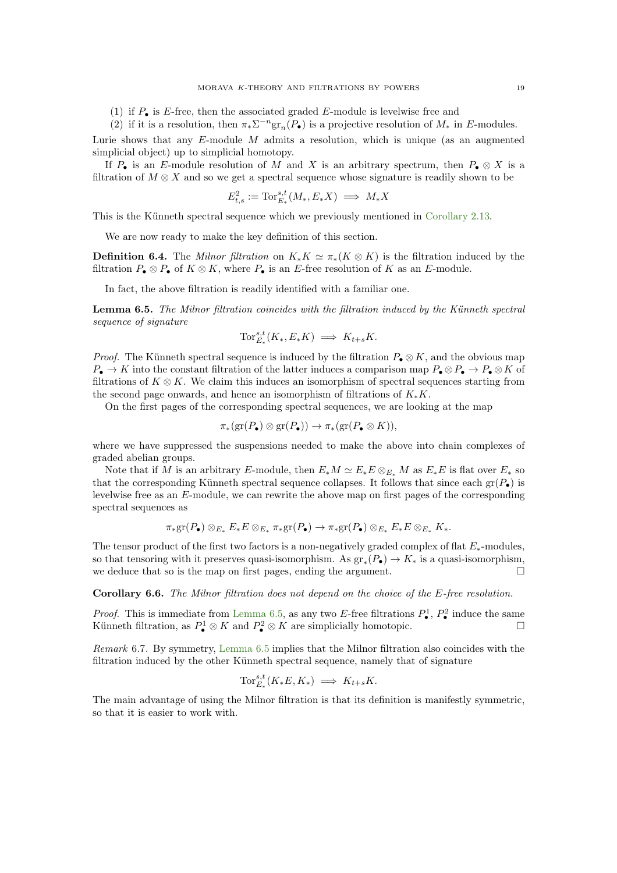(1) if  $P_{\bullet}$  is E-free, then the associated graded E-module is levelwise free and

(2) if it is a resolution, then  $\pi_* \Sigma^{-n} \text{gr}_n(P_{\bullet})$  is a projective resolution of  $M_*$  in E-modules.

Lurie shows that any  $E$ -module  $M$  admits a resolution, which is unique (as an augmented simplicial object) up to simplicial homotopy.

If P• is an E-module resolution of M and X is an arbitrary spectrum, then  $P_{\bullet} \otimes X$  is a filtration of  $M \otimes X$  and so we get a spectral sequence whose signature is readily shown to be

$$
E_{t,s}^2 := \text{Tor}_{E_*}^{s,t}(M_*, E_*X) \implies M_*X
$$

This is the Künneth spectral sequence which we previously mentioned in [Corollary 2.13.](#page-8-1)

We are now ready to make the key definition of this section.

**Definition 6.4.** The *Milnor filtration* on  $K_*K \simeq \pi_*(K \otimes K)$  is the filtration induced by the filtration  $P_{\bullet} \otimes P_{\bullet}$  of  $K \otimes K$ , where  $P_{\bullet}$  is an E-free resolution of K as an E-module.

<span id="page-18-0"></span>In fact, the above filtration is readily identified with a familiar one.

Lemma 6.5. The Milnor filtration coincides with the filtration induced by the Künneth spectral sequence of signature

$$
\operatorname{Tor}_{E_*}^{s,t}(K_*, E_*K) \implies K_{t+s}K.
$$

*Proof.* The Künneth spectral sequence is induced by the filtration  $P_{\bullet} \otimes K$ , and the obvious map  $P_{\bullet} \to K$  into the constant filtration of the latter induces a comparison map  $P_{\bullet} \otimes P_{\bullet} \to P_{\bullet} \otimes K$  of filtrations of  $K \otimes K$ . We claim this induces an isomorphism of spectral sequences starting from the second page onwards, and hence an isomorphism of filtrations of  $K_*K$ .

On the first pages of the corresponding spectral sequences, we are looking at the map

$$
\pi_*(\mathrm{gr}(P_{\bullet})\otimes \mathrm{gr}(P_{\bullet}))\to \pi_*(\mathrm{gr}(P_{\bullet}\otimes K)),
$$

where we have suppressed the suspensions needed to make the above into chain complexes of graded abelian groups.

Note that if M is an arbitrary E-module, then  $E_*M \simeq E_*E \otimes_{E_*} M$  as  $E_*E$  is flat over  $E_*$  so that the corresponding Künneth spectral sequence collapses. It follows that since each  $gr(P_{\bullet})$  is levelwise free as an E-module, we can rewrite the above map on first pages of the corresponding spectral sequences as

$$
\pi_*\mathrm{gr}(P_{\bullet})\otimes_{E_*}E_*E\otimes_{E_*}\pi_*\mathrm{gr}(P_{\bullet})\to \pi_*\mathrm{gr}(P_{\bullet})\otimes_{E_*}E_*E\otimes_{E_*}K_*.
$$

The tensor product of the first two factors is a non-negatively graded complex of flat  $E_*$ -modules, so that tensoring with it preserves quasi-isomorphism. As  $\mathrm{gr}_*(P_{\bullet}) \to K_*$  is a quasi-isomorphism, we deduce that so is the map on first pages, ending the argument.  $\Box$ 

Corollary 6.6. The Milnor filtration does not depend on the choice of the E-free resolution.

*Proof.* This is immediate from [Lemma 6.5,](#page-18-0) as any two E-free filtrations  $P_{\bullet}^1$ ,  $P_{\bullet}^2$  induce the same Künneth filtration, as  $P^1_{\bullet} \otimes K$  and  $P^2_{\bullet} \otimes K$  are simplicially homotopic.

<span id="page-18-1"></span>Remark 6.7. By symmetry, [Lemma 6.5](#page-18-0) implies that the Milnor filtration also coincides with the filtration induced by the other Künneth spectral sequence, namely that of signature

$$
\operatorname{Tor}_{E_*}^{s,t}(K_*E, K_*) \implies K_{t+s}K.
$$

The main advantage of using the Milnor filtration is that its definition is manifestly symmetric, so that it is easier to work with.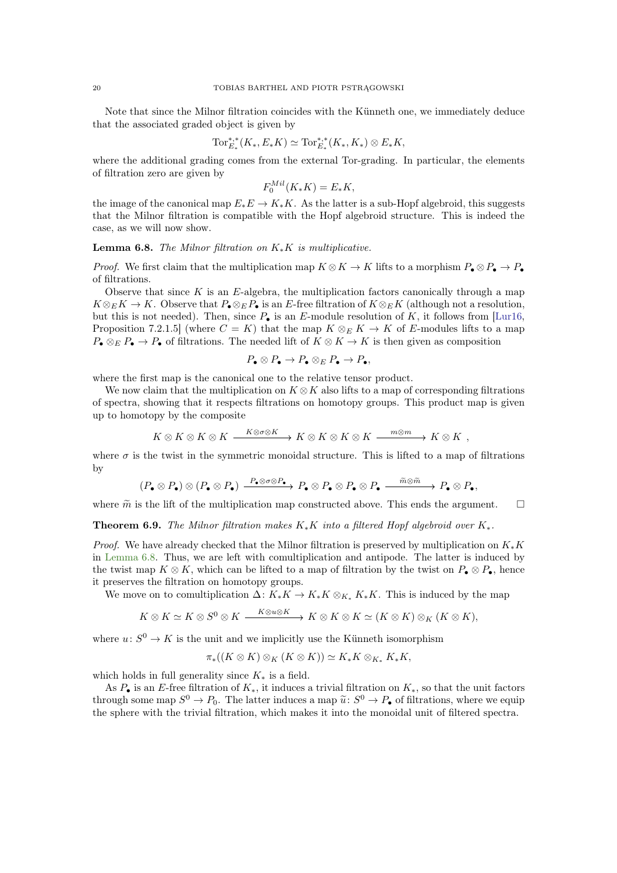<span id="page-19-2"></span>Note that since the Milnor filtration coincides with the Künneth one, we immediately deduce that the associated graded object is given by

$$
\text{Tor}_{E_*}^{*,*}(K_*, E_*K) \simeq \text{Tor}_{E_*}^{*,*}(K_*, K_*) \otimes E_*K,
$$

where the additional grading comes from the external Tor-grading. In particular, the elements of filtration zero are given by

$$
F_0^{Mil}(K_*K) = E_*K,
$$

the image of the canonical map  $E_*E \to K_*K$ . As the latter is a sub-Hopf algebroid, this suggests that the Milnor filtration is compatible with the Hopf algebroid structure. This is indeed the case, as we will now show.

<span id="page-19-0"></span>**Lemma 6.8.** The Milnor filtration on  $K_*K$  is multiplicative.

*Proof.* We first claim that the multiplication map  $K \otimes K \to K$  lifts to a morphism  $P_{\bullet} \otimes P_{\bullet} \to P_{\bullet}$ of filtrations.

Observe that since  $K$  is an  $E$ -algebra, the multiplication factors canonically through a map  $K \otimes_E K \to K$ . Observe that  $P_{\bullet} \otimes_E P_{\bullet}$  is an E-free filtration of  $K \otimes_E K$  (although not a resolution, but this is not needed). Then, since  $P_{\bullet}$  is an E-module resolution of K, it follows from [\[Lur16,](#page-60-16) Proposition 7.2.1.5] (where  $C = K$ ) that the map  $K \otimes_E K \to K$  of E-modules lifts to a map  $P_{\bullet} \otimes_{E} P_{\bullet} \to P_{\bullet}$  of filtrations. The needed lift of  $K \otimes K \to K$  is then given as composition

$$
P_{\bullet} \otimes P_{\bullet} \to P_{\bullet} \otimes_{E} P_{\bullet} \to P_{\bullet},
$$

where the first map is the canonical one to the relative tensor product.

We now claim that the multiplication on  $K \otimes K$  also lifts to a map of corresponding filtrations of spectra, showing that it respects filtrations on homotopy groups. This product map is given up to homotopy by the composite

$$
K \otimes K \otimes K \otimes K \xrightarrow{K \otimes \sigma \otimes K} K \otimes K \otimes K \otimes K \xrightarrow{m \otimes m} K \otimes K ,
$$

where  $\sigma$  is the twist in the symmetric monoidal structure. This is lifted to a map of filtrations by

$$
(P_{\bullet} \otimes P_{\bullet}) \otimes (P_{\bullet} \otimes P_{\bullet}) \xrightarrow{P_{\bullet} \otimes \sigma \otimes P_{\bullet}} P_{\bullet} \otimes P_{\bullet} \otimes P_{\bullet} \otimes P_{\bullet} \xrightarrow{\tilde{m} \otimes \tilde{m}} P_{\bullet} \otimes P_{\bullet},
$$

<span id="page-19-1"></span>where  $\tilde{m}$  is the lift of the multiplication map constructed above. This ends the argument.  $\square$ 

**Theorem 6.9.** The Milnor filtration makes  $K_*K$  into a filtered Hopf algebroid over  $K_*$ .

*Proof.* We have already checked that the Milnor filtration is preserved by multiplication on  $K_*K$ in [Lemma 6.8.](#page-19-0) Thus, we are left with comultiplication and antipode. The latter is induced by the twist map  $K \otimes K$ , which can be lifted to a map of filtration by the twist on  $P_{\bullet} \otimes P_{\bullet}$ , hence it preserves the filtration on homotopy groups.

We move on to comultiplication  $\Delta: K_*K \to K_*K \otimes_{K_*} K_*K$ . This is induced by the map

$$
K\otimes K\simeq K\otimes S^0\otimes K\stackrel{K\otimes u\otimes K}\longrightarrow K\otimes K\otimes K\simeq (K\otimes K)\otimes_K (K\otimes K),
$$

where  $u: S^0 \to K$  is the unit and we implicitly use the Künneth isomorphism

$$
\pi_*((K\otimes K)\otimes_K(K\otimes K))\simeq K_*K\otimes_{K_*}K_*K,
$$

which holds in full generality since  $K_*$  is a field.

As  $P_{\bullet}$  is an E-free filtration of  $K_{*}$ , it induces a trivial filtration on  $K_{*}$ , so that the unit factors through some map  $S^0 \to P_0$ . The latter induces a map  $\tilde{u}: S^0 \to P_0$  of filtrations, where we equip the sphere with the trivial filtration, which makes it into the monoidal unit of filtered spectra.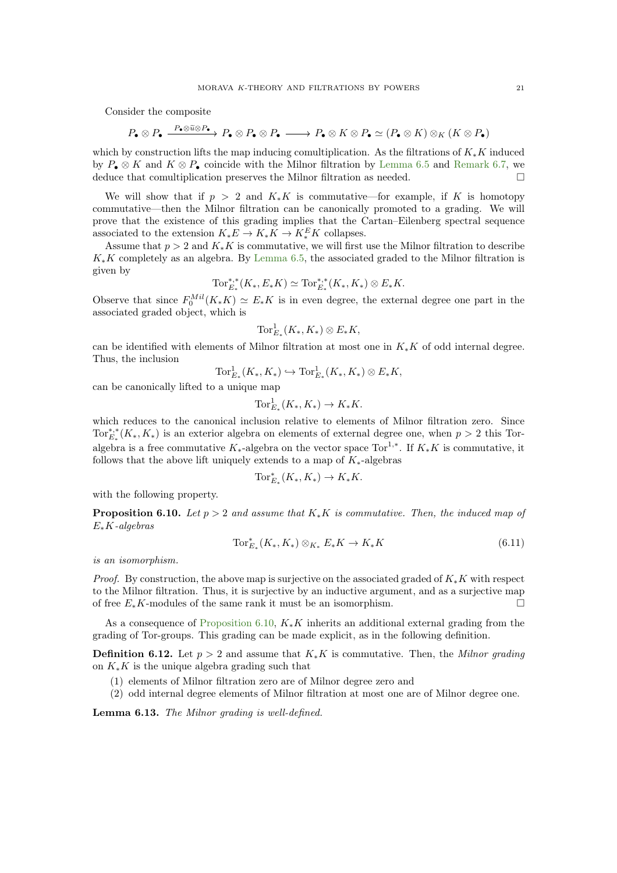Consider the composite

$$
P_\bullet\otimes P_\bullet \xrightarrow{\quad P_\bullet\otimes \widetilde{u}\otimes P_\bullet} P_\bullet\otimes P_\bullet \otimes P_\bullet \xrightarrow{\quad} P_\bullet\otimes K\otimes P_\bullet \simeq (P_\bullet\otimes K)\otimes_K (K\otimes P_\bullet)
$$

which by construction lifts the map inducing comultiplication. As the filtrations of  $K_*K$  induced by  $P_{\bullet} \otimes K$  and  $K \otimes P_{\bullet}$  coincide with the Milnor filtration by [Lemma 6.5](#page-18-0) and [Remark 6.7,](#page-18-1) we deduce that comultiplication preserves the Milnor filtration as needed.

We will show that if  $p > 2$  and  $K_*K$  is commutative—for example, if K is homotopy commutative—then the Milnor filtration can be canonically promoted to a grading. We will prove that the existence of this grading implies that the Cartan–Eilenberg spectral sequence associated to the extension  $K_*E \to K_*K \to K_*^E K$  collapses.

Assume that  $p > 2$  and  $K_{*}K$  is commutative, we will first use the Milnor filtration to describe  $K_*K$  completely as an algebra. By [Lemma 6.5,](#page-18-0) the associated graded to the Milnor filtration is given by

$$
\text{Tor}_{E_*}^{*,*}(K_*, E_*K) \simeq \text{Tor}_{E_*}^{*,*}(K_*, K_*) \otimes E_*K.
$$

Observe that since  $F_0^{Mil}(K_*K) \simeq E_*K$  is in even degree, the external degree one part in the associated graded object, which is

$$
\operatorname{Tor}_{E_*}^1(K_*, K_*)\otimes E_*K,
$$

can be identified with elements of Milnor filtration at most one in  $K_*K$  of odd internal degree. Thus, the inclusion

$$
\operatorname{Tor}_{E_*}^1(K_*, K_*) \hookrightarrow \operatorname{Tor}_{E_*}^1(K_*, K_*) \otimes E_*K,
$$

can be canonically lifted to a unique map

$$
\operatorname{Tor}_{E_*}^1(K_*, K_*) \to K_*K.
$$

which reduces to the canonical inclusion relative to elements of Milnor filtration zero. Since  $\text{Tor}_{E_*}^{*,*}(K_*, K_*)$  is an exterior algebra on elements of external degree one, when  $p > 2$  this Toralgebra is a free commutative  $K_{*}$ -algebra on the vector space Tor<sup>1,\*</sup>. If  $K_{*}K$  is commutative, it follows that the above lift uniquely extends to a map of  $K_*$ -algebras

$$
\operatorname{Tor}_{E_*}^*(K_*, K_*) \to K_*K.
$$

<span id="page-20-0"></span>with the following property.

**Proposition 6.10.** Let  $p > 2$  and assume that  $K_*K$  is commutative. Then, the induced map of  $E_*K$ -algebras

$$
\operatorname{Tor}_{E_*}^*(K_*, K_*) \otimes_{K_*} E_* K \to K_* K \tag{6.11}
$$

is an isomorphism.

*Proof.* By construction, the above map is surjective on the associated graded of  $K_*K$  with respect to the Milnor filtration. Thus, it is surjective by an inductive argument, and as a surjective map of free  $E_*K$ -modules of the same rank it must be an isomorphism.

<span id="page-20-1"></span>As a consequence of [Proposition 6.10,](#page-20-0)  $K_*K$  inherits an additional external grading from the grading of Tor-groups. This grading can be made explicit, as in the following definition.

**Definition 6.12.** Let  $p > 2$  and assume that  $K_*K$  is commutative. Then, the Milnor grading on  $K_{*}K$  is the unique algebra grading such that

- (1) elements of Milnor filtration zero are of Milnor degree zero and
- (2) odd internal degree elements of Milnor filtration at most one are of Milnor degree one.

Lemma 6.13. The Milnor grading is well-defined.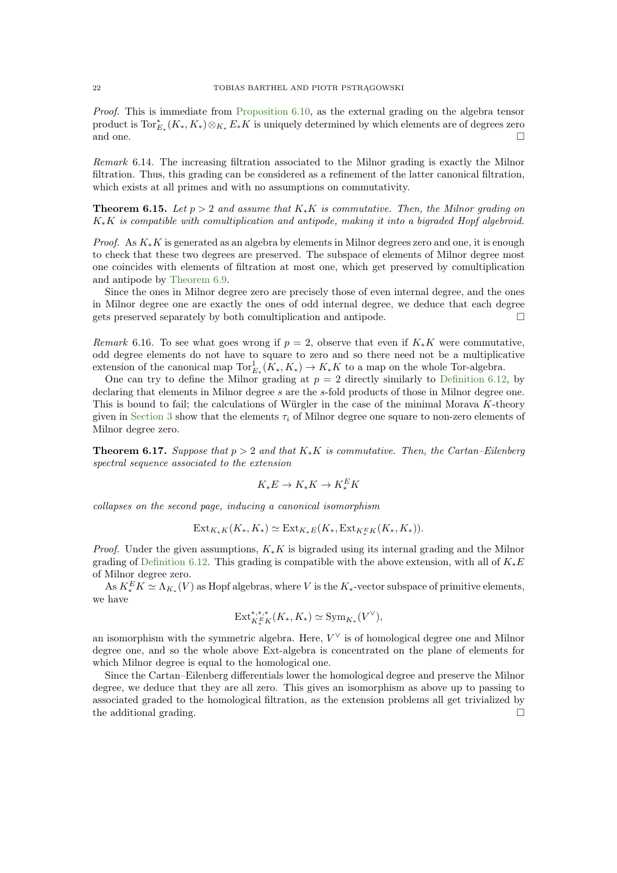Proof. This is immediate from [Proposition 6.10,](#page-20-0) as the external grading on the algebra tensor product is  $\text{Tor}_{E_*}^*(K_*, K_*)\otimes_{K_*}E_*K$  is uniquely determined by which elements are of degrees zero and one.  $\Box$ 

Remark 6.14. The increasing filtration associated to the Milnor grading is exactly the Milnor filtration. Thus, this grading can be considered as a refinement of the latter canonical filtration, which exists at all primes and with no assumptions on commutativity.

**Theorem 6.15.** Let  $p > 2$  and assume that  $K_*K$  is commutative. Then, the Milnor grading on  $K_*K$  is compatible with comultiplication and antipode, making it into a bigraded Hopf algebroid.

*Proof.* As  $K_{*}K$  is generated as an algebra by elements in Milnor degrees zero and one, it is enough to check that these two degrees are preserved. The subspace of elements of Milnor degree most one coincides with elements of filtration at most one, which get preserved by comultiplication and antipode by [Theorem 6.9.](#page-19-1)

Since the ones in Milnor degree zero are precisely those of even internal degree, and the ones in Milnor degree one are exactly the ones of odd internal degree, we deduce that each degree gets preserved separately by both comultiplication and antipode.

Remark 6.16. To see what goes wrong if  $p = 2$ , observe that even if  $K_*K$  were commutative, odd degree elements do not have to square to zero and so there need not be a multiplicative extension of the canonical map  $\text{Tor}_{E_*}^1(K_*, K_*) \to K_*K$  to a map on the whole Tor-algebra.

One can try to define the Milnor grading at  $p = 2$  directly similarly to [Definition 6.12,](#page-20-1) by declaring that elements in Milnor degree s are the s-fold products of those in Milnor degree one. This is bound to fail; the calculations of Würgler in the case of the minimal Morava  $K$ -theory given in [Section 3](#page-10-0) show that the elements  $\tau_i$  of Milnor degree one square to non-zero elements of Milnor degree zero.

<span id="page-21-0"></span>**Theorem 6.17.** Suppose that  $p > 2$  and that  $K_*K$  is commutative. Then, the Cartan–Eilenberg spectral sequence associated to the extension

$$
K_*E \to K_*K \to K_*^E K
$$

collapses on the second page, inducing a canonical isomorphism

$$
Ext_{K_{*}K}(K_{*}, K_{*}) \simeq Ext_{K_{*}E}(K_{*}, Ext_{K_{*}^{E}K}(K_{*}, K_{*})).
$$

*Proof.* Under the given assumptions,  $K_*K$  is bigraded using its internal grading and the Milnor grading of [Definition 6.12.](#page-20-1) This grading is compatible with the above extension, with all of  $K_*E$ of Milnor degree zero.

As  $K_*^E K \simeq \Lambda_{K_*}(V)$  as Hopf algebras, where V is the  $K_*$ -vector subspace of primitive elements, we have

$$
\mathrm{Ext}^{*,*,*}_{K^E_*K}(K_*,K_*)\simeq \mathrm{Sym}_{K_*}(V^\vee),
$$

an isomorphism with the symmetric algebra. Here,  $V^{\vee}$  is of homological degree one and Milnor degree one, and so the whole above Ext-algebra is concentrated on the plane of elements for which Milnor degree is equal to the homological one.

Since the Cartan–Eilenberg differentials lower the homological degree and preserve the Milnor degree, we deduce that they are all zero. This gives an isomorphism as above up to passing to associated graded to the homological filtration, as the extension problems all get trivialized by the additional grading.  $\square$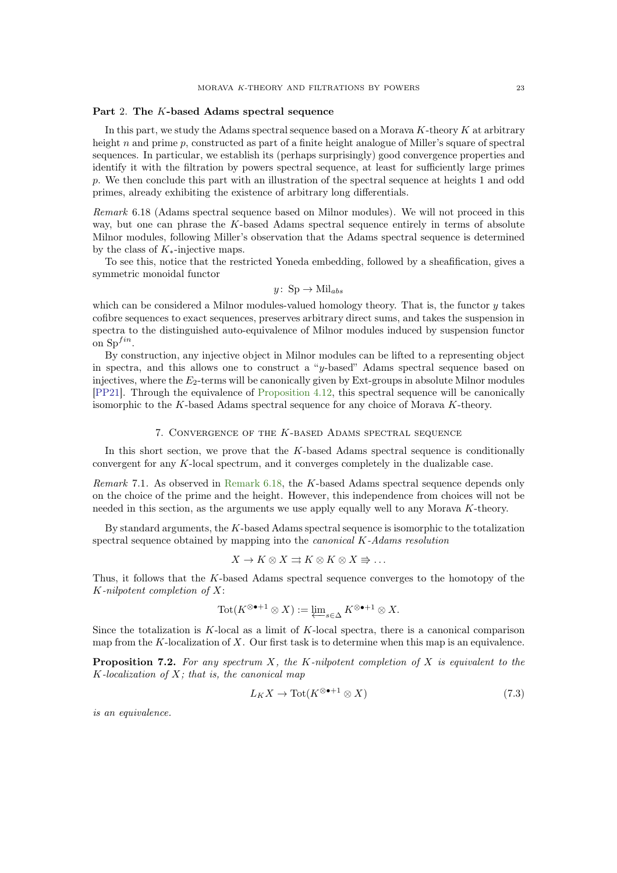## <span id="page-22-5"></span><span id="page-22-0"></span>Part 2. The K-based Adams spectral sequence

In this part, we study the Adams spectral sequence based on a Morava  $K$ -theory  $K$  at arbitrary height n and prime p, constructed as part of a finite height analogue of Miller's square of spectral sequences. In particular, we establish its (perhaps surprisingly) good convergence properties and identify it with the filtration by powers spectral sequence, at least for sufficiently large primes p. We then conclude this part with an illustration of the spectral sequence at heights 1 and odd primes, already exhibiting the existence of arbitrary long differentials.

<span id="page-22-2"></span>Remark 6.18 (Adams spectral sequence based on Milnor modules). We will not proceed in this way, but one can phrase the  $K$ -based Adams spectral sequence entirely in terms of absolute Milnor modules, following Miller's observation that the Adams spectral sequence is determined by the class of  $K_*$ -injective maps.

To see this, notice that the restricted Yoneda embedding, followed by a sheafification, gives a symmetric monoidal functor

$$
y\colon\mathrm{Sp}\to\mathrm{Mil}_{abs}
$$

which can be considered a Milnor modules-valued homology theory. That is, the functor  $y$  takes cofibre sequences to exact sequences, preserves arbitrary direct sums, and takes the suspension in spectra to the distinguished auto-equivalence of Milnor modules induced by suspension functor on  $Sp^{fin}$ .

By construction, any injective object in Milnor modules can be lifted to a representing object in spectra, and this allows one to construct a "y-based" Adams spectral sequence based on injectives, where the  $E_2$ -terms will be canonically given by Ext-groups in absolute Milnor modules [\[PP21\]](#page-60-18). Through the equivalence of [Proposition 4.12,](#page-12-1) this spectral sequence will be canonically isomorphic to the K-based Adams spectral sequence for any choice of Morava K-theory.

#### 7. Convergence of the K-based Adams spectral sequence

<span id="page-22-1"></span>In this short section, we prove that the K-based Adams spectral sequence is conditionally convergent for any K-local spectrum, and it converges completely in the dualizable case.

Remark 7.1. As observed in [Remark 6.18,](#page-22-2) the K-based Adams spectral sequence depends only on the choice of the prime and the height. However, this independence from choices will not be needed in this section, as the arguments we use apply equally well to any Morava K-theory.

By standard arguments, the K-based Adams spectral sequence is isomorphic to the totalization spectral sequence obtained by mapping into the canonical K-Adams resolution

$$
X \to K \otimes X \rightrightarrows K \otimes K \otimes X \Rightarrow \dots
$$

Thus, it follows that the K-based Adams spectral sequence converges to the homotopy of the K-nilpotent completion of X:

$$
\operatorname{Tot}(K^{\otimes \bullet+1} \otimes X) := \varprojlim\nolimits_{s \in \Delta} K^{\otimes \bullet+1} \otimes X.
$$

<span id="page-22-4"></span>Since the totalization is  $K$ -local as a limit of  $K$ -local spectra, there is a canonical comparison map from the K-localization of X. Our first task is to determine when this map is an equivalence.

**Proposition 7.2.** For any spectrum  $X$ , the K-nilpotent completion of  $X$  is equivalent to the  $K$ -localization of  $X$ ; that is, the canonical map

<span id="page-22-3"></span>
$$
L_K X \to \text{Tot}(K^{\otimes \bullet + 1} \otimes X) \tag{7.3}
$$

is an equivalence.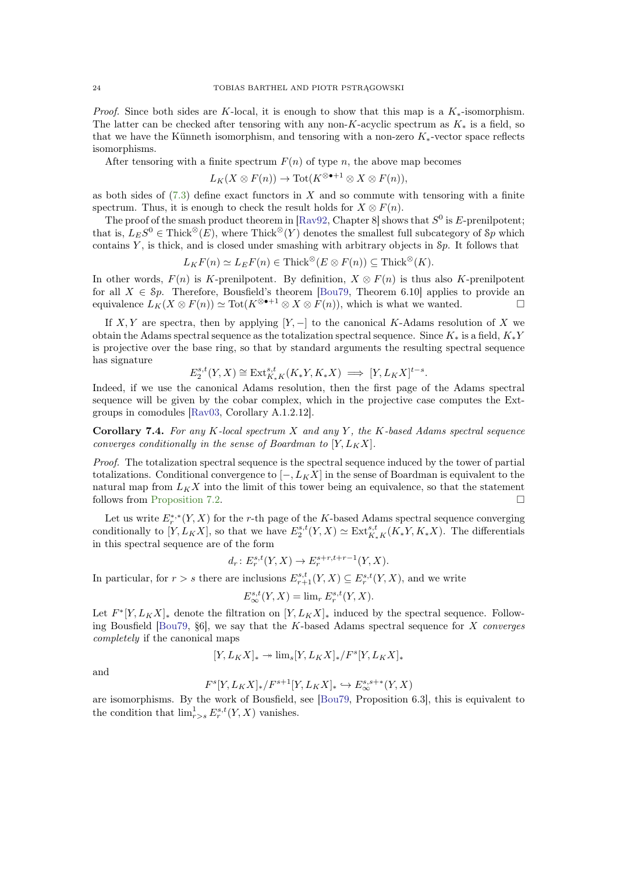<span id="page-23-2"></span>*Proof.* Since both sides are K-local, it is enough to show that this map is a  $K_*$ -isomorphism. The latter can be checked after tensoring with any non-K-acyclic spectrum as  $K_*$  is a field, so that we have the Künneth isomorphism, and tensoring with a non-zero  $K_*$ -vector space reflects isomorphisms.

After tensoring with a finite spectrum  $F(n)$  of type n, the above map becomes

$$
L_K(X \otimes F(n)) \to \mathrm{Tot}(K^{\otimes \bullet+1} \otimes X \otimes F(n)),
$$

as both sides of  $(7.3)$  define exact functors in X and so commute with tensoring with a finite spectrum. Thus, it is enough to check the result holds for  $X \otimes F(n)$ .

The proof of the smash product theorem in [\[Rav92,](#page-60-19) Chapter 8] shows that  $S^0$  is E-prenilpotent; that is,  $L_E S^0 \in \text{Thick}^{\otimes}(E)$ , where Thick<sup>\\iferac{\left{\sigma\_{\left{a}}}\$ (Y) denotes the smallest full subcategory of  $\mathcal{S}p$  which</sup> contains  $Y$ , is thick, and is closed under smashing with arbitrary objects in  $\mathcal{S}_p$ . It follows that

$$
L_K F(n) \simeq L_E F(n) \in \text{Thick}^{\otimes} (E \otimes F(n)) \subseteq \text{Thick}^{\otimes} (K).
$$

In other words,  $F(n)$  is K-prenilpotent. By definition,  $X \otimes F(n)$  is thus also K-prenilpotent for all  $X \in Sp$ . Therefore, Bousfield's theorem [\[Bou79,](#page-59-11) Theorem 6.10] applies to provide an equivalence  $L_K(X \otimes F(n)) \simeq \text{Tot}(K^{\otimes \bullet+1} \otimes X \otimes F(n))$ , which is what we wanted.

If X, Y are spectra, then by applying  $[Y, -]$  to the canonical K-Adams resolution of X we obtain the Adams spectral sequence as the totalization spectral sequence. Since  $K_*$  is a field,  $K_*Y$ is projective over the base ring, so that by standard arguments the resulting spectral sequence has signature

$$
E_2^{s,t}(Y,X) \cong \text{Ext}^{s,t}_{K_*K}(K_*Y, K_*X) \implies [Y, L_KX]^{t-s}.
$$

Indeed, if we use the canonical Adams resolution, then the first page of the Adams spectral sequence will be given by the cobar complex, which in the projective case computes the Extgroups in comodules [\[Rav03,](#page-60-7) Corollary A.1.2.12].

<span id="page-23-0"></span>Corollary 7.4. For any K-local spectrum  $X$  and any  $Y$ , the K-based Adams spectral sequence converges conditionally in the sense of Boardman to  $[Y, L_K X]$ .

Proof. The totalization spectral sequence is the spectral sequence induced by the tower of partial totalizations. Conditional convergence to  $[-, L_K X]$  in the sense of Boardman is equivalent to the natural map from  $L_K X$  into the limit of this tower being an equivalence, so that the statement follows from [Proposition 7.2.](#page-22-4)

Let us write  $E_r^{*,*}(Y, X)$  for the r-th page of the K-based Adams spectral sequence converging conditionally to  $[Y, L_K X]$ , so that we have  $E_2^{s,t}(Y, X) \simeq \text{Ext}_{K_* K}^{s,t}(K_* Y, K_* X)$ . The differentials in this spectral sequence are of the form

$$
d_r: E_r^{s,t}(Y,X) \to E_r^{s+r,t+r-1}(Y,X).
$$

In particular, for  $r > s$  there are inclusions  $E^{s,t}_{r+1}(Y,X) \subseteq E^{s,t}_r(Y,X)$ , and we write

$$
E_{\infty}^{s,t}(Y,X) = \lim_{r} E_r^{s,t}(Y,X).
$$

Let  $F^*[Y, L_K X]_*$  denote the filtration on  $[Y, L_K X]_*$  induced by the spectral sequence. Following Bousfield  $[Bu79, §6]$ , we say that the K-based Adams spectral sequence for X converges completely if the canonical maps

$$
[Y,L_KX]_* \twoheadrightarrow \lim{}_s[Y,L_KX]_*/F^s[Y,L_KX]_*
$$

and

$$
F^s[Y,L_KX]_*/F^{s+1}[Y,L_KX]_*\hookrightarrow E^{s,s+*}_\infty(Y,X)
$$

<span id="page-23-1"></span>are isomorphisms. By the work of Bousfield, see [\[Bou79,](#page-59-11) Proposition 6.3], this is equivalent to the condition that  $\lim_{r>s} E_r^{s,t}(Y,X)$  vanishes.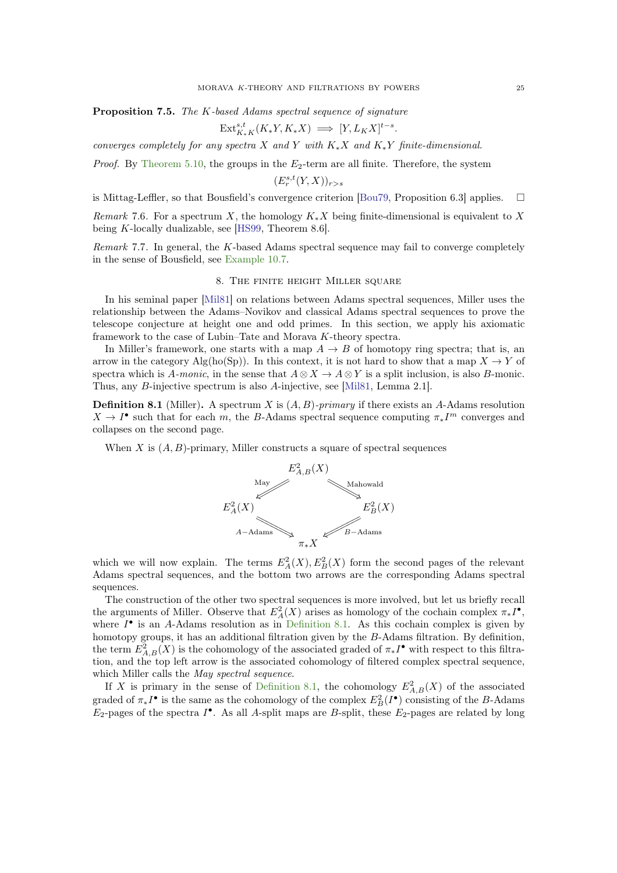<span id="page-24-2"></span>Proposition 7.5. The K-based Adams spectral sequence of signature

$$
\operatorname{Ext}_{K_{*}K}^{s,t}(K_{*}Y, K_{*}X) \implies [Y, L_{K}X]^{t-s}.
$$

converges completely for any spectra X and Y with  $K_*X$  and  $K_*Y$  finite-dimensional.

*Proof.* By [Theorem 5.10,](#page-16-1) the groups in the  $E_2$ -term are all finite. Therefore, the system

$$
(E_r^{s,t}(Y,X))_{r>s}
$$

is Mittag-Leffler, so that Bousfield's convergence criterion [\[Bou79,](#page-59-11) Proposition 6.3] applies.  $\square$ 

Remark 7.6. For a spectrum X, the homology  $K_*X$  being finite-dimensional is equivalent to X being K-locally dualizable, see [\[HS99,](#page-59-12) Theorem 8.6].

<span id="page-24-0"></span>Remark 7.7. In general, the K-based Adams spectral sequence may fail to converge completely in the sense of Bousfield, see [Example 10.7.](#page-36-0)

## 8. The finite height Miller square

In his seminal paper [\[Mil81\]](#page-60-0) on relations between Adams spectral sequences, Miller uses the relationship between the Adams–Novikov and classical Adams spectral sequences to prove the telescope conjecture at height one and odd primes. In this section, we apply his axiomatic framework to the case of Lubin–Tate and Morava K-theory spectra.

In Miller's framework, one starts with a map  $A \to B$  of homotopy ring spectra; that is, an arrow in the category Alg(ho(Sp)). In this context, it is not hard to show that a map  $X \to Y$  of spectra which is A-monic, in the sense that  $A \otimes X \to A \otimes Y$  is a split inclusion, is also B-monic. Thus, any B-injective spectrum is also A-injective, see [\[Mil81,](#page-60-0) Lemma 2.1].

<span id="page-24-1"></span>**Definition 8.1** (Miller). A spectrum X is  $(A, B)$ -primary if there exists an A-Adams resolution  $X \to I^{\bullet}$  such that for each m, the B-Adams spectral sequence computing  $\pi_* I^m$  converges and collapses on the second page.

When  $X$  is  $(A, B)$ -primary, Miller constructs a square of spectral sequences



which we will now explain. The terms  $E_A^2(X), E_B^2(X)$  form the second pages of the relevant Adams spectral sequences, and the bottom two arrows are the corresponding Adams spectral sequences.

The construction of the other two spectral sequences is more involved, but let us briefly recall the arguments of Miller. Observe that  $E_A^2(X)$  arises as homology of the cochain complex  $\pi_* I^{\bullet}$ , where  $I^{\bullet}$  is an A-Adams resolution as in [Definition 8.1.](#page-24-1) As this cochain complex is given by homotopy groups, it has an additional filtration given by the B-Adams filtration. By definition, the term  $E_{A,B}^2(X)$  is the cohomology of the associated graded of  $\pi_* I^{\bullet}$  with respect to this filtration, and the top left arrow is the associated cohomology of filtered complex spectral sequence, which Miller calls the *May spectral sequence*.

If X is primary in the sense of [Definition 8.1,](#page-24-1) the cohomology  $E_{A,B}^2(X)$  of the associated graded of  $\pi_* I^{\bullet}$  is the same as the cohomology of the complex  $E_B^2(I^{\bullet})$  consisting of the B-Adams  $E_2$ -pages of the spectra  $I^{\bullet}$ . As all A-split maps are B-split, these  $E_2$ -pages are related by long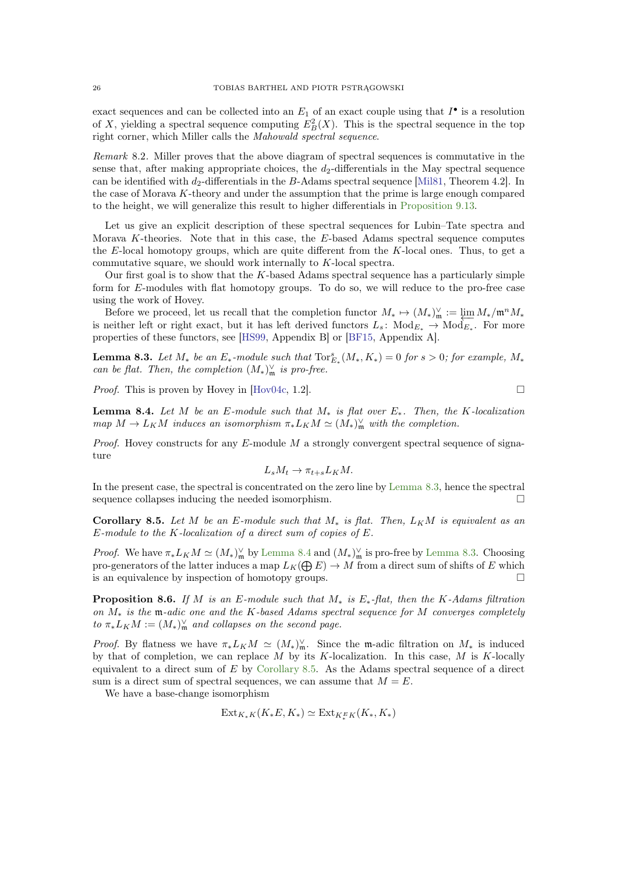<span id="page-25-4"></span>exact sequences and can be collected into an  $E_1$  of an exact couple using that  $I^{\bullet}$  is a resolution of X, yielding a spectral sequence computing  $E_B^2(X)$ . This is the spectral sequence in the top right corner, which Miller calls the Mahowald spectral sequence.

Remark 8.2. Miller proves that the above diagram of spectral sequences is commutative in the sense that, after making appropriate choices, the  $d_2$ -differentials in the May spectral sequence can be identified with  $d_2$ -differentials in the B-Adams spectral sequence [\[Mil81,](#page-60-0) Theorem 4.2]. In the case of Morava K-theory and under the assumption that the prime is large enough compared to the height, we will generalize this result to higher differentials in [Proposition 9.13.](#page-31-0)

Let us give an explicit description of these spectral sequences for Lubin–Tate spectra and Morava K-theories. Note that in this case, the E-based Adams spectral sequence computes the E-local homotopy groups, which are quite different from the K-local ones. Thus, to get a commutative square, we should work internally to K-local spectra.

Our first goal is to show that the  $K$ -based Adams spectral sequence has a particularly simple form for E-modules with flat homotopy groups. To do so, we will reduce to the pro-free case using the work of Hovey.

Before we proceed, let us recall that the completion functor  $M_* \mapsto (M_*)^{\vee}_m := \lim_{M_*} M_*/m^n M_*$ is neither left or right exact, but it has left derived functors  $L_s$ :  $Mod_{E_*} \to Mod_{E_*}$ . For more properties of these functors, see [\[HS99,](#page-59-12) Appendix B] or [\[BF15,](#page-58-8) Appendix A].

<span id="page-25-1"></span>**Lemma 8.3.** Let  $M_*$  be an  $E_*$ -module such that  $\text{Tor}_{E_*}^s(M_*, K_*) = 0$  for  $s > 0$ ; for example,  $M_*$ can be flat. Then, the completion  $(M_*)^{\vee}_{\mathfrak{m}}$  is pro-free.

<span id="page-25-2"></span>*Proof.* This is proven by Hovey in  $[Hov04c, 1.2]$ .

**Lemma 8.4.** Let M be an E-module such that  $M_*$  is flat over  $E_*$ . Then, the K-localization map  $M \to L_K M$  induces an isomorphism  $\pi_* L_K M \simeq (M_*)^{\vee}_m$  with the completion.

Proof. Hovey constructs for any E-module M a strongly convergent spectral sequence of signature

$$
L_s M_t \to \pi_{t+s} L_K M.
$$

In the present case, the spectral is concentrated on the zero line by [Lemma 8.3,](#page-25-1) hence the spectral sequence collapses inducing the needed isomorphism.

<span id="page-25-0"></span>Corollary 8.5. Let M be an E-module such that  $M_*$  is flat. Then,  $L_K M$  is equivalent as an  $E$ -module to the K-localization of a direct sum of copies of  $E$ .

*Proof.* We have  $\pi_* L_K M \simeq (M_*)^{\vee}_{\mathfrak{m}}$  by [Lemma 8.4](#page-25-2) and  $(M_*)^{\vee}_{\mathfrak{m}}$  is pro-free by [Lemma 8.3.](#page-25-1) Choosing pro-generators of the latter induces a map  $L_K(\bigoplus E) \to M$  from a direct sum of shifts of E which is an equivalence by inspection of homotopy groups.

<span id="page-25-3"></span>**Proposition 8.6.** If M is an E-module such that  $M_*$  is  $E_*$ -flat, then the K-Adams filtration on  $M_*$  is the m-adic one and the K-based Adams spectral sequence for M converges completely to  $\pi_* L_K M := (M_*)_{\mathfrak{m}}^{\vee}$  and collapses on the second page.

*Proof.* By flatness we have  $\pi_* L_K M \simeq (M_*)^{\vee}_{\mathfrak{m}}$ . Since the m-adic filtration on  $M_*$  is induced by that of completion, we can replace  $M$  by its K-localization. In this case,  $M$  is K-locally equivalent to a direct sum of E by [Corollary 8.5.](#page-25-0) As the Adams spectral sequence of a direct sum is a direct sum of spectral sequences, we can assume that  $M = E$ .

We have a base-change isomorphism

$$
\text{Ext}_{K_{*}K}(K_{*}E, K_{*}) \simeq \text{Ext}_{K_{*}^{E}K}(K_{*}, K_{*})
$$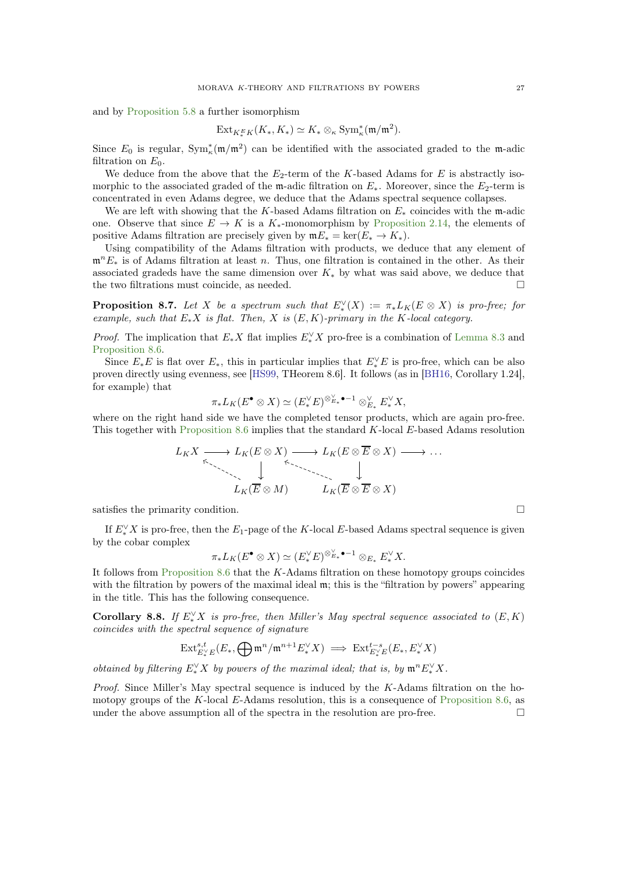<span id="page-26-1"></span>and by [Proposition 5.8](#page-16-0) a further isomorphism

$$
\mathrm{Ext}_{K^E_*/K}(K_*, K_*) \simeq K_* \otimes_{\kappa} \mathrm{Sym}^*_\kappa(\mathfrak{m}/\mathfrak{m}^2).
$$

Since  $E_0$  is regular,  $Sym_k^*(m/m^2)$  can be identified with the associated graded to the m-adic filtration on  $E_0$ .

We deduce from the above that the  $E_2$ -term of the K-based Adams for E is abstractly isomorphic to the associated graded of the m-adic filtration on  $E_*$ . Moreover, since the  $E_2$ -term is concentrated in even Adams degree, we deduce that the Adams spectral sequence collapses.

We are left with showing that the K-based Adams filtration on  $E_*$  coincides with the m-adic one. Observe that since  $E \to K$  is a  $K_{*}$ -monomorphism by [Proposition 2.14,](#page-8-2) the elements of positive Adams filtration are precisely given by  $mE_* = \ker(E_* \to K_*).$ 

Using compatibility of the Adams filtration with products, we deduce that any element of  $\mathfrak{m}^nE_*$  is of Adams filtration at least n. Thus, one filtration is contained in the other. As their associated gradeds have the same dimension over  $K_*$  by what was said above, we deduce that the two filtrations must coincide, as needed.

**Proposition 8.7.** Let X be a spectrum such that  $E^{\vee}_*(X) := \pi_* L_K(E \otimes X)$  is pro-free; for example, such that  $E_*X$  is flat. Then, X is  $(E, K)$ -primary in the K-local category.

*Proof.* The implication that  $E^* X$  flat implies  $E^{\vee}_* X$  pro-free is a combination of [Lemma 8.3](#page-25-1) and [Proposition 8.6.](#page-25-3)

Since  $E_*E$  is flat over  $E_*$ , this in particular implies that  $E_*^{\vee}E$  is pro-free, which can be also proven directly using evenness, see [\[HS99,](#page-59-12) THeorem 8.6]. It follows (as in [\[BH16,](#page-59-14) Corollary 1.24], for example) that

$$
\pi_*L_K(E^{\bullet} \otimes X) \simeq (E^{\vee}_*E)^{\otimes_{E_*}^{\vee} \bullet -1} \otimes_{E_*}^{\vee} E^{\vee}_*X,
$$

where on the right hand side we have the completed tensor products, which are again pro-free. This together with [Proposition 8.6](#page-25-3) implies that the standard K-local E-based Adams resolution

$$
L_K X \longrightarrow L_K (E \otimes X) \longrightarrow L_K (E \otimes \overline{E} \otimes X) \longrightarrow \dots
$$
  
\n
$$
\downarrow \qquad \qquad \downarrow
$$
  
\n
$$
L_K (\overline{E} \otimes M) \qquad \qquad L_K (\overline{E} \otimes \overline{E} \otimes X)
$$

satisfies the primarity condition.  $\Box$ 

If  $E^{\vee}_*X$  is pro-free, then the  $E_1$ -page of the K-local E-based Adams spectral sequence is given by the cobar complex

$$
\pi_*L_K(E^{\bullet} \otimes X) \simeq (E_*^{\vee} E)^{\otimes_{E_*}^{\vee} \bullet -1} \otimes_{E_*} E_*^{\vee} X.
$$

It follows from [Proposition 8.6](#page-25-3) that the  $K$ -Adams filtration on these homotopy groups coincides with the filtration by powers of the maximal ideal m; this is the "filtration by powers" appearing in the title. This has the following consequence.

<span id="page-26-0"></span>**Corollary 8.8.** If  $E_*^{\vee} X$  is pro-free, then Miller's May spectral sequence associated to  $(E, K)$ coincides with the spectral sequence of signature

$$
\mathrm{Ext}^{s,t}_{E^{\vee}_*E}(E_*,\bigoplus \mathfrak{m}^n/\mathfrak{m}^{n+1}E^{\vee}_*X) \implies \mathrm{Ext}^{t-s}_{E^{\vee}_*E}(E_*,E^{\vee}_*X)
$$

obtained by filtering  $E^{\vee}_*X$  by powers of the maximal ideal; that is, by  $\mathfrak{m}^n E^{\vee}_*X$ .

*Proof.* Since Miller's May spectral sequence is induced by the  $K$ -Adams filtration on the ho-motopy groups of the K-local E-Adams resolution, this is a consequence of [Proposition 8.6,](#page-25-3) as under the above assumption all of the spectra in the resolution are pro-free.  $\Box$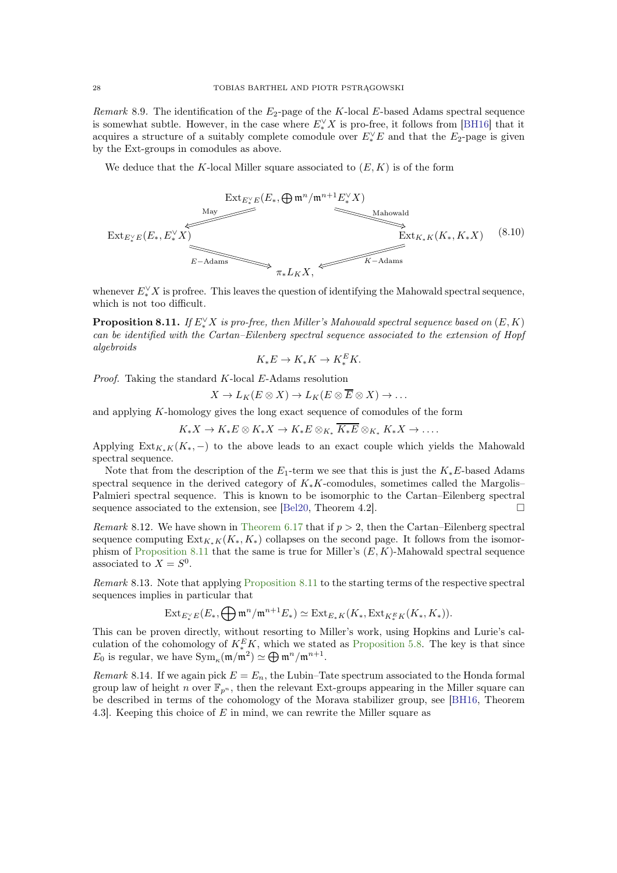<span id="page-27-3"></span>Remark 8.9. The identification of the  $E_2$ -page of the K-local E-based Adams spectral sequence is somewhat subtle. However, in the case where  $E^{\vee}_*X$  is pro-free, it follows from [\[BH16\]](#page-59-14) that it acquires a structure of a suitably complete comodule over  $E^{\vee}_*E$  and that the  $E_2$ -page is given by the Ext-groups in comodules as above.

We deduce that the K-local Miller square associated to  $(E, K)$  is of the form

<span id="page-27-2"></span>

<span id="page-27-0"></span>whenever  $E^{\vee}_* X$  is profree. This leaves the question of identifying the Mahowald spectral sequence, which is not too difficult.

**Proposition 8.11.** If  $E^{\vee}_* X$  is pro-free, then Miller's Mahowald spectral sequence based on  $(E,K)$ can be identified with the Cartan–Eilenberg spectral sequence associated to the extension of Hopf algebroids

$$
K_*E \to K_*K \to K_*^E K.
$$

Proof. Taking the standard K-local E-Adams resolution

$$
X \to L_K(E \otimes X) \to L_K(E \otimes \overline{E} \otimes X) \to \dots
$$

and applying K-homology gives the long exact sequence of comodules of the form

 $K_*X \to K_*E \otimes K_*X \to K_*E \otimes_{K_*} \overline{K_*E} \otimes_{K_*} K_*X \to \ldots$ 

Applying  $\text{Ext}_{K_*K}(K_*)$  to the above leads to an exact couple which yields the Mahowald spectral sequence.

Note that from the description of the  $E_1$ -term we see that this is just the  $K_*E$ -based Adams spectral sequence in the derived category of  $K_*K$ -comodules, sometimes called the Margolis– Palmieri spectral sequence. This is known to be isomorphic to the Cartan–Eilenberg spectral sequence associated to the extension, see [\[Bel20,](#page-58-7) Theorem 4.2].

<span id="page-27-1"></span>Remark 8.12. We have shown in [Theorem 6.17](#page-21-0) that if  $p > 2$ , then the Cartan–Eilenberg spectral sequence computing  $\text{Ext}_{K_{*}K}(K_{*}, K_{*})$  collapses on the second page. It follows from the isomor-phism of [Proposition 8.11](#page-27-0) that the same is true for Miller's  $(E, K)$ -Mahowald spectral sequence associated to  $X = S^0$ .

Remark 8.13. Note that applying [Proposition 8.11](#page-27-0) to the starting terms of the respective spectral sequences implies in particular that

$$
\operatorname{Ext}_{E_{\ast}^{\vee}E}(E_{\ast}, \bigoplus {\mathfrak{m}}^n/{\mathfrak{m}}^{n+1}E_{\ast}) \simeq \operatorname{Ext}_{E_{\ast}K}(K_{\ast}, \operatorname{Ext}_{K_{\ast}^EK}(K_{\ast}, K_{\ast})).
$$

This can be proven directly, without resorting to Miller's work, using Hopkins and Lurie's calculation of the cohomology of  $K_{*}^{E}K$ , which we stated as [Proposition 5.8.](#page-16-0) The key is that since  $E_0$  is regular, we have  $\text{Sym}_\kappa(\mathfrak{m}/\mathfrak{m}^2) \simeq \bigoplus \mathfrak{m}^n/\mathfrak{m}^{n+1}$ .

Remark 8.14. If we again pick  $E = E_n$ , the Lubin–Tate spectrum associated to the Honda formal group law of height n over  $\mathbb{F}_{p^n}$ , then the relevant Ext-groups appearing in the Miller square can be described in terms of the cohomology of the Morava stabilizer group, see [\[BH16,](#page-59-14) Theorem 4.3]. Keeping this choice of E in mind, we can rewrite the Miller square as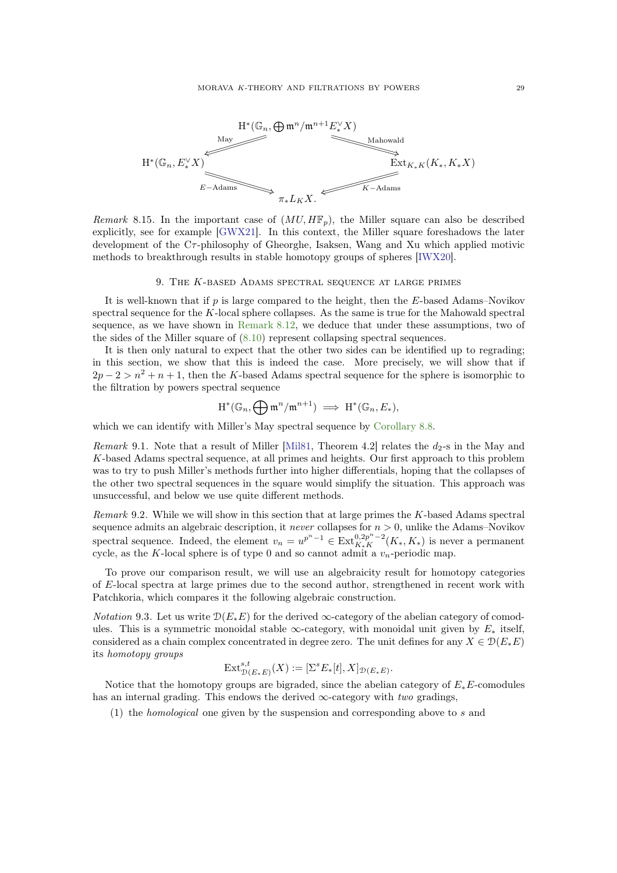<span id="page-28-1"></span>

Remark 8.15. In the important case of  $(MU, H\mathbb{F}_p)$ , the Miller square can also be described explicitly, see for example [\[GWX21\]](#page-59-15). In this context, the Miller square foreshadows the later development of the Cτ-philosophy of Gheorghe, Isaksen, Wang and Xu which applied motivic methods to breakthrough results in stable homotopy groups of spheres [\[IWX20\]](#page-60-20).

#### 9. THE K-BASED ADAMS SPECTRAL SEQUENCE AT LARGE PRIMES

<span id="page-28-0"></span>It is well-known that if  $p$  is large compared to the height, then the  $E$ -based Adams–Novikov spectral sequence for the K-local sphere collapses. As the same is true for the Mahowald spectral sequence, as we have shown in [Remark 8.12,](#page-27-1) we deduce that under these assumptions, two of the sides of the Miller square of [\(8.10\)](#page-27-2) represent collapsing spectral sequences.

It is then only natural to expect that the other two sides can be identified up to regrading; in this section, we show that this is indeed the case. More precisely, we will show that if  $2p-2 > n^2 + n + 1$ , then the K-based Adams spectral sequence for the sphere is isomorphic to the filtration by powers spectral sequence

$$
\operatorname{H}^*(\mathbb{G}_n, \bigoplus \mathfrak{m} ^n/\mathfrak{m} ^{n+1}) \implies \operatorname{H}^*(\mathbb{G}_n, E_*),
$$

which we can identify with Miller's May spectral sequence by [Corollary 8.8.](#page-26-0)

Remark 9.1. Note that a result of Miller [\[Mil81,](#page-60-0) Theorem 4.2] relates the  $d_2$ -s in the May and K-based Adams spectral sequence, at all primes and heights. Our first approach to this problem was to try to push Miller's methods further into higher differentials, hoping that the collapses of the other two spectral sequences in the square would simplify the situation. This approach was unsuccessful, and below we use quite different methods.

Remark 9.2. While we will show in this section that at large primes the K-based Adams spectral sequence admits an algebraic description, it *never* collapses for  $n > 0$ , unlike the Adams–Novikov spectral sequence. Indeed, the element  $v_n = u^{p^n-1} \in \operatorname{Ext}_{K_*K}^{0,2p^n-2}(K_*, K_*)$  is never a permanent cycle, as the K-local sphere is of type 0 and so cannot admit a  $v_n$ -periodic map.

To prove our comparison result, we will use an algebraicity result for homotopy categories of E-local spectra at large primes due to the second author, strengthened in recent work with Patchkoria, which compares it the following algebraic construction.

*Notation* 9.3. Let us write  $\mathcal{D}(E_*E)$  for the derived  $\infty$ -category of the abelian category of comodules. This is a symmetric monoidal stable ∞-category, with monoidal unit given by  $E_*$  itself, considered as a chain complex concentrated in degree zero. The unit defines for any  $X \in \mathcal{D}(E_*E)$ its homotopy groups

$$
\text{Ext}^{s,t}_{\mathcal{D}(E_*E)}(X) := [\Sigma^s E_*[t], X]_{\mathcal{D}(E_*E)}.
$$

Notice that the homotopy groups are bigraded, since the abelian category of  $E_*E$ -comodules has an internal grading. This endows the derived  $\infty$ -category with two gradings,

(1) the homological one given by the suspension and corresponding above to s and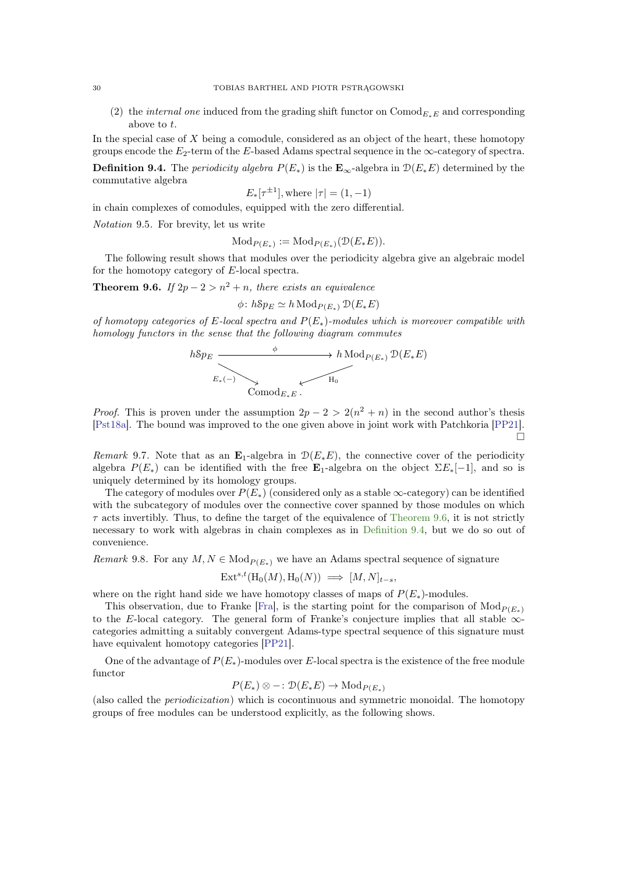(2) the *internal one* induced from the grading shift functor on  $Comod_{E_{\kappa}E}$  and corresponding above to t.

In the special case of  $X$  being a comodule, considered as an object of the heart, these homotopy groups encode the  $E_2$ -term of the E-based Adams spectral sequence in the  $\infty$ -category of spectra.

<span id="page-29-1"></span>**Definition 9.4.** The *periodicity algebra*  $P(E_*)$  is the  $\mathbf{E}_{\infty}$ -algebra in  $\mathcal{D}(E_*E)$  determined by the commutative algebra  $\frac{1}{1}$ 

$$
E_*(\tau^{\pm 1}],
$$
 where  $|\tau| = (1, -1)$ 

in chain complexes of comodules, equipped with the zero differential.

Notation 9.5. For brevity, let us write

$$
\text{Mod}_{P(E_*)} := \text{Mod}_{P(E_*)}(\mathcal{D}(E_*E)).
$$

<span id="page-29-0"></span>The following result shows that modules over the periodicity algebra give an algebraic model for the homotopy category of E-local spectra.

**Theorem 9.6.** If  $2p - 2 > n^2 + n$ , there exists an equivalence

$$
\phi \colon h \mathcal{S} p_E \simeq h \mathop{\rm Mod}\nolimits_{P(E_*)} \mathfrak{D}(E_*E)
$$

of homotopy categories of E-local spectra and  $P(E_*)$ -modules which is moreover compatible with homology functors in the sense that the following diagram commutes

$$
h\mathcal{S}p_{E} \xrightarrow{b} h\operatorname{Mod}_{P(E_{*})} \mathcal{D}(E_{*}E)
$$
  

$$
E_{*}(-) \xrightarrow{\vee} \operatorname{Comod}_{E_{*}E} \cdots
$$

*Proof.* This is proven under the assumption  $2p - 2 > 2(n^2 + n)$  in the second author's thesis [\[Pst18a\]](#page-60-1). The bound was improved to the one given above in joint work with Patchkoria [\[PP21\]](#page-60-18).  $\Box$ 

Remark 9.7. Note that as an  $\mathbf{E}_1$ -algebra in  $\mathcal{D}(E_*E)$ , the connective cover of the periodicity algebra  $P(E_*)$  can be identified with the free  $\mathbf{E}_1$ -algebra on the object  $\Sigma E_*[-1]$ , and so is uniquely determined by its homology groups.

The category of modules over  $P(E_*)$  (considered only as a stable  $\infty$ -category) can be identified with the subcategory of modules over the connective cover spanned by those modules on which  $\tau$  acts invertibly. Thus, to define the target of the equivalence of [Theorem 9.6,](#page-29-0) it is not strictly necessary to work with algebras in chain complexes as in [Definition 9.4,](#page-29-1) but we do so out of convenience.

<span id="page-29-2"></span>Remark 9.8. For any  $M, N \in \text{Mod}_{P(E_*)}$  we have an Adams spectral sequence of signature

$$
Ext^{s,t}(\mathrm{H}_0(M),\mathrm{H}_0(N)) \implies [M,N]_{t-s},
$$

where on the right hand side we have homotopy classes of maps of  $P(E_*)$ -modules.

This observation, due to Franke [\[Fra\]](#page-59-16), is the starting point for the comparison of  $Mod_{P(E_*)}$ to the E-local category. The general form of Franke's conjecture implies that all stable  $\infty$ categories admitting a suitably convergent Adams-type spectral sequence of this signature must have equivalent homotopy categories [\[PP21\]](#page-60-18).

One of the advantage of  $P(E_*)$ -modules over E-local spectra is the existence of the free module functor

$$
P(E_*) \otimes -: \mathcal{D}(E_*E) \to \text{Mod}_{P(E_*)}
$$

<span id="page-29-3"></span>(also called the periodicization) which is cocontinuous and symmetric monoidal. The homotopy groups of free modules can be understood explicitly, as the following shows.

<span id="page-29-4"></span>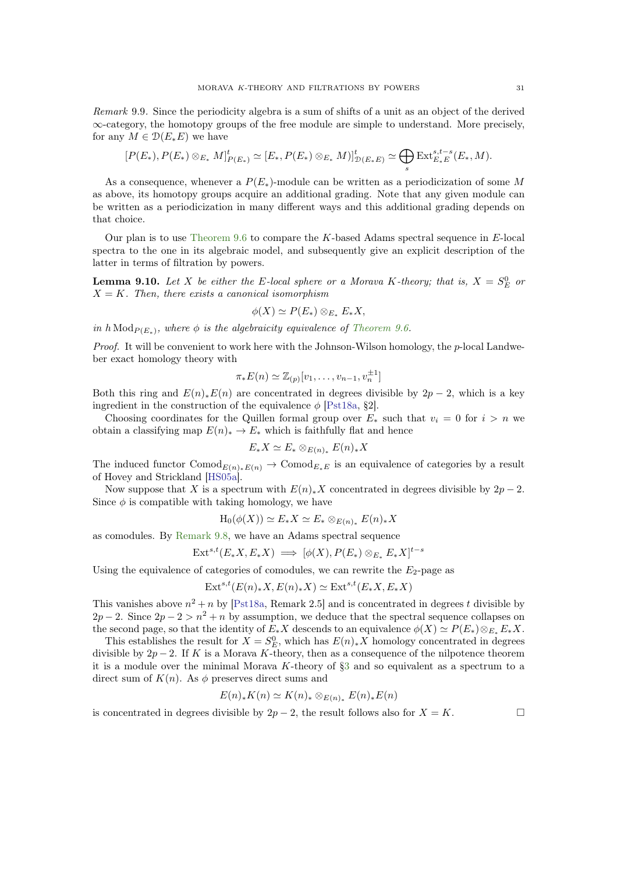<span id="page-30-1"></span>Remark 9.9. Since the periodicity algebra is a sum of shifts of a unit as an object of the derived ∞-category, the homotopy groups of the free module are simple to understand. More precisely, for any  $M \in \mathcal{D}(E_*E)$  we have

$$
[P(E_*) , P(E_*) \otimes_{E_*} M]_{P(E_*)}^t \simeq [E_*, P(E_*) \otimes_{E_*} M)]_{\mathcal{D}(E_*E)}^t \simeq \bigoplus_s \mathrm{Ext}_{E_*E}^{s,t-s}(E_*, M).
$$

As a consequence, whenever a  $P(E_*)$ -module can be written as a periodicization of some M as above, its homotopy groups acquire an additional grading. Note that any given module can be written as a periodicization in many different ways and this additional grading depends on that choice.

Our plan is to use Theorem  $9.6$  to compare the K-based Adams spectral sequence in E-local spectra to the one in its algebraic model, and subsequently give an explicit description of the latter in terms of filtration by powers.

<span id="page-30-0"></span>**Lemma 9.10.** Let X be either the E-local sphere or a Morava K-theory; that is,  $X = S_E^0$  or  $X = K$ . Then, there exists a canonical isomorphism

$$
\phi(X) \simeq P(E_*) \otimes_{E_*} E_* X,
$$

in  $h\text{Mod}_{P(E_*)}$ , where  $\phi$  is the algebraicity equivalence of [Theorem 9.6.](#page-29-0)

*Proof.* It will be convenient to work here with the Johnson-Wilson homology, the  $p$ -local Landweber exact homology theory with

$$
\pi_*E(n)\simeq \mathbb{Z}_{(p)}[v_1,\ldots,v_{n-1},v_n^{\pm 1}]
$$

Both this ring and  $E(n)_*E(n)$  are concentrated in degrees divisible by  $2p-2$ , which is a key ingredient in the construction of the equivalence  $\phi$  [\[Pst18a,](#page-60-1) §2].

Choosing coordinates for the Quillen formal group over  $E_*$  such that  $v_i = 0$  for  $i > n$  we obtain a classifying map  $E(n)_* \to E_*$  which is faithfully flat and hence

$$
E_*X \simeq E_* \otimes_{E(n)_*} E(n)_*X
$$

The induced functor  $Comod_{E(n)_*E(n)} \to Comod_{E_*E}$  is an equivalence of categories by a result of Hovey and Strickland [\[HS05a\]](#page-59-0).

Now suppose that X is a spectrum with  $E(n)_*X$  concentrated in degrees divisible by  $2p-2$ . Since  $\phi$  is compatible with taking homology, we have

$$
H_0(\phi(X)) \simeq E_* X \simeq E_* \otimes_{E(n)_*} E(n)_* X
$$

as comodules. By [Remark 9.8,](#page-29-2) we have an Adams spectral sequence

$$
Ext^{s,t}(E_*X, E_*X) \implies [\phi(X), P(E_*) \otimes_{E_*} E_*X]^{t-s}
$$

Using the equivalence of categories of comodules, we can rewrite the  $E_2$ -page as

$$
Ext^{s,t}(E(n)_*X, E(n)_*X) \simeq Ext^{s,t}(E_*X, E_*X)
$$

This vanishes above  $n^2 + n$  by [\[Pst18a,](#page-60-1) Remark 2.5] and is concentrated in degrees t divisible by  $2p-2$ . Since  $2p-2 > n^2 + n$  by assumption, we deduce that the spectral sequence collapses on the second page, so that the identity of  $E_*X$  descends to an equivalence  $\phi(X) \simeq P(E_*) \otimes_{E_*} E_*X$ .

This establishes the result for  $X = S_E^0$ , which has  $E(n)_*X$  homology concentrated in degrees divisible by  $2p-2$ . If K is a Morava K-theory, then as a consequence of the nilpotence theorem it is a module over the minimal Morava K-theory of  $\S$ 3 and so equivalent as a spectrum to a direct sum of  $K(n)$ . As  $\phi$  preserves direct sums and

$$
E(n)_*K(n) \simeq K(n)_* \otimes_{E(n)_*} E(n)_*E(n)
$$

is concentrated in degrees divisible by  $2p-2$ , the result follows also for  $X = K$ .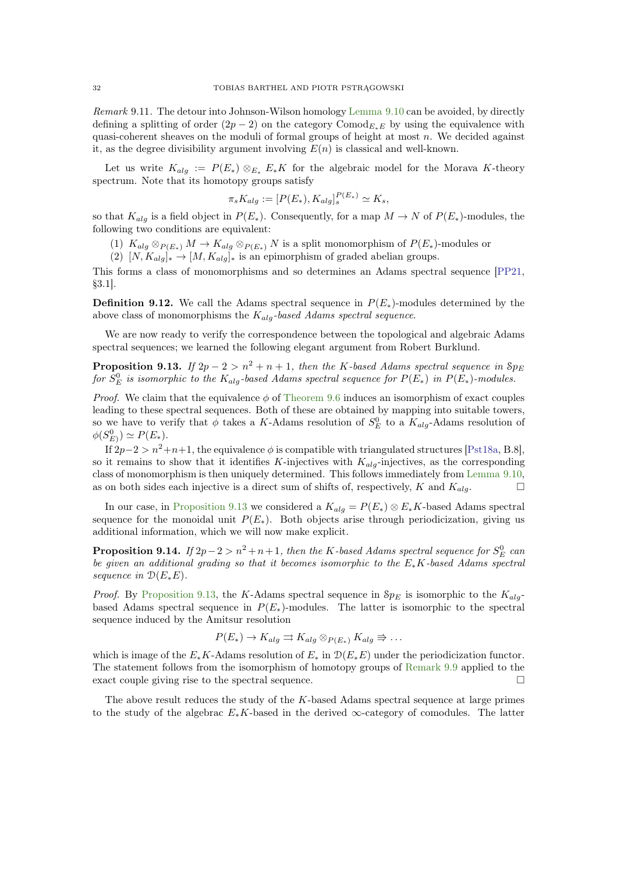<span id="page-31-2"></span>Remark 9.11. The detour into Johnson-Wilson homology [Lemma 9.10](#page-30-0) can be avoided, by directly defining a splitting of order  $(2p - 2)$  on the category Comod<sub>E∗E</sub> by using the equivalence with quasi-coherent sheaves on the moduli of formal groups of height at most  $n$ . We decided against it, as the degree divisibility argument involving  $E(n)$  is classical and well-known.

Let us write  $K_{alg} := P(E_*) \otimes_{E_*} E_*K$  for the algebraic model for the Morava K-theory spectrum. Note that its homotopy groups satisfy

$$
\pi_s K_{alg} := [P(E_*) , K_{alg}]_s^{P(E_*)} \simeq K_s,
$$

so that  $K_{alg}$  is a field object in  $P(E_*)$ . Consequently, for a map  $M \to N$  of  $P(E_*)$ -modules, the following two conditions are equivalent:

(1)  $K_{alg} \otimes_{P(E_*)} M \to K_{alg} \otimes_{P(E_*)} N$  is a split monomorphism of  $P(E_*)$ -modules or

 $(2)$   $[N, K_{alg}]_{*} \rightarrow [M, K_{alg}]_{*}$  is an epimorphism of graded abelian groups.

This forms a class of monomorphisms and so determines an Adams spectral sequence [\[PP21,](#page-60-18) §3.1].

**Definition 9.12.** We call the Adams spectral sequence in  $P(E_*)$ -modules determined by the above class of monomorphisms the  $K_{alg}$ -based Adams spectral sequence.

<span id="page-31-0"></span>We are now ready to verify the correspondence between the topological and algebraic Adams spectral sequences; we learned the following elegant argument from Robert Burklund.

**Proposition 9.13.** If  $2p - 2 > n^2 + n + 1$ , then the K-based Adams spectral sequence in  $8p_E$ for  $S_E^0$  is isomorphic to the  $K_{alg}$ -based Adams spectral sequence for  $P(E_*)$  in  $P(E_*)$ -modules.

*Proof.* We claim that the equivalence  $\phi$  of [Theorem 9.6](#page-29-0) induces an isomorphism of exact couples leading to these spectral sequences. Both of these are obtained by mapping into suitable towers, so we have to verify that  $\phi$  takes a K-Adams resolution of  $S_E^0$  to a  $K_{alg}$ -Adams resolution of  $\phi(S_{E)}^0) \simeq P(E_*)$ .

If  $2p-2 > n^2+n+1$ , the equivalence  $\phi$  is compatible with triangulated structures [\[Pst18a,](#page-60-1) B.8], so it remains to show that it identifies K-injectives with  $K_{ala}$ -injectives, as the corresponding class of monomorphism is then uniquely determined. This follows immediately from [Lemma 9.10,](#page-30-0) as on both sides each injective is a direct sum of shifts of, respectively, K and  $K_{alg}$ .

In our case, in [Proposition 9.13](#page-31-0) we considered a  $K_{alg} = P(E_*) \otimes E_*K$ -based Adams spectral sequence for the monoidal unit  $P(E_*)$ . Both objects arise through periodicization, giving us additional information, which we will now make explicit.

<span id="page-31-1"></span>**Proposition 9.14.** If  $2p-2 > n^2 + n + 1$ , then the K-based Adams spectral sequence for  $S_E^0$  can be given an additional grading so that it becomes isomorphic to the  $E_*K$ -based Adams spectral sequence in  $\mathcal{D}(E_*E)$ .

*Proof.* By [Proposition 9.13,](#page-31-0) the K-Adams spectral sequence in  $Sp_E$  is isomorphic to the  $K_{alg}$ based Adams spectral sequence in  $P(E_*)$ -modules. The latter is isomorphic to the spectral sequence induced by the Amitsur resolution

$$
P(E_*) \to K_{alg} \rightrightarrows K_{alg} \otimes_{P(E_*)} K_{alg} \rightrightarrows \dots
$$

which is image of the  $E_*K$ -Adams resolution of  $E_*$  in  $\mathcal{D}(E_*E)$  under the periodicization functor. The statement follows from the isomorphism of homotopy groups of [Remark 9.9](#page-29-3) applied to the exact couple giving rise to the spectral sequence.

The above result reduces the study of the K-based Adams spectral sequence at large primes to the study of the algebrac  $E_*K$ -based in the derived  $\infty$ -category of comodules. The latter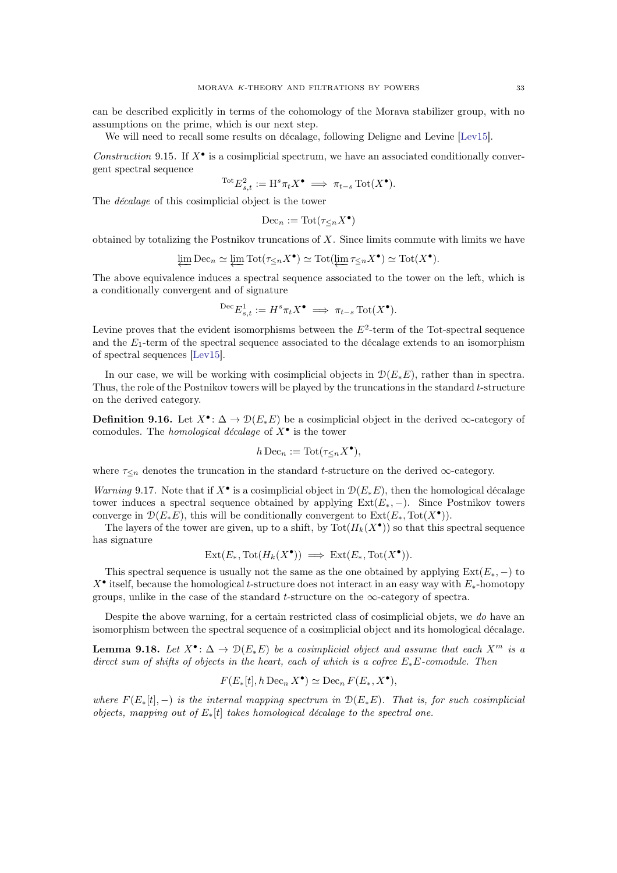<span id="page-32-1"></span>can be described explicitly in terms of the cohomology of the Morava stabilizer group, with no assumptions on the prime, which is our next step.

We will need to recall some results on décalage, following Deligne and Levine [\[Lev15\]](#page-60-21).

Construction 9.15. If  $X^{\bullet}$  is a cosimplicial spectrum, we have an associated conditionally convergent spectral sequence

$$
{}^{\rm Tot}E_{s,t}^2 := \mathrm{H}^s \pi_t X^\bullet \implies \pi_{t-s} \operatorname{Tot}(X^\bullet).
$$

The décalage of this cosimplicial object is the tower

$$
\mathrm{Dec}_n := \mathrm{Tot}(\tau_{\leq n} X^\bullet)
$$

obtained by totalizing the Postnikov truncations of X. Since limits commute with limits we have

$$
\varprojlim \mathrm{Dec}_n \simeq \varprojlim \mathrm{Tot}(\tau_{\leq n} X^{\bullet}) \simeq \mathrm{Tot}(\varprojlim \tau_{\leq n} X^{\bullet}) \simeq \mathrm{Tot}(X^{\bullet}).
$$

The above equivalence induces a spectral sequence associated to the tower on the left, which is a conditionally convergent and of signature

$$
{}^{\mathrm{Dec}}E^1_{s,t} := H^s \pi_t X^\bullet \implies \pi_{t-s} \operatorname{Tot}(X^\bullet).
$$

Levine proves that the evident isomorphisms between the  $E^2$ -term of the Tot-spectral sequence and the  $E_1$ -term of the spectral sequence associated to the décalage extends to an isomorphism of spectral sequences [\[Lev15\]](#page-60-21).

In our case, we will be working with cosimplicial objects in  $\mathcal{D}(E_*E)$ , rather than in spectra. Thus, the role of the Postnikov towers will be played by the truncations in the standard t-structure on the derived category.

**Definition 9.16.** Let  $X^{\bullet}$ :  $\Delta \to \mathcal{D}(E_*E)$  be a cosimplicial object in the derived  $\infty$ -category of comodules. The *homological décalage* of  $X^{\bullet}$  is the tower

$$
h \operatorname{Dec}_n := \operatorname{Tot}(\tau_{\leq n} X^{\bullet}),
$$

where  $\tau_{\leq n}$  denotes the truncation in the standard t-structure on the derived  $\infty$ -category.

Warning 9.17. Note that if  $X^{\bullet}$  is a cosimplicial object in  $\mathcal{D}(E_*E)$ , then the homological décalage tower induces a spectral sequence obtained by applying  $Ext(E_{*}, -)$ . Since Postnikov towers converge in  $\mathcal{D}(E_*E)$ , this will be conditionally convergent to  $\text{Ext}(E_*, \text{Tot}(X^{\bullet}))$ .

The layers of the tower are given, up to a shift, by  $\text{Tot}(H_k(X^{\bullet}))$  so that this spectral sequence has signature

$$
Ext(E_*,\mathrm{Tot}(H_k(X^{\bullet})) \implies Ext(E_*,\mathrm{Tot}(X^{\bullet})).
$$

This spectral sequence is usually not the same as the one obtained by applying  $Ext(E_*, -)$  to  $X^{\bullet}$  itself, because the homological t-structure does not interact in an easy way with  $E_{*}$ -homotopy groups, unlike in the case of the standard t-structure on the  $\infty$ -category of spectra.

<span id="page-32-0"></span>Despite the above warning, for a certain restricted class of cosimplicial objets, we do have an isomorphism between the spectral sequence of a cosimplicial object and its homological décalage.

**Lemma 9.18.** Let  $X^{\bullet}$ :  $\Delta \to \mathcal{D}(E_*E)$  be a cosimplicial object and assume that each  $X^m$  is a direct sum of shifts of objects in the heart, each of which is a cofree  $E_*E$ -comodule. Then

$$
F(E_*[t], h \operatorname{Dec}_n X^{\bullet}) \simeq \operatorname{Dec}_n F(E_*, X^{\bullet}),
$$

where  $F(E_*[t], -)$  is the internal mapping spectrum in  $\mathcal{D}(E_*E)$ . That is, for such cosimplicial objects, mapping out of  $E_*[t]$  takes homological décalage to the spectral one.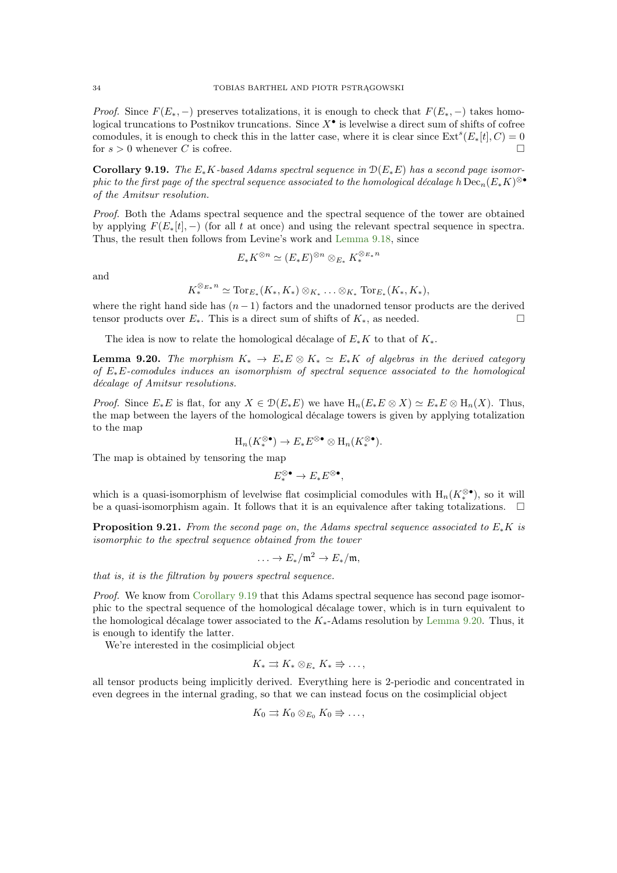*Proof.* Since  $F(E_*, -)$  preserves totalizations, it is enough to check that  $F(E_*, -)$  takes homological truncations to Postnikov truncations. Since  $X^{\bullet}$  is levelwise a direct sum of shifts of cofree comodules, it is enough to check this in the latter case, where it is clear since  $\text{Ext}^s(E_*[t], C) = 0$ for  $s > 0$  whenever C is cofree.

<span id="page-33-0"></span>Corollary 9.19. The  $E_*K$ -based Adams spectral sequence in  $\mathcal{D}(E_*E)$  has a second page isomor- $\emph{phic to the first page of the spectral sequence associated to the homological decade } h \, \mathrm{Dec}_n(E_* K)^{\otimes \bullet}$ of the Amitsur resolution.

Proof. Both the Adams spectral sequence and the spectral sequence of the tower are obtained by applying  $F(E_*[t], -)$  (for all t at once) and using the relevant spectral sequence in spectra. Thus, the result then follows from Levine's work and [Lemma 9.18,](#page-32-0) since

$$
E_*K^{\otimes n} \simeq (E_*E)^{\otimes n} \otimes_{E_*} K_*^{\otimes_{E_*} n}
$$

and

 $K^{\otimes_{E_{*}}n}_{*} \simeq \text{Tor}_{E_{*}}(K_{*}, K_{*}) \otimes_{K_{*}} \ldots \otimes_{K_{*}} \text{Tor}_{E_{*}}(K_{*}, K_{*}),$ 

where the right hand side has  $(n - 1)$  factors and the unadorned tensor products are the derived tensor products over  $E_*$ . This is a direct sum of shifts of  $K_*$ , as needed.

<span id="page-33-1"></span>The idea is now to relate the homological décalage of  $E_*K$  to that of  $K_*$ .

**Lemma 9.20.** The morphism  $K_* \to E_*E \otimes K_* \simeq E_*K$  of algebras in the derived category of E∗E-comodules induces an isomorphism of spectral sequence associated to the homological décalage of Amitsur resolutions.

*Proof.* Since  $E_*E$  is flat, for any  $X \in \mathcal{D}(E_*E)$  we have  $H_n(E_*E \otimes X) \simeq E_*E \otimes H_n(X)$ . Thus, the map between the layers of the homological décalage towers is given by applying totalization to the map

$$
\mathrm{H}_n(K_*^{\otimes \bullet}) \to E_*E^{\otimes \bullet} \otimes \mathrm{H}_n(K_*^{\otimes \bullet}).
$$

The map is obtained by tensoring the map

 $E_*^{\otimes \bullet} \to E_*E^{\otimes \bullet},$ 

which is a quasi-isomorphism of levelwise flat cosimplicial comodules with  $H_n(K_*^{\otimes \bullet})$ , so it will be a quasi-isomorphism again. It follows that it is an equivalence after taking totalizations.  $\Box$ 

<span id="page-33-2"></span>**Proposition 9.21.** From the second page on, the Adams spectral sequence associated to  $E_*K$  is isomorphic to the spectral sequence obtained from the tower

$$
\ldots \to E_*/\mathfrak{m}^2 \to E_*/\mathfrak{m},
$$

that is, it is the filtration by powers spectral sequence.

Proof. We know from [Corollary 9.19](#page-33-0) that this Adams spectral sequence has second page isomorphic to the spectral sequence of the homological décalage tower, which is in turn equivalent to the homological décalage tower associated to the  $K_*$ -Adams resolution by [Lemma 9.20.](#page-33-1) Thus, it is enough to identify the latter.

We're interested in the cosimplicial object

$$
K_* \rightrightarrows K_* \otimes_{E_*} K_* \rightrightarrows \ldots,
$$

all tensor products being implicitly derived. Everything here is 2-periodic and concentrated in even degrees in the internal grading, so that we can instead focus on the cosimplicial object

$$
K_0 \rightrightarrows K_0 \otimes_{E_0} K_0 \Rrightarrow \ldots,
$$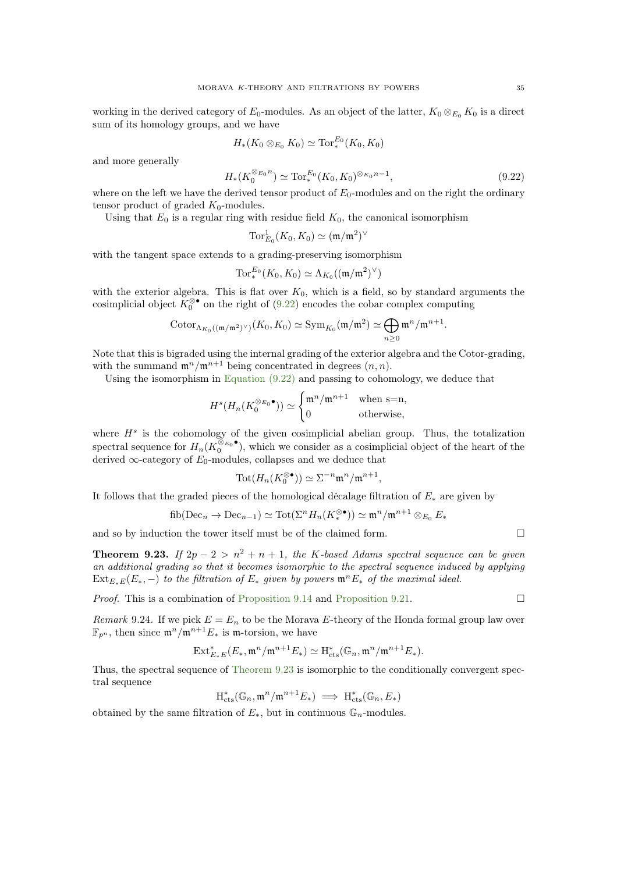working in the derived category of  $E_0$ -modules. As an object of the latter,  $K_0 \otimes_{E_0} K_0$  is a direct sum of its homology groups, and we have

$$
H_*(K_0 \otimes_{E_0} K_0) \simeq \mathrm{Tor}_*^{E_0}(K_0,K_0)
$$

and more generally

<span id="page-34-1"></span>
$$
H_*(K_0^{\otimes_{E_0} n}) \simeq \text{Tor}_*^{E_0}(K_0, K_0)^{\otimes_{K_0} n-1},\tag{9.22}
$$

.

where on the left we have the derived tensor product of  $E_0$ -modules and on the right the ordinary tensor product of graded  $K_0$ -modules.

Using that  $E_0$  is a regular ring with residue field  $K_0$ , the canonical isomorphism

$$
\text{Tor}_{E_0}^1(K_0,K_0)\simeq (\mathfrak{m}/\mathfrak{m}^2)^\vee
$$

with the tangent space extends to a grading-preserving isomorphism

$$
\operatorname{Tor}_*^{E_0}(K_0,K_0)\simeq \Lambda_{K_0}((\mathfrak{m}/\mathfrak{m}^2)^\vee)
$$

with the exterior algebra. This is flat over  $K_0$ , which is a field, so by standard arguments the cosimplicial object  $K_0^{\otimes \bullet}$  on the right of [\(9.22\)](#page-34-1) encodes the cobar complex computing

$$
\mathrm{Cotor}_{\Lambda_{K_0}((\mathfrak{m}/\mathfrak{m}^2)^\vee)}(K_0,K_0) \simeq \mathrm{Sym}_{K_0}(\mathfrak{m}/\mathfrak{m}^2) \simeq \bigoplus_{n \geq 0} \mathfrak{m}^n/\mathfrak{m}^{n+1}
$$

Note that this is bigraded using the internal grading of the exterior algebra and the Cotor-grading, with the summand  $\mathfrak{m}^n/\mathfrak{m}^{n+1}$  being concentrated in degrees  $(n, n)$ .

Using the isomorphism in Equation  $(9.22)$  and passing to cohomology, we deduce that

$$
H^s(H_n(K_0^{\otimes_{E_0}\bullet}))\simeq\begin{cases} \mathfrak{m}^n/\mathfrak{m}^{n+1} & \text{when $\operatorname{s=n}$,}\\ 0 & \text{otherwise,}\end{cases}
$$

where  $H<sup>s</sup>$  is the cohomology of the given cosimplicial abelian group. Thus, the totalization spectral sequence for  $H_n(K_0^{\otimes_{E_0}})$  $\int_{0}^{\infty} E_0^{\bullet}$ , which we consider as a cosimplicial object of the heart of the derived  $\infty$ -category of  $E_0$ -modules, collapses and we deduce that

$$
\text{Tot}(H_n(K_0^{\otimes \bullet})) \simeq \Sigma^{-n} \mathfrak{m}^n / \mathfrak{m}^{n+1},
$$

It follows that the graded pieces of the homological décalage filtration of  $E_*$  are given by

fib(Dec<sub>n</sub> 
$$
\rightarrow
$$
 Dec<sub>n-1</sub>)  $\simeq$  Tot( $\Sigma^n H_n(K_*^{\otimes \bullet})$ )  $\simeq$  m<sup>n</sup>/m<sup>n+1</sup>  $\otimes$ <sub>E<sub>0</sub></sub>  $E_*$ 

and so by induction the tower itself must be of the claimed form.  $\Box$ 

<span id="page-34-0"></span>**Theorem 9.23.** If  $2p - 2 > n^2 + n + 1$ , the K-based Adams spectral sequence can be given an additional grading so that it becomes isomorphic to the spectral sequence induced by applying  $Ext_{E_*E}(E_*,-)$  to the filtration of  $E_*$  given by powers  $\mathfrak{m}^nE_*$  of the maximal ideal.

<span id="page-34-2"></span>*Proof.* This is a combination of [Proposition 9.14](#page-31-1) and [Proposition 9.21.](#page-33-2)

Remark 9.24. If we pick  $E = E_n$  to be the Morava E-theory of the Honda formal group law over  $\mathbb{F}_{p^n}$ , then since  $\mathfrak{m}^n/\mathfrak{m}^{n+1}E_*$  is  $\mathfrak{m}$ -torsion, we have

$$
\operatorname{Ext}^*_{E_*E}(E_*, \mathfrak{m}^n/\mathfrak{m}^{n+1}E_*)\simeq \operatorname{H}^*_{\text{cts}}(\mathbb{G}_n, \mathfrak{m}^n/\mathfrak{m}^{n+1}E_*).
$$

Thus, the spectral sequence of [Theorem 9.23](#page-34-0) is isomorphic to the conditionally convergent spectral sequence

$$
\mathrm{H}_{\mathrm{cts}}^*(\mathbb{G}_n, \mathfrak{m}^n/\mathfrak{m}^{n+1}E_*) \implies \mathrm{H}_{\mathrm{cts}}^*(\mathbb{G}_n, E_*)
$$

obtained by the same filtration of  $E_*$ , but in continuous  $\mathbb{G}_n$ -modules.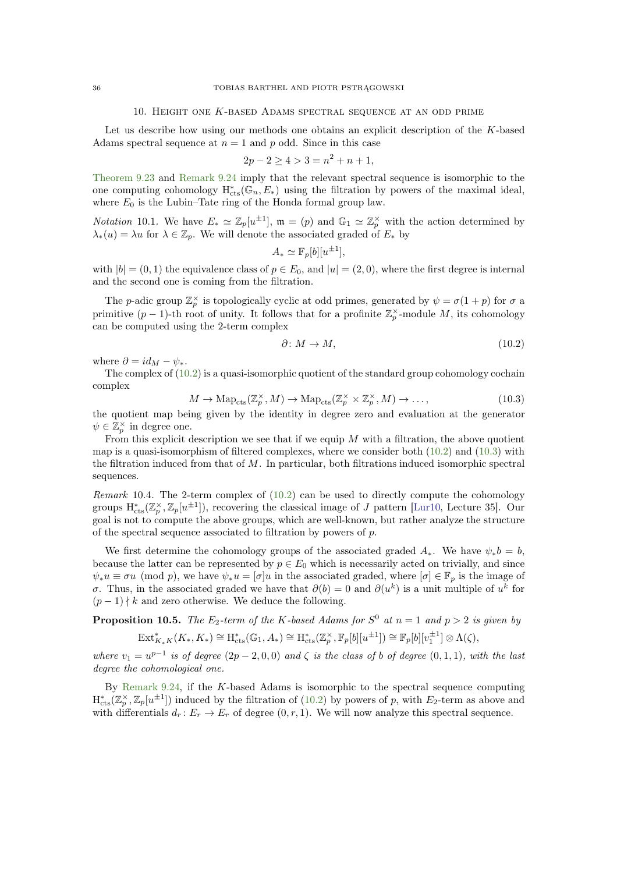## 10. Height one K-based Adams spectral sequence at an odd prime

<span id="page-35-3"></span><span id="page-35-0"></span>Let us describe how using our methods one obtains an explicit description of the K-based Adams spectral sequence at  $n = 1$  and p odd. Since in this case

$$
2p - 2 \ge 4 > 3 = n^2 + n + 1,
$$

[Theorem 9.23](#page-34-0) and [Remark 9.24](#page-34-2) imply that the relevant spectral sequence is isomorphic to the one computing cohomology  $H^*_{cts}(\mathbb{G}_n, E_*)$  using the filtration by powers of the maximal ideal, where  $E_0$  is the Lubin–Tate ring of the Honda formal group law.

*Notation* 10.1. We have  $E_* \simeq \mathbb{Z}_p[u^{\pm 1}]$ ,  $\mathfrak{m} = (p)$  and  $\mathbb{G}_1 \simeq \mathbb{Z}_p^{\times}$  with the action determined by  $\lambda_*(u) = \lambda u$  for  $\lambda \in \mathbb{Z}_p$ . We will denote the associated graded of  $E_*$  by

$$
A_* \simeq \mathbb{F}_p[b][u^{\pm 1}],
$$

with  $|b| = (0, 1)$  the equivalence class of  $p \in E_0$ , and  $|u| = (2, 0)$ , where the first degree is internal and the second one is coming from the filtration.

The *p*-adic group  $\mathbb{Z}_p^{\times}$  is topologically cyclic at odd primes, generated by  $\psi = \sigma(1+p)$  for  $\sigma$  a primitive  $(p-1)$ -th root of unity. It follows that for a profinite  $\mathbb{Z}_p^{\times}$ -module M, its cohomology can be computed using the 2-term complex

<span id="page-35-1"></span>
$$
\partial \colon M \to M,\tag{10.2}
$$

where  $\partial = id_M - \psi_*$ .

The complex of [\(10.2\)](#page-35-1) is a quasi-isomorphic quotient of the standard group cohomology cochain complex

<span id="page-35-2"></span>
$$
M \to \mathrm{Map}_{\mathrm{cts}}(\mathbb{Z}_p^{\times}, M) \to \mathrm{Map}_{\mathrm{cts}}(\mathbb{Z}_p^{\times} \times \mathbb{Z}_p^{\times}, M) \to \dots,
$$
\n(10.3)

the quotient map being given by the identity in degree zero and evaluation at the generator  $\psi \in \mathbb{Z}_p^{\times}$  in degree one.

From this explicit description we see that if we equip  $M$  with a filtration, the above quotient map is a quasi-isomorphism of filtered complexes, where we consider both  $(10.2)$  and  $(10.3)$  with the filtration induced from that of  $M$ . In particular, both filtrations induced isomorphic spectral sequences.

Remark 10.4. The 2-term complex of  $(10.2)$  can be used to directly compute the cohomology groups  $H_{\text{cts}}^{*}(\mathbb{Z}_{p}^{\times}, \mathbb{Z}_{p}[u^{\pm 1}]),$  recovering the classical image of J pattern [\[Lur10,](#page-60-22) Lecture 35]. Our goal is not to compute the above groups, which are well-known, but rather analyze the structure of the spectral sequence associated to filtration by powers of p.

We first determine the cohomology groups of the associated graded  $A_*$ . We have  $\psi_* b = b$ , because the latter can be represented by  $p \in E_0$  which is necessarily acted on trivially, and since  $\psi_*u \equiv \sigma u \pmod{p}$ , we have  $\psi_*u = [\sigma]u$  in the associated graded, where  $[\sigma] \in \mathbb{F}_p$  is the image of σ. Thus, in the associated graded we have that  $\partial(b) = 0$  and  $\partial(u^k)$  is a unit multiple of  $u^k$  for  $(p-1) \nmid k$  and zero otherwise. We deduce the following.

**Proposition 10.5.** The  $E_2$ -term of the K-based Adams for  $S^0$  at  $n = 1$  and  $p > 2$  is given by

$$
\operatorname{Ext}^*_{K_*K}(K_*, K_*)\cong \operatorname{H}^*_{\mathrm{cts}}(\mathbb{G}_1, A_*)\cong \operatorname{H}^*_{\mathrm{cts}}(\mathbb{Z}_p^{\times}, \mathbb{F}_p[b][u^{\pm 1}])\cong \mathbb{F}_p[b][v_1^{\pm 1}]\otimes \Lambda(\zeta),
$$

where  $v_1 = u^{p-1}$  is of degree  $(2p-2,0,0)$  and  $\zeta$  is the class of b of degree  $(0,1,1)$ , with the last degree the cohomological one.

By [Remark 9.24,](#page-34-2) if the K-based Adams is isomorphic to the spectral sequence computing  $H_{\text{cts}}^{*}(\mathbb{Z}_{p}^{\times}, \mathbb{Z}_{p}[u^{\pm 1}])$  induced by the filtration of [\(10.2\)](#page-35-1) by powers of p, with  $E_{2}$ -term as above and with differentials  $d_r: E_r \to E_r$  of degree  $(0, r, 1)$ . We will now analyze this spectral sequence.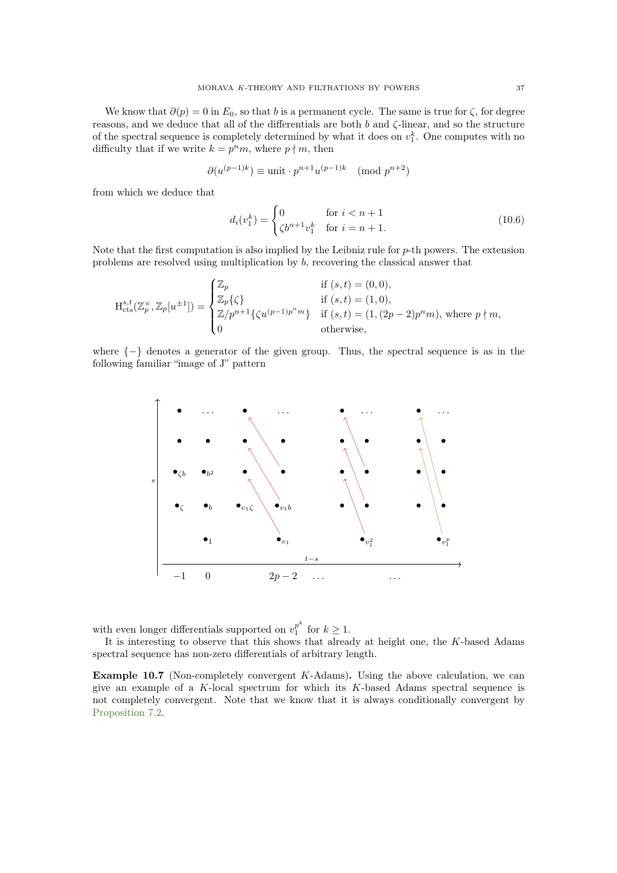We know that  $\partial(p) = 0$  in  $E_0$ , so that b is a permanent cycle. The same is true for  $\zeta$ , for degree reasons, and we deduce that all of the differentials are both  $b$  and  $\zeta$ -linear, and so the structure of the spectral sequence is completely determined by what it does on  $v_1^k$ . One computes with no difficulty that if we write  $k = p^n m$ , where  $p \nmid m$ , then

$$
\partial(u^{(p-1)k}) \equiv \text{unit} \cdot p^{n+1} u^{(p-1)k} \pmod{p^{n+2}}
$$

from which we deduce that

<span id="page-36-1"></span>
$$
d_i(v_1^k) = \begin{cases} 0 & \text{for } i < n+1\\ \zeta b^{n+1} v_1^k & \text{for } i = n+1. \end{cases}
$$
 (10.6)

Note that the first computation is also implied by the Leibniz rule for  $p$ -th powers. The extension problems are resolved using multiplication by b, recovering the classical answer that

$$
\mathbf{H}^{s,t}_{\mathrm{cts}}(\mathbb{Z}_p^\times, \mathbb{Z}_p[u^{\pm 1}]) = \begin{cases} \mathbb{Z}_p & \text{if } (s,t) = (0,0), \\ \mathbb{Z}_p\{\zeta\} & \text{if } (s,t) = (1,0), \\ \mathbb{Z}/p^{n+1}\{\zeta u^{(p-1)p^n m}\} & \text{if } (s,t) = (1,(2p-2)p^n m), \text{ where } p \nmid m, \\ 0 & \text{otherwise}, \end{cases}
$$

where  $\{-\}$  denotes a generator of the given group. Thus, the spectral sequence is as in the following familiar "image of J" pattern



with even longer differentials supported on  $v_1^{p^k}$  $\int_1^p$  for  $k \geq 1$ .

<span id="page-36-0"></span>It is interesting to observe that this shows that already at height one, the K-based Adams spectral sequence has non-zero differentials of arbitrary length.

**Example 10.7** (Non-completely convergent  $K$ -Adams). Using the above calculation, we can give an example of a  $K$ -local spectrum for which its  $K$ -based Adams spectral sequence is not completely convergent. Note that we know that it is always conditionally convergent by [Proposition 7.2.](#page-22-4)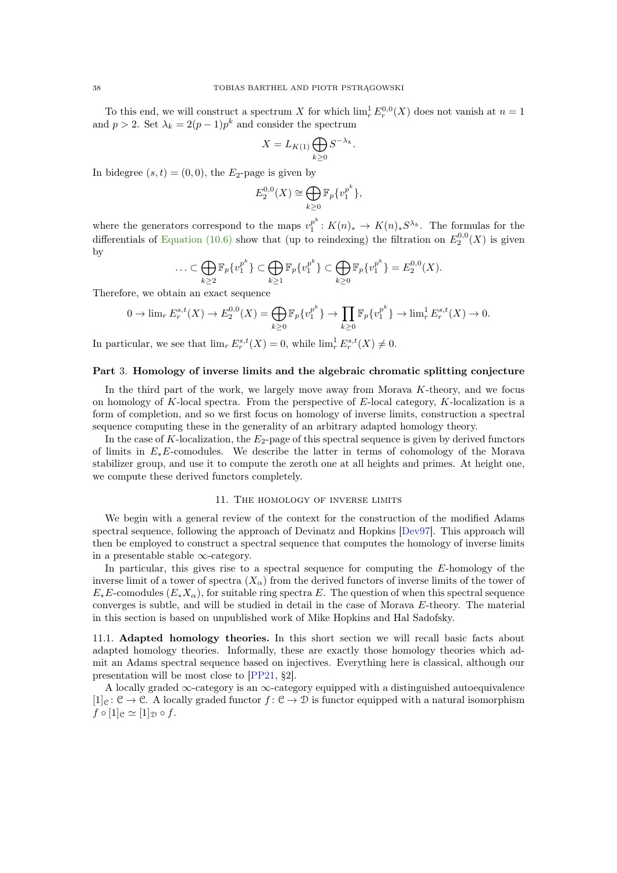<span id="page-37-3"></span>To this end, we will construct a spectrum X for which  $\lim_{r} E^{0,0}_r(X)$  does not vanish at  $n = 1$ and  $p > 2$ . Set  $\lambda_k = 2(p-1)p^k$  and consider the spectrum

$$
X = L_{K(1)} \bigoplus_{k \ge 0} S^{-\lambda_k}
$$

.

In bidegree  $(s, t) = (0, 0)$ , the  $E_2$ -page is given by

$$
E_2^{0,0}(X) \cong \bigoplus_{k \ge 0} \mathbb{F}_p\{v_1^{p^k}\},\
$$

where the generators correspond to the maps  $v_1^{p^k}$  $\frac{p^n}{1}: K(n)_* \to K(n)_* S^{\lambda_k}$ . The formulas for the differentials of [Equation \(10.6\)](#page-36-1) show that (up to reindexing) the filtration on  $E_2^{0,0}(X)$  is given by

$$
\ldots \subset \bigoplus_{k \geq 2} \mathbb{F}_p\{v_1^{p^k}\} \subset \bigoplus_{k \geq 1} \mathbb{F}_p\{v_1^{p^k}\} \subset \bigoplus_{k \geq 0} \mathbb{F}_p\{v_1^{p^k}\} = E_2^{0,0}(X).
$$

Therefore, we obtain an exact sequence

$$
0 \to \lim_{r} E_r^{s,t}(X) \to E_2^{0,0}(X) = \bigoplus_{k \ge 0} \mathbb{F}_p\{v_1^{p^k}\} \to \prod_{k \ge 0} \mathbb{F}_p\{v_1^{p^k}\} \to \lim_{r} E_r^{s,t}(X) \to 0.
$$

In particular, we see that  $\lim_{r} E_r^{s,t}(X) = 0$ , while  $\lim_{r} E_r^{s,t}(X) \neq 0$ .

## <span id="page-37-0"></span>Part 3. Homology of inverse limits and the algebraic chromatic splitting conjecture

In the third part of the work, we largely move away from Morava  $K$ -theory, and we focus on homology of K-local spectra. From the perspective of  $E$ -local category, K-localization is a form of completion, and so we first focus on homology of inverse limits, construction a spectral sequence computing these in the generality of an arbitrary adapted homology theory.

In the case of K-localization, the  $E_2$ -page of this spectral sequence is given by derived functors of limits in  $E_*E$ -comodules. We describe the latter in terms of cohomology of the Morava stabilizer group, and use it to compute the zeroth one at all heights and primes. At height one, we compute these derived functors completely.

#### 11. The homology of inverse limits

<span id="page-37-1"></span>We begin with a general review of the context for the construction of the modified Adams spectral sequence, following the approach of Devinatz and Hopkins [\[Dev97\]](#page-59-1). This approach will then be employed to construct a spectral sequence that computes the homology of inverse limits in a presentable stable ∞-category.

In particular, this gives rise to a spectral sequence for computing the E-homology of the inverse limit of a tower of spectra  $(X_{\alpha})$  from the derived functors of inverse limits of the tower of  $E_*E_*$ -comodules  $(E_*X_{\alpha})$ , for suitable ring spectra E. The question of when this spectral sequence converges is subtle, and will be studied in detail in the case of Morava E-theory. The material in this section is based on unpublished work of Mike Hopkins and Hal Sadofsky.

<span id="page-37-2"></span>11.1. Adapted homology theories. In this short section we will recall basic facts about adapted homology theories. Informally, these are exactly those homology theories which admit an Adams spectral sequence based on injectives. Everything here is classical, although our presentation will be most close to [\[PP21,](#page-60-18) §2].

A locally graded  $\infty$ -category is an  $\infty$ -category equipped with a distinguished autoequivalence  $[1]_C : \mathcal{C} \to \mathcal{C}$ . A locally graded functor  $f : \mathcal{C} \to \mathcal{D}$  is functor equipped with a natural isomorphism  $f \circ [1]_e \simeq [1]_{\mathcal{D}} \circ f.$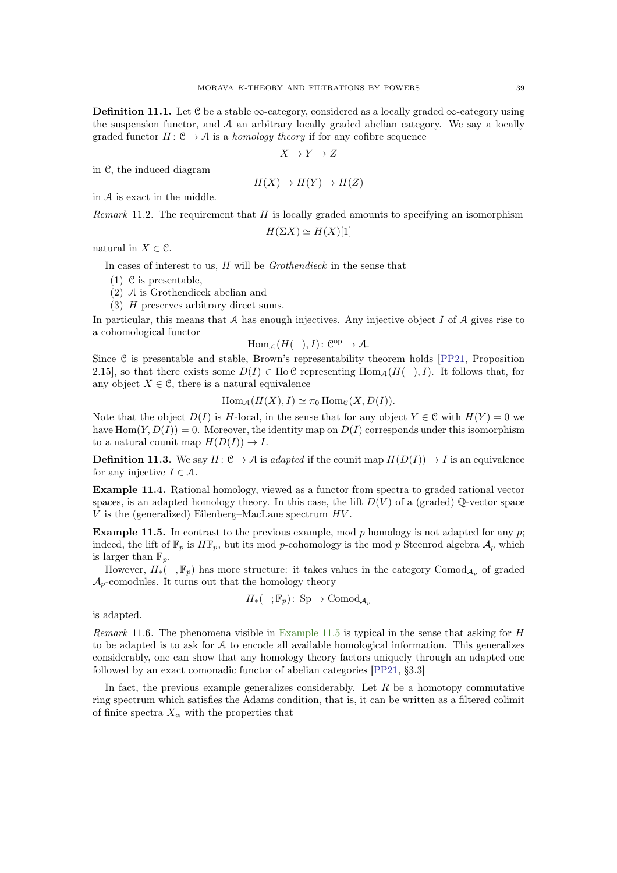<span id="page-38-1"></span>**Definition 11.1.** Let C be a stable  $\infty$ -category, considered as a locally graded  $\infty$ -category using the suspension functor, and A an arbitrary locally graded abelian category. We say a locally graded functor  $H: \mathcal{C} \to \mathcal{A}$  is a *homology theory* if for any cofibre sequence

$$
X \to Y \to Z
$$

in C, the induced diagram

$$
H(X) \to H(Y) \to H(Z)
$$

in A is exact in the middle.

Remark 11.2. The requirement that  $H$  is locally graded amounts to specifying an isomorphism

$$
H(\Sigma X) \simeq H(X)[1]
$$

natural in  $X \in \mathcal{C}$ .

In cases of interest to us,  $H$  will be  $Grothendieck$  in the sense that

- (1) C is presentable,
- (2) A is Grothendieck abelian and
- (3) H preserves arbitrary direct sums.

In particular, this means that  $A$  has enough injectives. Any injective object  $I$  of  $A$  gives rise to a cohomological functor

$$
\operatorname{Hom}_{\mathcal{A}}(H(-),I)\colon \mathcal{C}^{\mathrm{op}} \to \mathcal{A}.
$$

Since C is presentable and stable, Brown's representability theorem holds [\[PP21,](#page-60-18) Proposition 2.15], so that there exists some  $D(I) \in Ho\mathcal{C}$  representing  $Hom_A(H(-), I)$ . It follows that, for any object  $X \in \mathcal{C}$ , there is a natural equivalence

$$
\operatorname{Hom}_{\mathcal{A}}(H(X), I) \simeq \pi_0 \operatorname{Hom}_{\mathcal{C}}(X, D(I)).
$$

Note that the object  $D(I)$  is H-local, in the sense that for any object  $Y \in \mathcal{C}$  with  $H(Y) = 0$  we have  $\text{Hom}(Y, D(I)) = 0$ . Moreover, the identity map on  $D(I)$  corresponds under this isomorphism to a natural counit map  $H(D(I)) \to I$ .

**Definition 11.3.** We say  $H: \mathcal{C} \to \mathcal{A}$  is adapted if the counit map  $H(D(I)) \to I$  is an equivalence for any injective  $I \in \mathcal{A}$ .

Example 11.4. Rational homology, viewed as a functor from spectra to graded rational vector spaces, is an adapted homology theory. In this case, the lift  $D(V)$  of a (graded) Q-vector space  $V$  is the (generalized) Eilenberg–MacLane spectrum  $HV$ .

<span id="page-38-0"></span>**Example 11.5.** In contrast to the previous example, mod p homology is not adapted for any p; indeed, the lift of  $\mathbb{F}_p$  is  $H\mathbb{F}_p$ , but its mod p-cohomology is the mod p Steenrod algebra  $\mathcal{A}_p$  which is larger than  $\mathbb{F}_p$ .

However,  $H_*(-,\mathbb{F}_p)$  has more structure: it takes values in the category Comod<sub>Ap</sub> of graded  $\mathcal{A}_p$ -comodules. It turns out that the homology theory

$$
H_*(-;\mathbb{F}_p): \text{Sp} \to \text{Comod}_{\mathcal{A}_p}
$$

is adapted.

Remark 11.6. The phenomena visible in [Example 11.5](#page-38-0) is typical in the sense that asking for  $H$ to be adapted is to ask for A to encode all available homological information. This generalizes considerably, one can show that any homology theory factors uniquely through an adapted one followed by an exact comonadic functor of abelian categories [\[PP21,](#page-60-18) §3.3]

In fact, the previous example generalizes considerably. Let  $R$  be a homotopy commutative ring spectrum which satisfies the Adams condition, that is, it can be written as a filtered colimit of finite spectra  $X_{\alpha}$  with the properties that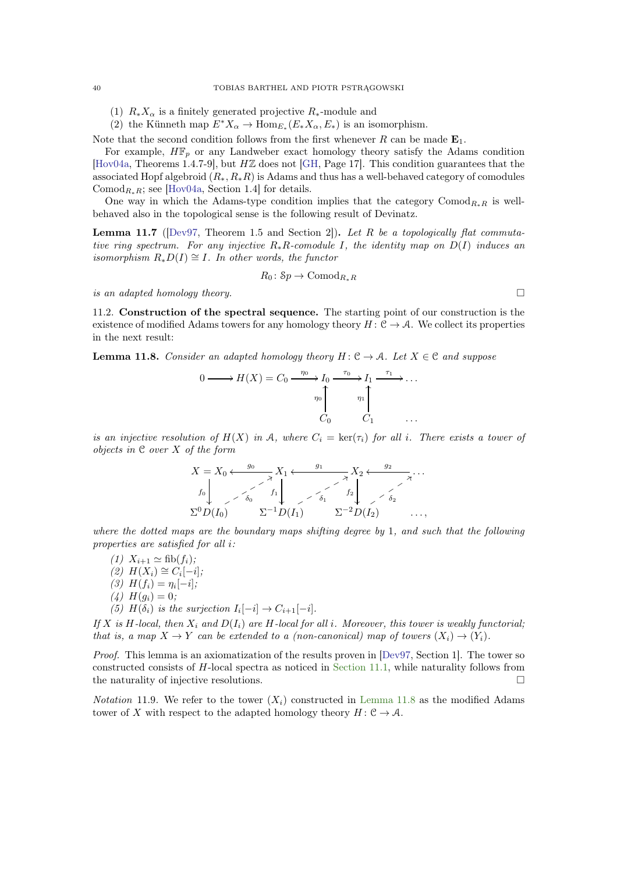(1)  $R_*X_\alpha$  is a finitely generated projective  $R_*$ -module and

(2) the Künneth map  $E^*X_\alpha \to \text{Hom}_{E_*}(E_*X_\alpha, E_*)$  is an isomorphism.

Note that the second condition follows from the first whenever R can be made  $\mathbf{E}_1$ .

For example,  $H\mathbb{F}_p$  or any Landweber exact homology theory satisfy the Adams condition [\[Hov04a,](#page-59-17) Theorems 1.4.7-9], but HZ does not [\[GH,](#page-59-18) Page 17]. This condition guarantees that the associated Hopf algebroid  $(R_*, R_*R)$  is Adams and thus has a well-behaved category of comodules Comod<sub>R∗</sub>R; see [\[Hov04a,](#page-59-17) Section 1.4] for details.

<span id="page-39-1"></span>One way in which the Adams-type condition implies that the category Comod<sub>R∗</sub>R is wellbehaved also in the topological sense is the following result of Devinatz.

**Lemma 11.7** ([\[Dev97,](#page-59-1) Theorem 1.5 and Section 2]). Let R be a topologically flat commutative ring spectrum. For any injective  $R_*R$ -comodule I, the identity map on  $D(I)$  induces an isomorphism  $R_*D(I) \cong I$ . In other words, the functor

$$
R_0 \colon \mathcal{S}p \to \text{Comod}_{R_*R}
$$

<span id="page-39-2"></span>is an adapted homology theory.

11.2. Construction of the spectral sequence. The starting point of our construction is the existence of modified Adams towers for any homology theory  $H: \mathcal{C} \to \mathcal{A}$ . We collect its properties in the next result:

<span id="page-39-0"></span>**Lemma 11.8.** Consider an adapted homology theory  $H: \mathcal{C} \to \mathcal{A}$ . Let  $X \in \mathcal{C}$  and suppose

$$
0 \longrightarrow H(X) = C_0 \xrightarrow{\eta_0} I_0 \xrightarrow{\tau_0} I_1 \xrightarrow{\tau_1} \dots
$$

$$
\eta_0 \uparrow \qquad \eta_1 \uparrow \qquad \dots
$$

$$
C_0 \qquad C_1 \qquad \dots
$$

is an injective resolution of  $H(X)$  in A, where  $C_i = \text{ker}(\tau_i)$  for all i. There exists a tower of objects in C over X of the form

$$
X = X_0 \xleftarrow{g_0} X_1 \xleftarrow{g_1} X_2 \xleftarrow{g_2} \cdots
$$

$$
f_0 \downarrow \qquad f_1 \downarrow \qquad f_2 \downarrow \qquad f_3 \downarrow \cdots
$$

$$
\Sigma^0 D(I_0) \qquad \Sigma^{-1} D(I_1) \qquad \Sigma^{-2} D(I_2) \qquad \cdots,
$$

where the dotted maps are the boundary maps shifting degree by 1, and such that the following properties are satisfied for all i:

(1)  $X_{i+1} \simeq \text{fib}(f_i);$  $(2)$   $H(X_i) \cong C_i[-i];$ (3)  $H(f_i) = \eta_i[-i];$  $(4) H(q_i) = 0;$ (5)  $H(\delta_i)$  is the surjection  $I_i[-i] \rightarrow C_{i+1}[-i]$ .

If X is H-local, then  $X_i$  and  $D(I_i)$  are H-local for all i. Moreover, this tower is weakly functorial; that is, a map  $X \to Y$  can be extended to a (non-canonical) map of towers  $(X_i) \to (Y_i)$ .

Proof. This lemma is an axiomatization of the results proven in [\[Dev97,](#page-59-1) Section 1]. The tower so constructed consists of H-local spectra as noticed in [Section 11.1,](#page-37-2) while naturality follows from the naturality of injective resolutions.

*Notation* 11.9. We refer to the tower  $(X_i)$  constructed in [Lemma 11.8](#page-39-0) as the modified Adams tower of X with respect to the adapted homology theory  $H: \mathcal{C} \to \mathcal{A}$ .

<span id="page-39-3"></span>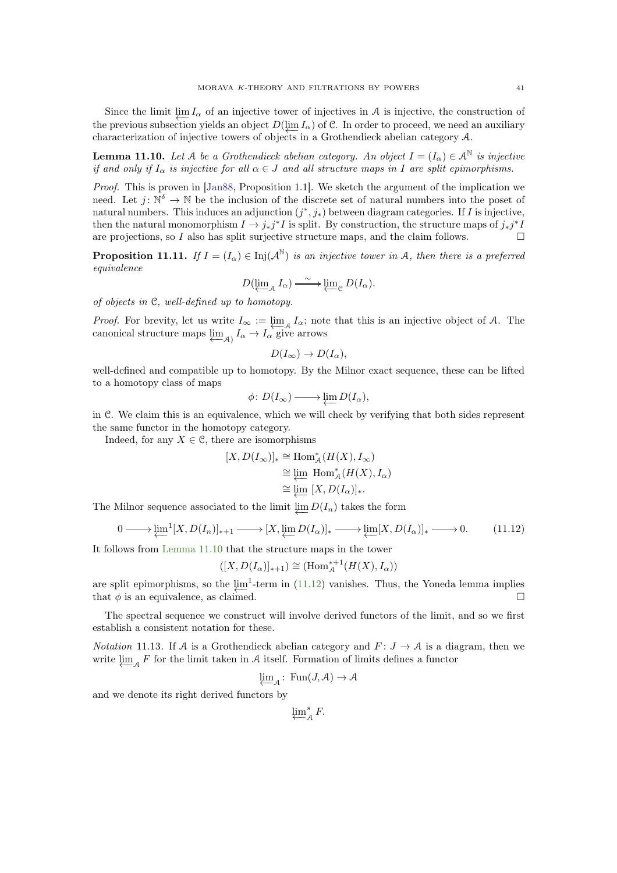<span id="page-40-3"></span>Since the limit  $\varprojlim I_{\alpha}$  of an injective tower of injectives in A is injective, the construction of the previous subsection yields an object  $D(\lim_{\alpha} I_{\alpha})$  of C. In order to proceed, we need an auxiliary characterization of injective towers of objects in a Grothendieck abelian category A.

<span id="page-40-0"></span>**Lemma 11.10.** Let A be a Grothendieck abelian category. An object  $I = (I_{\alpha}) \in \mathcal{A}^{\mathbb{N}}$  is injective if and only if  $I_{\alpha}$  is injective for all  $\alpha \in J$  and all structure maps in I are split epimorphisms.

Proof. This is proven in [\[Jan88,](#page-60-23) Proposition 1.1]. We sketch the argument of the implication we need. Let  $j: \mathbb{N}^{\delta} \to \mathbb{N}$  be the inclusion of the discrete set of natural numbers into the poset of natural numbers. This induces an adjunction  $(j^*, j_*)$  between diagram categories. If I is injective, then the natural monomorphism  $I \to j_*j^*I$  is split. By construction, the structure maps of  $j_*j^*I$ are projections, so I also has split surjective structure maps, and the claim follows.  $\Box$ 

<span id="page-40-2"></span>**Proposition 11.11.** If  $I = (I_\alpha) \in \text{Inj}(\mathcal{A}^{\mathbb{N}})$  is an injective tower in A, then there is a preferred equivalence

$$
D(\underleftarrow{\lim}_{\mathcal{A}} I_{\alpha}) \xrightarrow{\sim} \underleftarrow{\lim}_{\mathcal{C}} D(I_{\alpha}).
$$

of objects in C, well-defined up to homotopy.

*Proof.* For brevity, let us write  $I_{\infty} := \varprojlim_{\mathcal{A}} I_{\alpha}$ ; note that this is an injective object of A. The canonical structure maps  $\varprojlim_{\mathcal{A}} I_{\alpha} \to I_{\alpha}$  give arrows

$$
D(I_{\infty}) \to D(I_{\alpha}),
$$

well-defined and compatible up to homotopy. By the Milnor exact sequence, these can be lifted to a homotopy class of maps

$$
\phi\colon D(I_\infty)\longrightarrow \varprojlim D(I_\alpha),
$$

in C. We claim this is an equivalence, which we will check by verifying that both sides represent the same functor in the homotopy category.

Indeed, for any  $X \in \mathcal{C}$ , there are isomorphisms

$$
[X, D(I_{\infty})]_{*} \cong \text{Hom}_{\mathcal{A}}^{*}(H(X), I_{\infty})
$$
  

$$
\cong \varprojlim_{\alpha} \text{Hom}_{\mathcal{A}}^{*}(H(X), I_{\alpha})
$$
  

$$
\cong \varprojlim_{\alpha} [X, D(I_{\alpha})]_{*}.
$$

The Milnor sequence associated to the limit  $\varprojlim D(I_n)$  takes the form

<span id="page-40-1"></span>
$$
0 \longrightarrow \underleftarrow{\lim}^{1}[X, D(I_n)]_{*+1} \longrightarrow [X, \underleftarrow{\lim} D(I_\alpha)]_* \longrightarrow \underleftarrow{\lim} [X, D(I_\alpha)]_* \longrightarrow 0. \tag{11.12}
$$

It follows from [Lemma 11.10](#page-40-0) that the structure maps in the tower

$$
([X, D(I_\alpha)]_{*+1}) \cong (\text{Hom}_{\mathcal{A}}^{*+1}(H(X), I_\alpha))
$$

are split epimorphisms, so the  $\lim_{n \to \infty} 1$ -term in [\(11.12\)](#page-40-1) vanishes. Thus, the Yoneda lemma implies that  $\phi$  is an equivalence, as claimed.

The spectral sequence we construct will involve derived functors of the limit, and so we first establish a consistent notation for these.

*Notation* 11.13. If A is a Grothendieck abelian category and  $F: J \to A$  is a diagram, then we write  $\varprojlim_{\mathcal{A}} F$  for the limit taken in  $\mathcal A$  itself. Formation of limits defines a functor

$$
\varprojlim_{\mathcal{A}} \colon \operatorname{Fun}(J_{\!\! \circ\,} \mathcal{A}) \to \mathcal{A}
$$

and we denote its right derived functors by

 $\varprojlim_{\mathcal{A}}^{s} F.$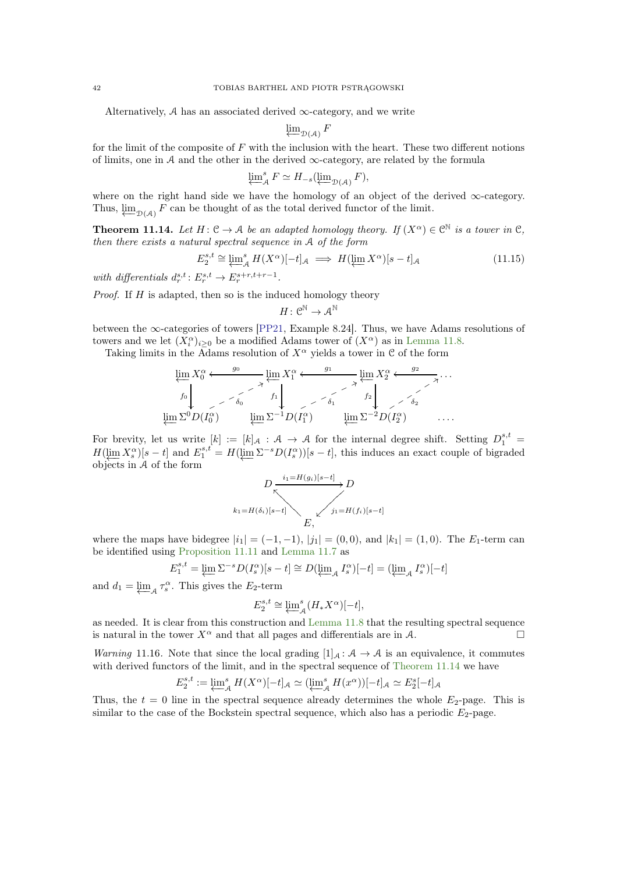<span id="page-41-2"></span>Alternatively,  $A$  has an associated derived  $\infty$ -category, and we write

$$
\varprojlim_{\mathcal{D}(\mathcal{A})} F
$$

for the limit of the composite of  $F$  with the inclusion with the heart. These two different notions of limits, one in A and the other in the derived  $\infty$ -category, are related by the formula

$$
\varprojlim_{A}^{s} F \simeq H_{-s}(\varprojlim_{\mathcal{D}(\mathcal{A})} F),
$$

where on the right hand side we have the homology of an object of the derived ∞-category. Thus,  $\varprojlim_{\mathcal{D}(\mathcal{A})} F$  can be thought of as the total derived functor of the limit.

<span id="page-41-0"></span>**Theorem 11.14.** Let  $H: \mathcal{C} \to \mathcal{A}$  be an adapted homology theory. If  $(X^{\alpha}) \in \mathcal{C}^{\mathbb{N}}$  is a tower in  $\mathcal{C}$ , then there exists a natural spectral sequence in A of the form

<span id="page-41-1"></span>
$$
E_2^{s,t} \cong \varprojlim_{\mathcal{A}}^s H(X^{\alpha})[-t]_{\mathcal{A}} \implies H(\varprojlim X^{\alpha})[s-t]_{\mathcal{A}} \tag{11.15}
$$

with differentials  $d_r^{s,t}: E_r^{s,t} \to E_r^{s+r,t+r-1}$ .

*Proof.* If  $H$  is adapted, then so is the induced homology theory

$$
H\colon\mathcal{C}^\mathbb{N}\to\mathcal{A}^\mathbb{N}
$$

between the ∞-categories of towers [\[PP21,](#page-60-18) Example 8.24]. Thus, we have Adams resolutions of towers and we let  $(X_i^{\alpha})_{i\geq 0}$  be a modified Adams tower of  $(X^{\alpha})$  as in [Lemma 11.8.](#page-39-0)

Taking limits in the Adams resolution of  $X^{\alpha}$  yields a tower in C of the form

$$
\varprojlim_{f_0} X_0^{\alpha} \xleftarrow{g_0} \varprojlim_{\delta_0} X_1^{\alpha} \xleftarrow{g_1} \varprojlim_{f_1} X_2^{\alpha} \xleftarrow{g_2} \ldots
$$
\n
$$
\varprojlim_{\delta_0} X_0^{\alpha} \xleftarrow{g_1} \varprojlim_{f_2} X_2^{\alpha} \xleftarrow{g_2} \ldots
$$
\n
$$
\varprojlim_{\delta_0} \sum_{i=1}^{n} D(I_1^{\alpha}) \qquad \varprojlim_{\delta_1} \sum_{i=2}^{n} D(I_2^{\alpha}) \qquad \ldots
$$

For brevity, let us write  $[k] := [k]_{\mathcal{A}} : \mathcal{A} \to \mathcal{A}$  for the internal degree shift. Setting  $D_1^{s,t} =$  $H(\lim_{s \to s} X_s^{\alpha})[s-t]$  and  $E_1^{s,t} = H(\lim_{s \to s} \Sigma^{-s}D(I_s^{\alpha}))[s-t]$ , this induces an exact couple of bigraded objects in A of the form

$$
D \xrightarrow[\kappa_1=H(g_i)[s-t]]{D}
$$
\n
$$
k_1=H(\delta_i)[s-t]
$$
\n
$$
E,
$$
\n
$$
E,
$$

where the maps have bidegree  $|i_1| = (-1, -1)$ ,  $|j_1| = (0, 0)$ , and  $|k_1| = (1, 0)$ . The  $E_1$ -term can be identified using [Proposition 11.11](#page-40-2) and [Lemma 11.7](#page-39-1) as

$$
E_1^{s,t} = \varprojlim \Sigma^{-s} D(I_s^{\alpha})[s-t] \cong D(\varprojlim_{\mathcal{A}} I_s^{\alpha})[-t] = (\varprojlim_{\mathcal{A}} I_s^{\alpha})[-t]
$$

and  $d_1 = \varprojlim_{\mathcal{A}} \tau_s^{\alpha}$ . This gives the  $E_2$ -term

$$
E_2^{s,t} \cong \underleftarrow{\lim}^s_{\mathcal{A}}(H_*X^{\alpha})[-t],
$$

as needed. It is clear from this construction and [Lemma 11.8](#page-39-0) that the resulting spectral sequence is natural in the tower  $X^{\alpha}$  and that all pages and differentials are in A.

Warning 11.16. Note that since the local grading  $[1]_A : A \rightarrow A$  is an equivalence, it commutes with derived functors of the limit, and in the spectral sequence of [Theorem 11.14](#page-41-0) we have

$$
E_2^{s,t}:=\varprojlim_{\mathcal{A}}^s H(X^{\alpha})[-t]_{\mathcal{A}}\simeq (\varprojlim_{\mathcal{A}}^s H(x^{\alpha}))[-t]_{\mathcal{A}}\simeq E_2^s[-t]_{\mathcal{A}}
$$

Thus, the  $t = 0$  line in the spectral sequence already determines the whole  $E_2$ -page. This is similar to the case of the Bockstein spectral sequence, which also has a periodic  $E_2$ -page.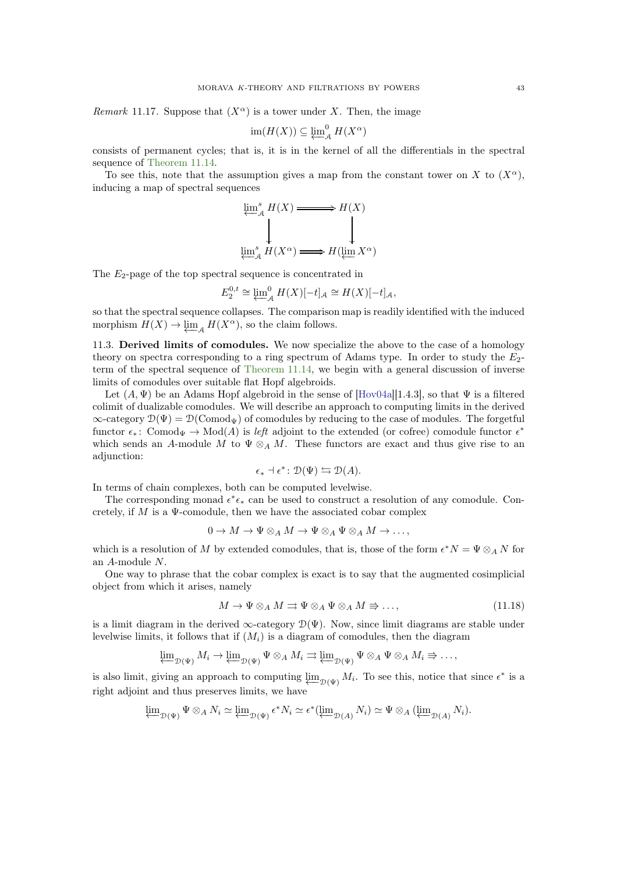<span id="page-42-1"></span>*Remark* 11.17. Suppose that  $(X^{\alpha})$  is a tower under X. Then, the image

$$
\operatorname{im}(H(X)) \subseteq \varprojlim^0_{\mathcal{A}} H(X^{\alpha})
$$

consists of permanent cycles; that is, it is in the kernel of all the differentials in the spectral sequence of [Theorem 11.14.](#page-41-0)

To see this, note that the assumption gives a map from the constant tower on X to  $(X^{\alpha})$ , inducing a map of spectral sequences

$$
\underleftarrow{\lim_{\stackrel{s}{\longleftarrow}}}\n\downarrow^{H(X)} \xrightarrow{\longrightarrow} H(X)
$$
\n
$$
\underleftarrow{\downarrow}_{\underleftarrow{\lim_{\stackrel{s}{\longleftarrow}}}\n\downarrow^{H(X^{\alpha})} \xrightarrow{\longrightarrow} H(\underleftarrow{\lim}_{X^{\alpha}}X^{\alpha})}
$$

The  $E_2$ -page of the top spectral sequence is concentrated in

$$
E_2^{0,t} \cong \varprojlim_{\mathcal{A}}^0 H(X)[-t]_{\mathcal{A}} \cong H(X)[-t]_{\mathcal{A}},
$$

so that the spectral sequence collapses. The comparison map is readily identified with the induced morphism  $H(X) \to \varprojlim_{\mathcal{A}} H(X^{\alpha})$ , so the claim follows.

11.3. Derived limits of comodules. We now specialize the above to the case of a homology theory on spectra corresponding to a ring spectrum of Adams type. In order to study the  $E_2$ term of the spectral sequence of [Theorem 11.14,](#page-41-0) we begin with a general discussion of inverse limits of comodules over suitable flat Hopf algebroids.

Let  $(A, \Psi)$  be an Adams Hopf algebroid in the sense of [\[Hov04a\]](#page-59-17)[1.4.3], so that  $\Psi$  is a filtered colimit of dualizable comodules. We will describe an approach to computing limits in the derived  $\infty$ -category  $\mathcal{D}(\Psi) = \mathcal{D}(\text{Comod}_{\Psi})$  of comodules by reducing to the case of modules. The forgetful functor  $\epsilon_*$ : Comod<sub>¥</sub>  $\to$  Mod(A) is *left* adjoint to the extended (or cofree) comodule functor  $\epsilon^*$ which sends an A-module M to  $\Psi \otimes_A M$ . These functors are exact and thus give rise to an adjunction:

$$
\epsilon_* \dashv \epsilon^* \colon \mathcal{D}(\Psi) \leftrightarrows \mathcal{D}(A).
$$

In terms of chain complexes, both can be computed levelwise.

The corresponding monad  $\epsilon^* \epsilon_*$  can be used to construct a resolution of any comodule. Concretely, if  $M$  is a  $\Psi$ -comodule, then we have the associated cobar complex

$$
0 \to M \to \Psi \otimes_A M \to \Psi \otimes_A \Psi \otimes_A M \to \dots,
$$

which is a resolution of M by extended comodules, that is, those of the form  $\epsilon^* N = \Psi \otimes_A N$  for an A-module N.

One way to phrase that the cobar complex is exact is to say that the augmented cosimplicial object from which it arises, namely

<span id="page-42-0"></span>
$$
M \to \Psi \otimes_A M \rightrightarrows \Psi \otimes_A \Psi \otimes_A M \Rrightarrow \dots,\tag{11.18}
$$

is a limit diagram in the derived  $\infty$ -category  $\mathcal{D}(\Psi)$ . Now, since limit diagrams are stable under levelwise limits, it follows that if  $(M<sub>i</sub>)$  is a diagram of comodules, then the diagram

$$
\varprojlim_{\mathcal{D}(\Psi)} M_i \to \varprojlim_{\mathcal{D}(\Psi)} \Psi \otimes_A M_i \rightrightarrows \varprojlim_{\mathcal{D}(\Psi)} \Psi \otimes_A \Psi \otimes_A M_i \Rightarrow \dots,
$$

is also limit, giving an approach to computing  $\varprojlim_{\mathcal{D}(\Psi)} M_i$ . To see this, notice that since  $\epsilon^*$  is a right adjoint and thus preserves limits, we have

$$
\underline{\lim}_{\mathcal{D}(\Psi)} \Psi \otimes_A N_i \simeq \underline{\lim}_{\mathcal{D}(\Psi)} \epsilon^* N_i \simeq \epsilon^* (\underline{\lim}_{\mathcal{D}(A)} N_i) \simeq \Psi \otimes_A (\underline{\lim}_{\mathcal{D}(A)} N_i).
$$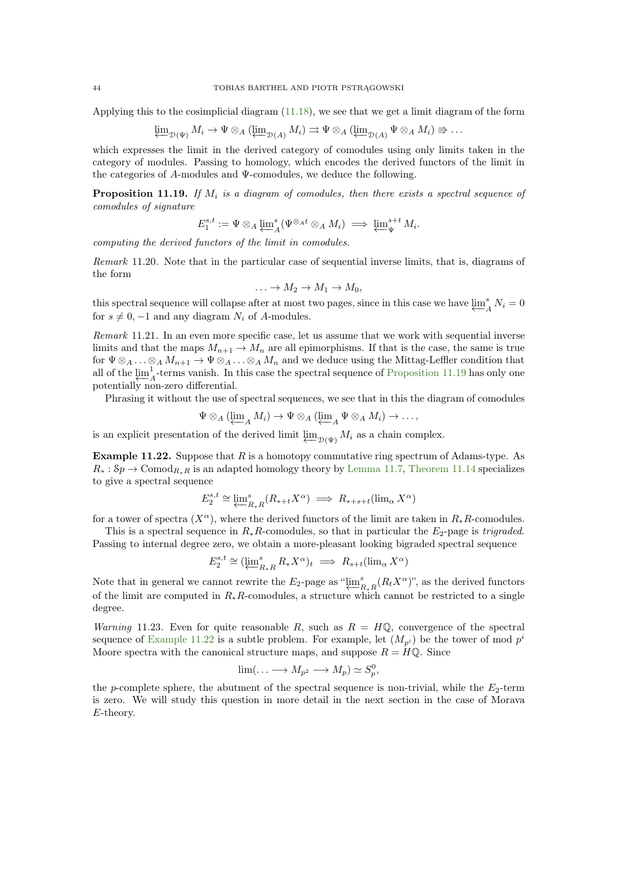Applying this to the cosimplicial diagram [\(11.18\)](#page-42-0), we see that we get a limit diagram of the form

$$
\underline{\lim}_{\mathcal{D}(\Psi)} M_i \to \Psi \otimes_A (\underline{\lim}_{\mathcal{D}(A)} M_i) \rightrightarrows \Psi \otimes_A (\underline{\lim}_{\mathcal{D}(A)} \Psi \otimes_A M_i) \Rightarrow \dots
$$

which expresses the limit in the derived category of comodules using only limits taken in the category of modules. Passing to homology, which encodes the derived functors of the limit in the categories of  $A$ -modules and  $\Psi$ -comodules, we deduce the following.

<span id="page-43-0"></span>**Proposition 11.19.** If  $M_i$  is a diagram of comodules, then there exists a spectral sequence of comodules of signature

$$
E_1^{s,t} := \Psi \otimes_A \varprojlim_A^s (\Psi^{\otimes_A t} \otimes_A M_i) \implies \varprojlim_{\Psi}^{s+t} M_i.
$$

computing the derived functors of the limit in comodules.

Remark 11.20. Note that in the particular case of sequential inverse limits, that is, diagrams of the form

$$
\ldots \to M_2 \to M_1 \to M_0,
$$

this spectral sequence will collapse after at most two pages, since in this case we have  $\varprojlim_{\ell}^s$  $\int_A^s N_i = 0$ for  $s \neq 0, -1$  and any diagram  $N_i$  of A-modules.

Remark 11.21. In an even more specific case, let us assume that we work with sequential inverse limits and that the maps  $M_{n+1} \to M_n$  are all epimorphisms. If that is the case, the same is true for  $\Psi \otimes_A \ldots \otimes_A M_{n+1} \to \Psi \otimes_A \ldots \otimes_A M_n$  and we deduce using the Mittag-Leffler condition that all of the  $\lim_{\epsilon \to 0} \frac{1}{\epsilon}$  $A<sup>1</sup>$ -terms vanish. In this case the spectral sequence of [Proposition 11.19](#page-43-0) has only one potentially non-zero differential.

Phrasing it without the use of spectral sequences, we see that in this the diagram of comodules

$$
\Psi \otimes_A (\varprojlim_A M_i) \to \Psi \otimes_A (\varprojlim_A \Psi \otimes_A M_i) \to \dots,
$$

is an explicit presentation of the derived limit  $\varprojlim_{\mathcal{D}(\Psi)} M_i$  as a chain complex.

<span id="page-43-1"></span>Example 11.22. Suppose that R is a homotopy commutative ring spectrum of Adams-type. As  $R_* : Sp \to \text{Comod}_{R_*R}$  is an adapted homology theory by [Lemma 11.7,](#page-39-1) [Theorem 11.14](#page-41-0) specializes to give a spectral sequence

$$
E_2^{s,t} \cong \underleftarrow{\lim}_{R_*R} (R_{*+t} X^{\alpha}) \implies R_{*+s+t}(\lim_{\alpha} X^{\alpha})
$$

for a tower of spectra  $(X^{\alpha})$ , where the derived functors of the limit are taken in  $R_*R$ -comodules.

This is a spectral sequence in  $R_*R$ -comodules, so that in particular the  $E_2$ -page is trigraded. Passing to internal degree zero, we obtain a more-pleasant looking bigraded spectral sequence

$$
E_2^{s,t} \cong (\varprojlim_{R_*R}^s R_* X^{\alpha})_t \implies R_{s+t}(\varinjlim_{\alpha} X^{\alpha})
$$

Note that in general we cannot rewrite the  $E_2$ -page as " $\overleftarrow{L_1}$ "  $R_{*R}^{s}(R_t X^{\alpha})$ ", as the derived functors of the limit are computed in  $R_*R$ -comodules, a structure which cannot be restricted to a single degree.

Warning 11.23. Even for quite reasonable R, such as  $R = H\mathbb{Q}$ , convergence of the spectral sequence of [Example 11.22](#page-43-1) is a subtle problem. For example, let  $(M_{p^{i}})$  be the tower of mod  $p^{i}$ Moore spectra with the canonical structure maps, and suppose  $R = H\mathbb{Q}$ . Since

$$
\lim(\ldots \longrightarrow M_{p^2} \longrightarrow M_p) \simeq S_p^0,
$$

the p-complete sphere, the abutment of the spectral sequence is non-trivial, while the  $E_2$ -term is zero. We will study this question in more detail in the next section in the case of Morava E-theory.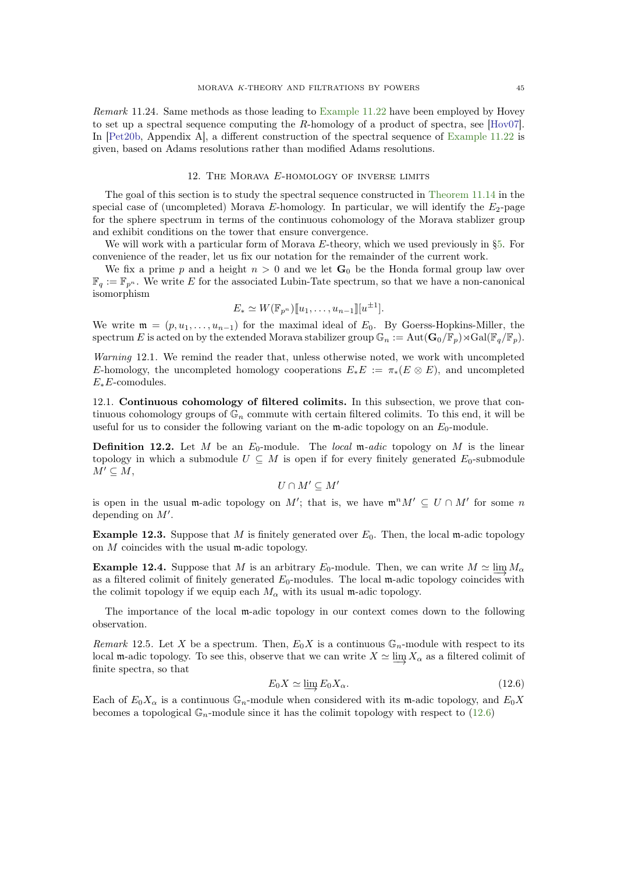<span id="page-44-2"></span>Remark 11.24. Same methods as those leading to [Example 11.22](#page-43-1) have been employed by Hovey to set up a spectral sequence computing the R-homology of a product of spectra, see [\[Hov07\]](#page-59-2). In [\[Pet20b,](#page-60-24) Appendix A], a different construction of the spectral sequence of [Example 11.22](#page-43-1) is given, based on Adams resolutions rather than modified Adams resolutions.

# 12. The Morava E-homology of inverse limits

<span id="page-44-0"></span>The goal of this section is to study the spectral sequence constructed in [Theorem 11.14](#page-41-0) in the special case of (uncompleted) Morava E-homology. In particular, we will identify the  $E_2$ -page for the sphere spectrum in terms of the continuous cohomology of the Morava stablizer group and exhibit conditions on the tower that ensure convergence.

We will work with a particular form of Morava E-theory, which we used previously in [§5.](#page-14-0) For convenience of the reader, let us fix our notation for the remainder of the current work.

We fix a prime p and a height  $n > 0$  and we let  $\mathbf{G}_0$  be the Honda formal group law over  $\mathbb{F}_q := \mathbb{F}_{p^n}$ . We write E for the associated Lubin-Tate spectrum, so that we have a non-canonical isomorphism

$$
E_* \simeq W(\mathbb{F}_{p^n})[u_1, \ldots, u_{n-1}][u^{\pm 1}].
$$

We write  $\mathfrak{m} = (p, u_1, \ldots, u_{n-1})$  for the maximal ideal of  $E_0$ . By Goerss-Hopkins-Miller, the spectrum E is acted on by the extended Morava stabilizer group  $\mathbb{G}_n := \text{Aut}(\mathbf{G}_0/\mathbb{F}_p) \rtimes \text{Gal}(\mathbb{F}_q/\mathbb{F}_p)$ .

Warning 12.1. We remind the reader that, unless otherwise noted, we work with uncompleted E-homology, the uncompleted homology cooperations  $E_*E := \pi_*(E \otimes E)$ , and uncompleted  $E_*E$ -comodules.

12.1. Continuous cohomology of filtered colimits. In this subsection, we prove that continuous cohomology groups of  $\mathbb{G}_n$  commute with certain filtered colimits. To this end, it will be useful for us to consider the following variant on the m-adic topology on an  $E_0$ -module.

**Definition 12.2.** Let M be an  $E_0$ -module. The local m-adic topology on M is the linear topology in which a submodule  $U \subseteq M$  is open if for every finitely generated  $E_0$ -submodule  $M' \subseteq M$ ,

$$
U\cap M'\subseteq M'
$$

is open in the usual m-adic topology on M'; that is, we have  $\mathfrak{m}^nM' \subseteq U \cap M'$  for some n depending on  $M'$ .

**Example 12.3.** Suppose that M is finitely generated over  $E_0$ . Then, the local m-adic topology on M coincides with the usual m-adic topology.

Example 12.4. Suppose that M is an arbitrary  $E_0$ -module. Then, we can write  $M \simeq \lim_{\epsilon \to 0} M_{\alpha}$ as a filtered colimit of finitely generated  $E_0$ -modules. The local m-adic topology coincides with the colimit topology if we equip each  $M_{\alpha}$  with its usual m-adic topology.

The importance of the local m-adic topology in our context comes down to the following observation.

Remark 12.5. Let X be a spectrum. Then,  $E_0X$  is a continuous  $\mathbb{G}_n$ -module with respect to its local m-adic topology. To see this, observe that we can write  $X \simeq \lim X_\alpha$  as a filtered colimit of finite spectra, so that

<span id="page-44-1"></span>
$$
E_0 X \simeq \varinjlim E_0 X_\alpha. \tag{12.6}
$$

Each of  $E_0X_\alpha$  is a continuous  $\mathbb{G}_n$ -module when considered with its m-adic topology, and  $E_0X$ becomes a topological  $\mathbb{G}_n$ -module since it has the colimit topology with respect to [\(12.6\)](#page-44-1)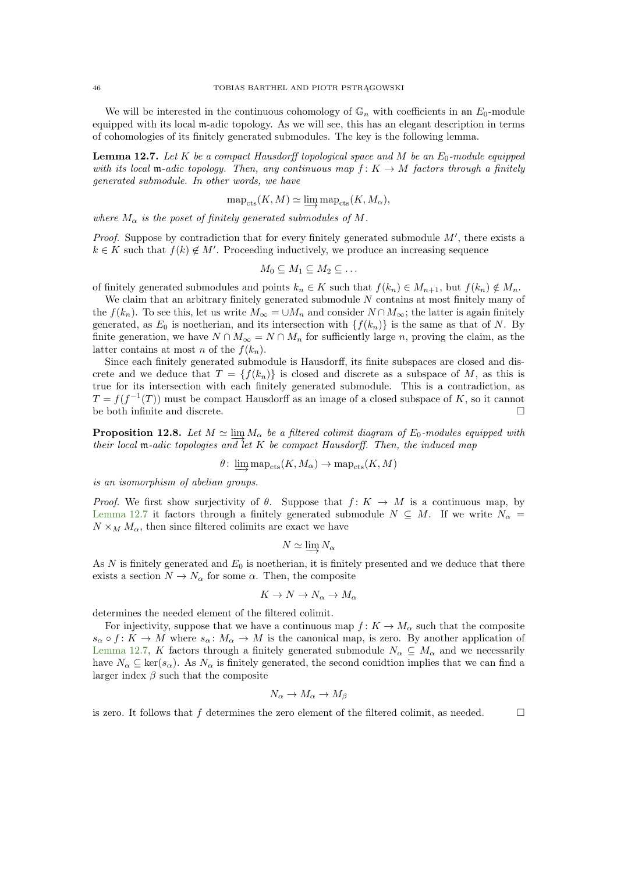We will be interested in the continuous cohomology of  $\mathbb{G}_n$  with coefficients in an  $E_0$ -module equipped with its local m-adic topology. As we will see, this has an elegant description in terms of cohomologies of its finitely generated submodules. The key is the following lemma.

<span id="page-45-0"></span>**Lemma 12.7.** Let K be a compact Hausdorff topological space and M be an  $E_0$ -module equipped with its local m-adic topology. Then, any continuous map  $f: K \to M$  factors through a finitely generated submodule. In other words, we have

$$
\text{map}_{\text{cts}}(K, M) \simeq \varinjlim \text{map}_{\text{cts}}(K, M_{\alpha}),
$$

where  $M_{\alpha}$  is the poset of finitely generated submodules of M.

*Proof.* Suppose by contradiction that for every finitely generated submodule  $M'$ , there exists a  $k \in K$  such that  $f(k) \notin M'$ . Proceeding inductively, we produce an increasing sequence

$$
M_0\subseteq M_1\subseteq M_2\subseteq\ldots
$$

of finitely generated submodules and points  $k_n \in K$  such that  $f(k_n) \in M_{n+1}$ , but  $f(k_n) \notin M_n$ .

We claim that an arbitrary finitely generated submodule N contains at most finitely many of the  $f(k_n)$ . To see this, let us write  $M_\infty = \cup M_n$  and consider  $N \cap M_\infty$ ; the latter is again finitely generated, as  $E_0$  is noetherian, and its intersection with  $\{f(k_n)\}\$ is the same as that of N. By finite generation, we have  $N \cap M_{\infty} = N \cap M_n$  for sufficiently large n, proving the claim, as the latter contains at most n of the  $f(k_n)$ .

Since each finitely generated submodule is Hausdorff, its finite subspaces are closed and discrete and we deduce that  $T = \{f(k_n)\}\$ is closed and discrete as a subspace of M, as this is true for its intersection with each finitely generated submodule. This is a contradiction, as  $T = f(f^{-1}(T))$  must be compact Hausdorff as an image of a closed subspace of K, so it cannot be both infinite and discrete.

<span id="page-45-1"></span>**Proposition 12.8.** Let  $M \simeq \lim_{n \to \infty} M_{\alpha}$  be a filtered colimit diagram of  $E_0$ -modules equipped with their local  $m$ -adic topologies and let K be compact Hausdorff. Then, the induced map

 $\theta \colon \varinjlim map_{\rm cts}(K, M_\alpha) \to {\rm map}_{\rm cts}(K, M)$ 

is an isomorphism of abelian groups.

Proof. We first show surjectivity of  $\theta$ . Suppose that  $f: K \to M$  is a continuous map, by [Lemma 12.7](#page-45-0) it factors through a finitely generated submodule  $N \subseteq M$ . If we write  $N_{\alpha} =$  $N \times_M M_\alpha$ , then since filtered colimits are exact we have

$$
N \simeq \varinjlim N_{\alpha}
$$

As  $N$  is finitely generated and  $E_0$  is noetherian, it is finitely presented and we deduce that there exists a section  $N \to N_\alpha$  for some  $\alpha$ . Then, the composite

$$
K \to N \to N_{\alpha} \to M_{\alpha}
$$

determines the needed element of the filtered colimit.

For injectivity, suppose that we have a continuous map  $f: K \to M_\alpha$  such that the composite  $s_{\alpha} \circ f : K \to M$  where  $s_{\alpha} : M_{\alpha} \to M$  is the canonical map, is zero. By another application of [Lemma 12.7,](#page-45-0) K factors through a finitely generated submodule  $N_{\alpha} \subseteq M_{\alpha}$  and we necessarily have  $N_{\alpha} \subseteq \text{ker}(s_{\alpha})$ . As  $N_{\alpha}$  is finitely generated, the second conidtion implies that we can find a larger index  $\beta$  such that the composite

$$
N_{\alpha} \to M_{\alpha} \to M_{\beta}
$$

<span id="page-45-2"></span>is zero. It follows that f determines the zero element of the filtered colimit, as needed.  $\square$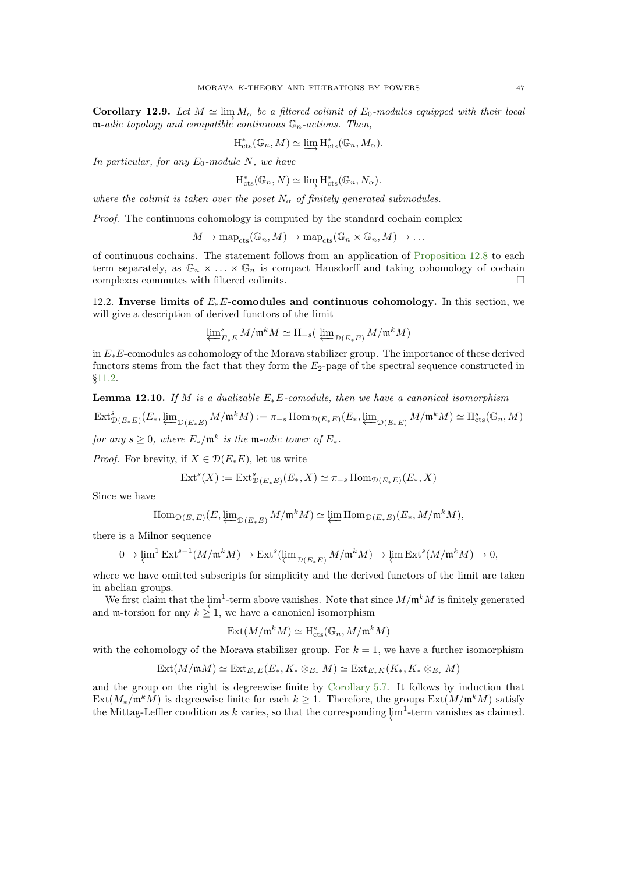**Corollary 12.9.** Let  $M \simeq \lim_{\epsilon \to 0} M_{\alpha}$  be a filtered colimit of  $E_0$ -modules equipped with their local  $m$ -adic topology and compatible continuous  $\mathbb{G}_n$ -actions. Then,

$$
H_{\text{cts}}^*(\mathbb{G}_n, M) \simeq \varinjlim H_{\text{cts}}^*(\mathbb{G}_n, M_\alpha).
$$

In particular, for any  $E_0$ -module N, we have

$$
H_{\text{cts}}^*(\mathbb{G}_n, N) \simeq \varinjlim H_{\text{cts}}^*(\mathbb{G}_n, N_\alpha).
$$

where the colimit is taken over the poset  $N_{\alpha}$  of finitely generated submodules.

Proof. The continuous cohomology is computed by the standard cochain complex

 $M \to \text{map}_{\text{cts}}(\mathbb{G}_n, M) \to \text{map}_{\text{cts}}(\mathbb{G}_n \times \mathbb{G}_n, M) \to \dots$ 

of continuous cochains. The statement follows from an application of [Proposition 12.8](#page-45-1) to each term separately, as  $\mathbb{G}_n \times \ldots \times \mathbb{G}_n$  is compact Hausdorff and taking cohomology of cochain complexes commutes with filtered colimits.  $\hfill \Box$ 

12.2. Inverse limits of  $E<sub>∗</sub>E$ -comodules and continuous cohomology. In this section, we will give a description of derived functors of the limit

$$
\varprojlim\nolimits_{E*E}^s M/\mathfrak m^k M \simeq \mathrm{H}_{-s}\big(\varprojlim\nolimits_{\mathfrak D(E*E)} M/\mathfrak m^k M)
$$

in  $E_*E$ -comodules as cohomology of the Morava stabilizer group. The importance of these derived functors stems from the fact that they form the  $E_2$ -page of the spectral sequence constructed in [§11.2.](#page-39-2)

<span id="page-46-0"></span>**Lemma 12.10.** If M is a dualizable  $E_*E$ -comodule, then we have a canonical isomorphism

$$
\operatorname{Ext}^s_{\mathcal{D}(E_*E)}(E_*, \varprojlim_{\mathcal{D}(E_*E)} M/\mathfrak{m}^k M) := \pi_{-s} \operatorname{Hom}_{\mathcal{D}(E_*E)}(E_*, \varprojlim_{\mathcal{D}(E_*E)} M/\mathfrak{m}^k M) \simeq \operatorname{H}^s_{\mathrm{cts}}(\mathbb{G}_n, M)
$$

for any  $s \geq 0$ , where  $E_*/\mathfrak{m}^k$  is the  $\mathfrak{m}\text{-}adic$  tower of  $E_*$ .

*Proof.* For brevity, if  $X \in \mathcal{D}(E_*E)$ , let us write

$$
\text{Ext}^s(X) := \text{Ext}^s_{\mathcal{D}(E_*E)}(E_*, X) \simeq \pi_{-s} \text{Hom}_{\mathcal{D}(E_*E)}(E_*, X)
$$

Since we have

$$
\mathrm{Hom}_{\mathcal{D}(E_*E)}(E,\varprojlim_{\mathcal{D}(E_*E)}M/\mathfrak{m}^kM)\simeq \varprojlim \mathrm{Hom}_{\mathcal{D}(E_*E)}(E_*,M/\mathfrak{m}^kM),
$$

there is a Milnor sequence

$$
0 \to \underleftarrow{\lim}^1 \operatorname{Ext}^{s-1}(M/\mathfrak{m}^k M) \to \operatorname{Ext}^s(\underleftarrow{\lim}^{}_{\mathcal{D}(E_*E)} M/\mathfrak{m}^k M) \to \underleftarrow{\lim} \operatorname{Ext}^s(M/\mathfrak{m}^k M) \to 0,
$$

where we have omitted subscripts for simplicity and the derived functors of the limit are taken in abelian groups.

We first claim that the  $\lim_{n \to \infty} 1$ -term above vanishes. Note that since  $M/\mathfrak{m}^k M$  is finitely generated We mst claim that the  $\mu$ -term above vanishes. Note that s<br>and m-torsion for any  $k \ge 1$ , we have a canonical isomorphism

$$
\operatorname{Ext}(M/\mathfrak{m}^k M) \simeq \mathrm{H}_{\mathrm{cts}}^s(\mathbb{G}_n, M/\mathfrak{m}^k M)
$$

with the cohomology of the Morava stabilizer group. For  $k = 1$ , we have a further isomorphism

$$
\text{Ext}(M/\mathfrak{m}M)\simeq \text{Ext}_{E_*E}(E_*,K_*\otimes_{E_*}M)\simeq \text{Ext}_{E_*K}(K_*,K_*\otimes_{E_*}M)
$$

and the group on the right is degreewise finite by [Corollary 5.7.](#page-15-1) It follows by induction that  $\text{Ext}(M_*/\mathfrak{m}^kM)$  is degreewise finite for each  $k \geq 1$ . Therefore, the groups  $\text{Ext}(M/\mathfrak{m}^kM)$  satisfy the Mittag-Leffler condition as k varies, so that the corresponding  $\varprojlim$ <sup>1</sup>-term vanishes as claimed.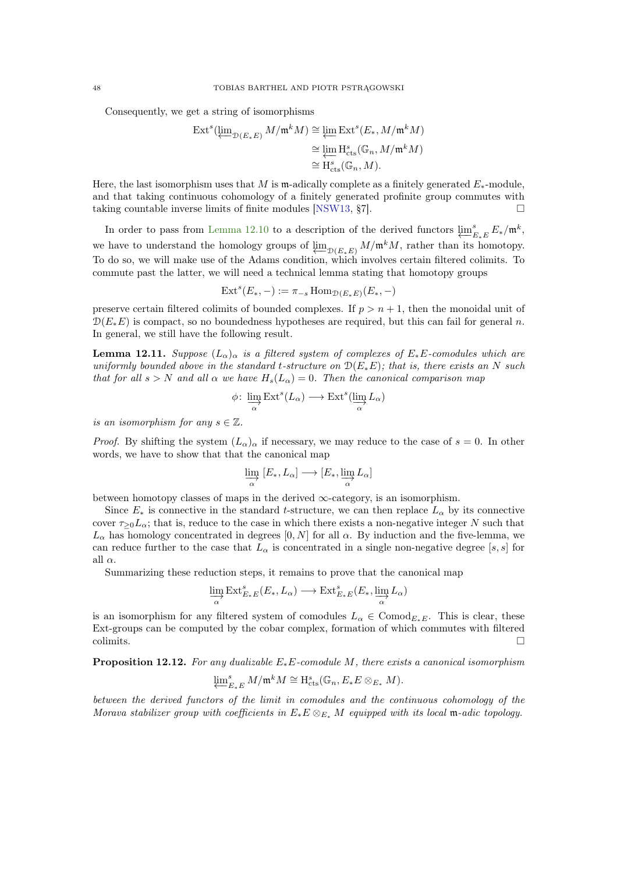<span id="page-47-2"></span>Consequently, we get a string of isomorphisms

$$
\begin{split} \operatorname{Ext}^s(\varprojlim_{\mathcal{D}(E_*E)} M/\mathfrak{m}^k M) &\cong \varprojlim \operatorname{Ext}^s(E_*, M/\mathfrak{m}^k M) \\ &\cong \varprojlim \operatorname{H}^s_{\operatorname{cts}}(\mathbb{G}_n, M/\mathfrak{m}^k M) \\ &\cong \operatorname{H}^s_{\operatorname{cts}}(\mathbb{G}_n, M). \end{split}
$$

Here, the last isomorphism uses that M is m-adically complete as a finitely generated  $E_*$ -module, and that taking continuous cohomology of a finitely generated profinite group commutes with taking countable inverse limits of finite modules [\[NSW13,](#page-60-25)  $\S7$ ].

In order to pass from [Lemma 12.10](#page-46-0) to a description of the derived functors  $\varprojlim_{I}^{s}$  $_{E_*E}^s E_*/\mathfrak{m}^k,$ we have to understand the homology groups of  $\varprojlim_{D(E_{*}E)} M/\mathfrak{m}^{k}M$ , rather than its homotopy. To do so, we will make use of the Adams condition, which involves certain filtered colimits. To commute past the latter, we will need a technical lemma stating that homotopy groups

$$
Exts(E*, -) := \pi_{-s} Hom_{\mathcal{D}(E*E)}(E*, -)
$$

preserve certain filtered colimits of bounded complexes. If  $p > n + 1$ , then the monoidal unit of  $\mathcal{D}(E_*E)$  is compact, so no boundedness hypotheses are required, but this can fail for general n. In general, we still have the following result.

<span id="page-47-1"></span>**Lemma 12.11.** Suppose  $(L_{\alpha})_{\alpha}$  is a filtered system of complexes of  $E_*E$ -comodules which are uniformly bounded above in the standard t-structure on  $\mathcal{D}(E_*E)$ ; that is, there exists an N such that for all  $s > N$  and all  $\alpha$  we have  $H_s(L_\alpha) = 0$ . Then the canonical comparison map

$$
\phi\colon \varinjlim_\alpha \operatorname{Ext}^s(L_\alpha)\longrightarrow \operatorname{Ext}^s(\varinjlim_\alpha L_\alpha)
$$

is an isomorphism for any  $s \in \mathbb{Z}$ .

*Proof.* By shifting the system  $(L_{\alpha})_{\alpha}$  if necessary, we may reduce to the case of  $s = 0$ . In other words, we have to show that that the canonical map

$$
\varinjlim_{\alpha} [E_*, L_{\alpha}] \longrightarrow [E_*, \varinjlim_{\alpha} L_{\alpha}]
$$

between homotopy classes of maps in the derived  $\infty$ -category, is an isomorphism.

Since  $E_*$  is connective in the standard t-structure, we can then replace  $L_{\alpha}$  by its connective cover  $\tau_{>0}L_{\alpha}$ ; that is, reduce to the case in which there exists a non-negative integer N such that  $L_{\alpha}$  has homology concentrated in degrees  $[0, N]$  for all  $\alpha$ . By induction and the five-lemma, we can reduce further to the case that  $L_{\alpha}$  is concentrated in a single non-negative degree [s, s] for all  $\alpha$ .

Summarizing these reduction steps, it remains to prove that the canonical map

$$
\varinjlim_\alpha \operatorname{Ext}_{E_*E}^s(E_*,L_\alpha)\longrightarrow \operatorname{Ext}_{E_*E}^s(E_*,\varinjlim_\alpha L_\alpha)
$$

is an isomorphism for any filtered system of comodules  $L_{\alpha} \in \text{Comod}_{E_{*}E}$ . This is clear, these Ext-groups can be computed by the cobar complex, formation of which commutes with filtered  $\Box$ colimits.

<span id="page-47-0"></span>**Proposition 12.12.** For any dualizable  $E_*E$ -comodule M, there exists a canonical isomorphism

$$
\varprojlim_{E_*E} M/\mathfrak{m}^k M \cong \mathrm{H}_{\mathrm{cts}}^s(\mathbb{G}_n, E_*E \otimes_{E_*} M).
$$

between the derived functors of the limit in comodules and the continuous cohomology of the Morava stabilizer group with coefficients in  $E_*E \otimes_{E_*} M$  equipped with its local m-adic topology.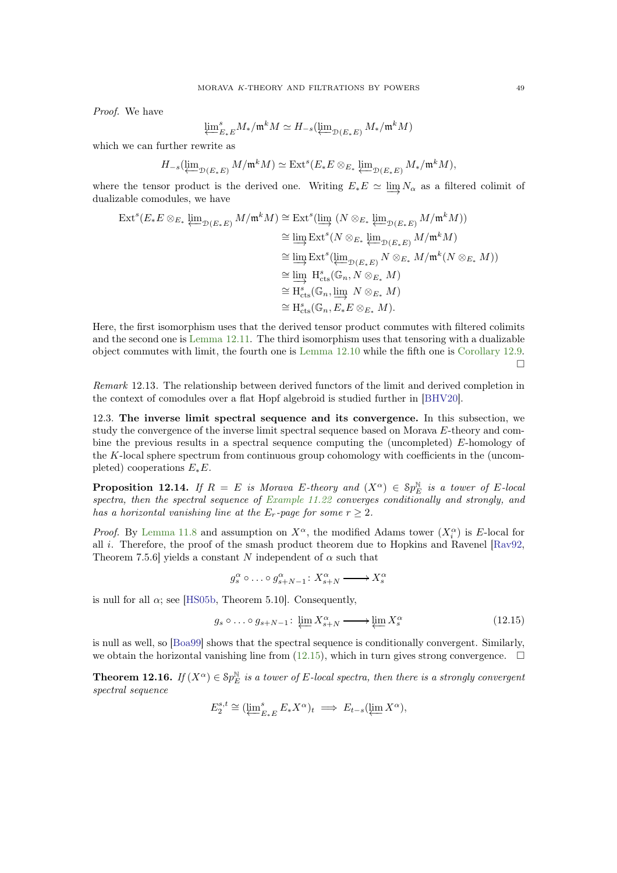<span id="page-48-2"></span>Proof. We have

$$
\varprojlim\nolimits_{E*E}^s M_*/\mathfrak{m}^k M \simeq H_{-s}(\varprojlim\nolimits_{\mathcal{D}(E_*E)} M_*/\mathfrak{m}^k M)
$$

which we can further rewrite as

$$
H_{-s}(\varprojlim\nolimits_{\mathcal{D}(E_*E)}M/\mathfrak{m}^kM)\simeq\mathrm{Ext}^s(E_*E\otimes_{E_*}\varprojlim\nolimits_{\mathcal{D}(E_*E)}M_*/\mathfrak{m}^kM),
$$

where the tensor product is the derived one. Writing  $E_*E \simeq \lim N_\alpha$  as a filtered colimit of dualizable comodules, we have

$$
\operatorname{Ext}^s(E_*E \otimes_{E_*} \varprojlim_{\mathcal{D}(E_*E)} M/\mathfrak{m}^k M) \cong \operatorname{Ext}^s(\varinjlim_{\mathcal{D}(E_*E)} (N \otimes_{E_*} \varprojlim_{\mathcal{D}(E_*E)} M/\mathfrak{m}^k M))
$$
  
\n
$$
\cong \varinjlim_{\mathcal{D}(E_*E)} \operatorname{Ext}^s(N \otimes_{E_*} \varprojlim_{\mathcal{D}(E_*E)} M/\mathfrak{m}^k M)
$$
  
\n
$$
\cong \varinjlim_{\mathcal{D}(E_*E)} \operatorname{Ext}^s(\varprojlim_{\mathcal{D}(E_*E)} N \otimes_{E_*} M/\mathfrak{m}^k (N \otimes_{E_*} M))
$$
  
\n
$$
\cong \varinjlim_{\mathcal{D}(E_5)} \operatorname{H}^s_{\text{cts}}(\mathbb{G}_n, N \otimes_{E_*} M)
$$
  
\n
$$
\cong \operatorname{H}^s_{\text{cts}}(\mathbb{G}_n, E_*E \otimes_{E_*} M).
$$

Here, the first isomorphism uses that the derived tensor product commutes with filtered colimits and the second one is [Lemma 12.11.](#page-47-1) The third isomorphism uses that tensoring with a dualizable object commutes with limit, the fourth one is [Lemma 12.10](#page-46-0) while the fifth one is [Corollary 12.9.](#page-45-2)  $\Box$ 

Remark 12.13. The relationship between derived functors of the limit and derived completion in the context of comodules over a flat Hopf algebroid is studied further in [\[BHV20\]](#page-59-19).

12.3. The inverse limit spectral sequence and its convergence. In this subsection, we study the convergence of the inverse limit spectral sequence based on Morava E-theory and combine the previous results in a spectral sequence computing the (uncompleted) E-homology of the K-local sphere spectrum from continuous group cohomology with coefficients in the (uncompleted) cooperations  $E_*E$ .

<span id="page-48-0"></span>**Proposition 12.14.** If  $R = E$  is Morava E-theory and  $(X^{\alpha}) \in Sp_E^{\mathbb{N}}$  is a tower of E-local spectra, then the spectral sequence of [Example 11.22](#page-43-1) converges conditionally and strongly, and has a horizontal vanishing line at the  $E_r$ -page for some  $r \geq 2$ .

*Proof.* By [Lemma 11.8](#page-39-0) and assumption on  $X^{\alpha}$ , the modified Adams tower  $(X_i^{\alpha})$  is E-local for all i. Therefore, the proof of the smash product theorem due to Hopkins and Ravenel  $\lbrack \text{Ray92}, \rbrack$ Theorem 7.5.6] yields a constant N independent of  $\alpha$  such that

$$
g^\alpha_s \circ \ldots \circ g^\alpha_{s+N-1} \colon X^\alpha_{s+N} \xrightarrow{~~} X^\alpha_s
$$

is null for all  $\alpha$ ; see [\[HS05b,](#page-59-20) Theorem 5.10]. Consequently,

<span id="page-48-1"></span>
$$
g_s \circ \dots \circ g_{s+N-1} \colon \varprojlim X_{s+N}^{\alpha} \longrightarrow \varprojlim X_s^{\alpha} \tag{12.15}
$$

is null as well, so [\[Boa99\]](#page-59-21) shows that the spectral sequence is conditionally convergent. Similarly, we obtain the horizontal vanishing line from  $(12.15)$ , which in turn gives strong convergence.  $\Box$ 

**Theorem 12.16.** If  $(X^{\alpha}) \in Sp_E^{\mathbb{N}}$  is a tower of E-local spectra, then there is a strongly convergent spectral sequence

$$
E_2^{s,t} \cong (\varprojlim_{E_*E}^s E_* X^\alpha)_t \implies E_{t-s}(\varprojlim X^\alpha),
$$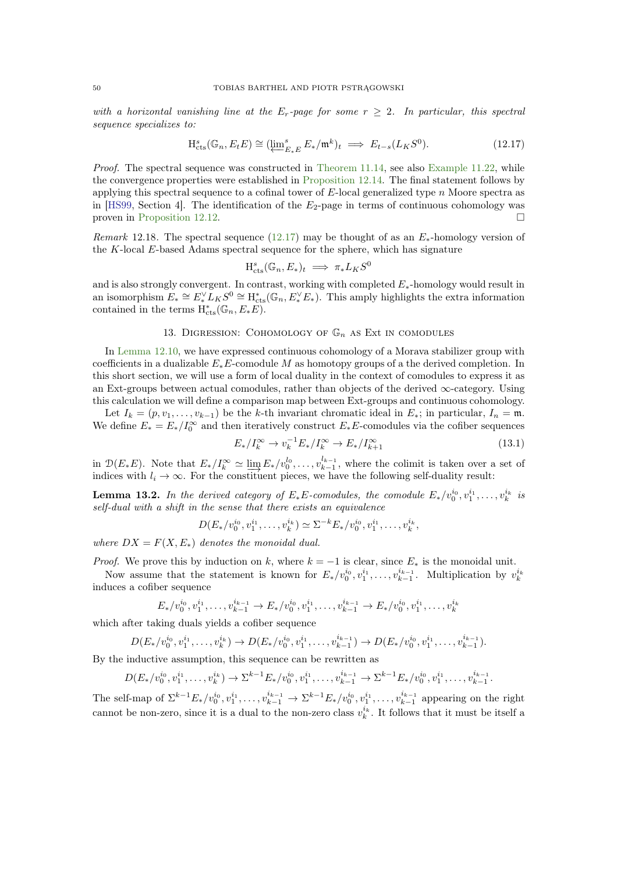<span id="page-49-4"></span>with a horizontal vanishing line at the  $E_r$ -page for some  $r \geq 2$ . In particular, this spectral sequence specializes to:

<span id="page-49-1"></span>
$$
H_{\mathrm{cts}}^{s}(\mathbb{G}_{n}, E_{t} E) \cong (\underleftarrow{\lim}_{E_{*} E}^{s} E_{*}/\mathfrak{m}^{k})_{t} \implies E_{t-s}(L_{K} S^{0}). \tag{12.17}
$$

Proof. The spectral sequence was constructed in [Theorem 11.14,](#page-41-0) see also [Example 11.22,](#page-43-1) while the convergence properties were established in [Proposition 12.14.](#page-48-0) The final statement follows by applying this spectral sequence to a cofinal tower of  $E$ -local generalized type n Moore spectra as in [\[HS99,](#page-59-12) Section 4]. The identification of the  $E_2$ -page in terms of continuous cohomology was proven in [Proposition 12.12.](#page-47-0)

Remark 12.18. The spectral sequence [\(12.17\)](#page-49-1) may be thought of as an  $E_*$ -homology version of the K-local E-based Adams spectral sequence for the sphere, which has signature

$$
H_{\text{cts}}^{s}(\mathbb{G}_{n}, E_{*})_{t} \implies \pi_{*}L_{K}S^{0}
$$

and is also strongly convergent. In contrast, working with completed  $E_*$ -homology would result in an isomorphism  $E_* \cong E_*^{\vee} L_K S^0 \cong H_{\text{cts}}^*(\mathbb{G}_n, E_*^{\vee} E_*)$ . This amply highlights the extra information contained in the terms  $H_{\text{cts}}^{*}(\mathbb{G}_n, E_*E)$ .

# 13. DIGRESSION: COHOMOLOGY OF  $\mathbb{G}_n$  as Ext in comodules

<span id="page-49-0"></span>In [Lemma 12.10,](#page-46-0) we have expressed continuous cohomology of a Morava stabilizer group with coefficients in a dualizable  $E_*E$ -comodule M as homotopy groups of a the derived completion. In this short section, we will use a form of local duality in the context of comodules to express it as an Ext-groups between actual comodules, rather than objects of the derived  $\infty$ -category. Using this calculation we will define a comparison map between Ext-groups and continuous cohomology.

Let  $I_k = (p, v_1, \ldots, v_{k-1})$  be the k-th invariant chromatic ideal in  $E_*$ ; in particular,  $I_n = \mathfrak{m}$ . We define  $E_* = E_*/I_0^{\infty}$  and then iteratively construct  $E_*E$ -comodules via the cofiber sequences

<span id="page-49-3"></span>
$$
E_*/I_k^{\infty} \to v_k^{-1} E_*/I_k^{\infty} \to E_*/I_{k+1}^{\infty}
$$
\n(13.1)

<span id="page-49-2"></span>in  $\mathcal{D}(E_*E)$ . Note that  $E_*/I_k^{\infty} \simeq \lim_{k \to \infty} E_*/v_0^{l_0}, \ldots, v_{k-1}^{l_{k-1}}$ , where the colimit is taken over a set of indices with  $l_i \to \infty$ . For the constituent pieces, we have the following self-duality result:

**Lemma 13.2.** In the derived category of  $E_*E$ -comodules, the comodule  $E_*/v_0^{i_0}, v_1^{i_1}, \ldots, v_k^{i_k}$  is self-dual with a shift in the sense that there exists an equivalence

$$
D(E_*/v_0^{i_0}, v_1^{i_1}, \ldots, v_k^{i_k}) \simeq \Sigma^{-k} E_*/v_0^{i_0}, v_1^{i_1}, \ldots, v_k^{i_k},
$$

where  $DX = F(X, E_*)$  denotes the monoidal dual.

*Proof.* We prove this by induction on k, where  $k = -1$  is clear, since  $E_*$  is the monoidal unit.

Now assume that the statement is known for  $E_*/v_0^{i_0}, v_1^{i_1}, \ldots, v_{k-1}^{i_{k-1}}$ . Multiplication by  $v_k^{i_k}$ induces a cofiber sequence

$$
E_*/v_0^{i_0}, v_1^{i_1}, \ldots, v_{k-1}^{i_{k-1}} \to E_*/v_0^{i_0}, v_1^{i_1}, \ldots, v_{k-1}^{i_{k-1}} \to E_*/v_0^{i_0}, v_1^{i_1}, \ldots, v_k^{i_k}
$$

which after taking duals yields a cofiber sequence

$$
D(E_*/v_0^{i_0}, v_1^{i_1}, \ldots, v_k^{i_k}) \to D(E_*/v_0^{i_0}, v_1^{i_1}, \ldots, v_{k-1}^{i_{k-1}}) \to D(E_*/v_0^{i_0}, v_1^{i_1}, \ldots, v_{k-1}^{i_{k-1}}).
$$

By the inductive assumption, this sequence can be rewritten as

$$
D(E_*/v_0^{i_0}, v_1^{i_1}, \dots, v_k^{i_k}) \to \Sigma^{k-1} E_*/v_0^{i_0}, v_1^{i_1}, \dots, v_{k-1}^{i_{k-1}} \to \Sigma^{k-1} E_*/v_0^{i_0}, v_1^{i_1}, \dots, v_{k-1}^{i_{k-1}}.
$$

The self-map of  $\Sigma^{k-1}E_*/v_0^{i_0}, v_1^{i_1}, \ldots, v_{k-1}^{i_{k-1}} \to \Sigma^{k-1}E_*/v_0^{i_0}, v_1^{i_1}, \ldots, v_{k-1}^{i_{k-1}}$  $\binom{n_{k-1}}{k-1}$  appearing on the right cannot be non-zero, since it is a dual to the non-zero class  $v_k^{i_k}$ . It follows that it must be itself a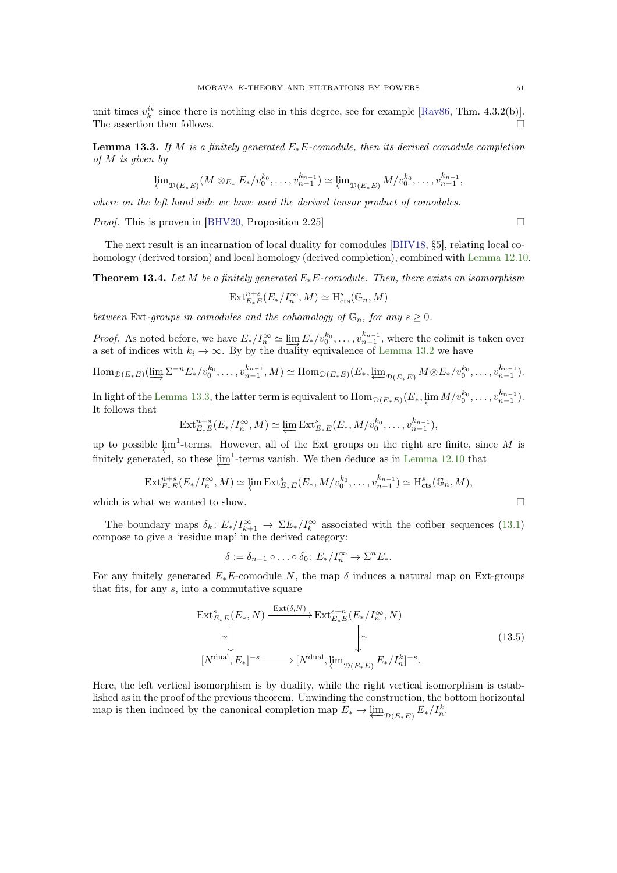<span id="page-50-4"></span>unit times  $v_k^{i_k}$  since there is nothing else in this degree, see for example [\[Rav86,](#page-60-26) Thm. 4.3.2(b)]. The assertion then follows.  $\hfill \square$ 

<span id="page-50-0"></span>**Lemma 13.3.** If M is a finitely generated  $E_*E$ -comodule, then its derived comodule completion of M is given by

$$
\varprojlim\nolimits_{\mathcal{D}(E_*E)} (M \otimes_{E_*} E_*/v_0^{k_0}, \dots, v_{n-1}^{k_{n-1}}) \simeq \varprojlim\nolimits_{\mathcal{D}(E_*E)} M/v_0^{k_0}, \dots, v_{n-1}^{k_{n-1}},
$$

where on the left hand side we have used the derived tensor product of comodules.

*Proof.* This is proven in [\[BHV20,](#page-59-19) Proposition 2.25]

<span id="page-50-2"></span>The next result is an incarnation of local duality for comodules [\[BHV18,](#page-59-22) §5], relating local cohomology (derived torsion) and local homology (derived completion), combined with [Lemma 12.10.](#page-46-0)

**Theorem 13.4.** Let M be a finitely generated  $E_*E$ -comodule. Then, there exists an isomorphism

$$
\operatorname{Ext}_{E_*E}^{n+s}(E_*/I_n^{\infty},M)\simeq \operatorname{H}_{\operatorname{cts}}^s(\mathbb{G}_n,M)
$$

between Ext-groups in comodules and the cohomology of  $\mathbb{G}_n$ , for any  $s \geq 0$ .

*Proof.* As noted before, we have  $E_*/I_n^{\infty} \simeq \lim_{n \to \infty} E_*/v_0^{k_0}, \ldots, v_{n-1}^{k_{n-1}},$  where the colimit is taken over a set of indices with  $k_i \to \infty$ . By by the duality equivalence of [Lemma 13.2](#page-49-2) we have

$$
\operatorname{Hom}_{\mathcal{D}(E_*E)}(\varinjlim \Sigma^{-n} E_*/v_0^{k_0}, \dots, v_{n-1}^{k_{n-1}}, M) \simeq \operatorname{Hom}_{\mathcal{D}(E_*E)}(E_*, \varprojlim_{\mathcal{D}(E_*E)} M \otimes E_*/v_0^{k_0}, \dots, v_{n-1}^{k_{n-1}}).
$$

In light of the [Lemma 13.3,](#page-50-0) the latter term is equivalent to  $\text{Hom}_{\mathcal{D}(E_*E)}(E_*, \underleftarrow{\lim}_{m} M/v_0^{k_0}, \ldots, v_{n-1}^{k_{n-1}}).$ It follows that

$$
\text{Ext}_{E_*E}^{n+s}(E_*/I_n^{\infty},M) \simeq \varprojlim \text{Ext}_{E_*E}^s(E_*,M/v_0^{k_0},\ldots,v_{n-1}^{k_{n-1}}),
$$

up to possible  $\varprojlim$ <sup>1</sup>-terms. However, all of the Ext groups on the right are finite, since M is finitely generated, so these  $\varprojlim^1$ -terms vanish. We then deduce as in [Lemma 12.10](#page-46-0) that

$$
\operatorname{Ext}_{E_*E}^{n+s}(E_*/I_n^{\infty},M)\simeq \varprojlim \operatorname{Ext}_{E_*E}^s(E_*,M/v_0^{k_0},\ldots,v_{n-1}^{k_{n-1}})\simeq \operatorname{H}_{\operatorname{cts}}^s(\mathbb{G}_n,M),
$$

which is what we wanted to show.  $\Box$ 

The boundary maps  $\delta_k: E_*/I_{k+1}^{\infty} \to \Sigma E_*/I_k^{\infty}$  associated with the cofiber sequences [\(13.1\)](#page-49-3) compose to give a 'residue map' in the derived category:

$$
\delta := \delta_{n-1} \circ \ldots \circ \delta_0 \colon E_*/I_n^{\infty} \to \Sigma^n E_*.
$$

For any finitely generated  $E_*E$ -comodule N, the map  $\delta$  induces a natural map on Ext-groups that fits, for any  $s$ , into a commutative square

<span id="page-50-1"></span>
$$
\operatorname{Ext}_{E_*E}^s(E_*, N) \xrightarrow{\operatorname{Ext}(\delta, N)} \operatorname{Ext}_{E_*E}^{s+n}(E_*/I_n^{\infty}, N)
$$
\n
$$
\cong \downarrow \qquad \qquad \downarrow \cong
$$
\n
$$
[N^{\text{dual}}, E_*]^{-s} \longrightarrow [N^{\text{dual}}, \varprojlim_{\mathcal{D}(E_*E)} E_*/I_n^k]^{-s}.
$$
\n(13.5)

<span id="page-50-3"></span>Here, the left vertical isomorphism is by duality, while the right vertical isomorphism is established as in the proof of the previous theorem. Unwinding the construction, the bottom horizontal map is then induced by the canonical completion map  $E_* \to \varprojlim_{\mathcal{D}(E_*E)} E_*/I_n^k$ .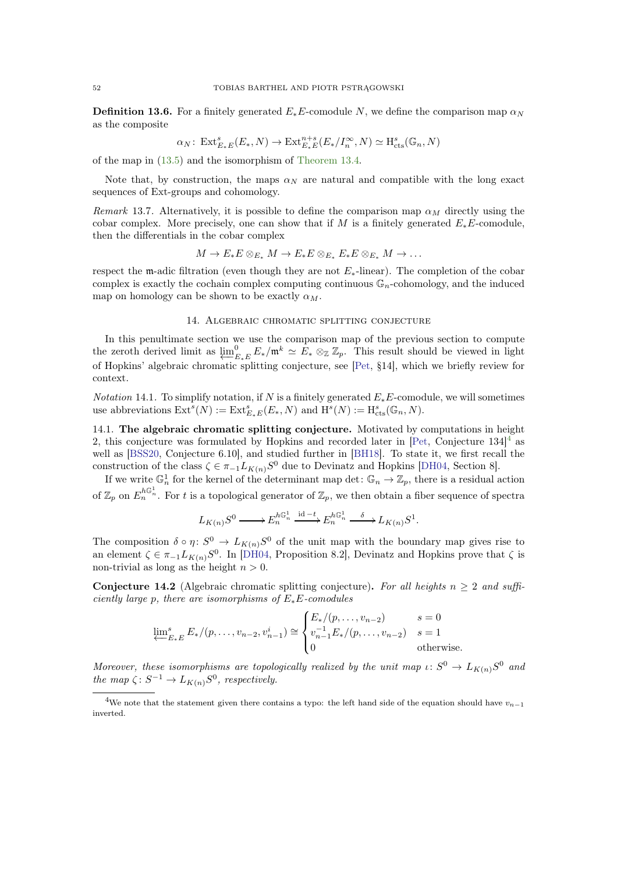<span id="page-51-4"></span>**Definition 13.6.** For a finitely generated  $E_*E$ -comodule N, we define the comparison map  $\alpha_N$ as the composite

$$
\alpha_N\colon \operatorname{Ext}_{E_*E}^s(E_*,N)\to \operatorname{Ext}_{E_*E}^{n+s}(E_*/I_n^\infty,N)\simeq \operatorname{H}^s_{\rm cts}(\mathbb{G}_n,N)
$$

of the map in [\(13.5\)](#page-50-1) and the isomorphism of [Theorem 13.4.](#page-50-2)

Note that, by construction, the maps  $\alpha_N$  are natural and compatible with the long exact sequences of Ext-groups and cohomology.

Remark 13.7. Alternatively, it is possible to define the comparison map  $\alpha_M$  directly using the cobar complex. More precisely, one can show that if M is a finitely generated  $E_*E$ -comodule, then the differentials in the cobar complex

$$
M \to E_*E \otimes_{E_*} M \to E_*E \otimes_{E_*} E_*E \otimes_{E_*} M \to \dots
$$

respect the m-adic filtration (even though they are not  $E_*$ -linear). The completion of the cobar complex is exactly the cochain complex computing continuous  $\mathbb{G}_n$ -cohomology, and the induced map on homology can be shown to be exactly  $\alpha_M$ .

# 14. Algebraic chromatic splitting conjecture

<span id="page-51-0"></span>In this penultimate section we use the comparison map of the previous section to compute the zeroth derived limit as  $\varprojlim_{E}^{0}$  $E_{k,E}^0 E_*/\mathfrak{m}^k \simeq E_* \otimes_{\mathbb{Z}} \mathbb{Z}_p$ . This result should be viewed in light of Hopkins' algebraic chromatic splitting conjecture, see [\[Pet,](#page-60-3) §14], which we briefly review for context.

<span id="page-51-2"></span>*Notation* 14.1. To simplify notation, if N is a finitely generated  $E_*E$ -comodule, we will sometimes use abbreviations  $\text{Ext}^s(N) := \text{Ext}^s_{E_*E}(E_*, N)$  and  $\text{H}^s(N) := \text{H}^s_{\text{cts}}(\mathbb{G}_n, N)$ .

14.1. The algebraic chromatic splitting conjecture. Motivated by computations in height 2, this conjecture was formulated by Hopkins and recorded later in [\[Pet,](#page-60-3) Conjecture  $134$  $134$ ]<sup>4</sup> as well as [\[BSS20,](#page-59-23) Conjecture 6.10], and studied further in [\[BH18\]](#page-59-24). To state it, we first recall the construction of the class  $\zeta \in \pi_{-1}L_{K(n)}S^0$  due to Devinatz and Hopkins [\[DH04,](#page-59-25) Section 8].

If we write  $\mathbb{G}_n^1$  for the kernel of the determinant map det:  $\mathbb{G}_n \to \mathbb{Z}_p$ , there is a residual action of  $\mathbb{Z}_p$  on  $E_n^{h\mathbb{G}_n^1}$ . For t is a topological generator of  $\mathbb{Z}_p$ , we then obtain a fiber sequence of spectra

$$
L_{K(n)}S^0 \longrightarrow E_n^{h\mathbb{G}_n^1} \xrightarrow{\mathrm{id}-t} E_n^{h\mathbb{G}_n^1} \xrightarrow{\delta} L_{K(n)}S^1.
$$

The composition  $\delta \circ \eta: S^0 \to L_{K(n)}S^0$  of the unit map with the boundary map gives rise to an element  $\zeta \in \pi_{-1}L_{K(n)}S^0$ . In [\[DH04,](#page-59-25) Proposition 8.2], Devinatz and Hopkins prove that  $\zeta$  is non-trivial as long as the height  $n > 0$ .

<span id="page-51-3"></span>**Conjecture 14.2** (Algebraic chromatic splitting conjecture). For all heights  $n \geq 2$  and sufficiently large p, there are isomorphisms of  $E_*E$ -comodules

$$
\underleftarrow{\lim}_{E_*E} s E_*/(p, \dots, v_{n-2}, v_{n-1}^i) \cong \begin{cases} E_*/(p, \dots, v_{n-2}) & s = 0\\ v_{n-1}^{-1} E_*/(p, \dots, v_{n-2}) & s = 1\\ 0 & \text{otherwise.} \end{cases}
$$

Moreover, these isomorphisms are topologically realized by the unit map  $\iota: S^0 \to L_{K(n)}S^0$  and the map  $\zeta: S^{-1} \to L_{K(n)}S^0$ , respectively.

<span id="page-51-1"></span><sup>&</sup>lt;sup>4</sup>We note that the statement given there contains a typo: the left hand side of the equation should have  $v_{n-1}$ inverted.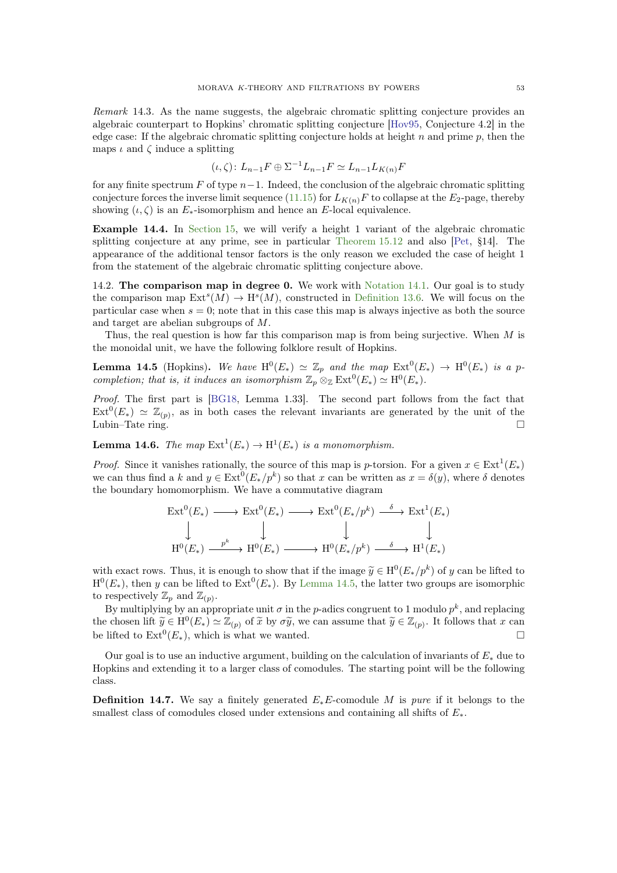<span id="page-52-4"></span>Remark 14.3. As the name suggests, the algebraic chromatic splitting conjecture provides an algebraic counterpart to Hopkins' chromatic splitting conjecture [\[Hov95,](#page-59-3) Conjecture 4.2] in the edge case: If the algebraic chromatic splitting conjecture holds at height  $n$  and prime  $p$ , then the maps  $\iota$  and  $\zeta$  induce a splitting

$$
(\iota,\zeta)\colon L_{n-1}F \oplus \Sigma^{-1}L_{n-1}F \simeq L_{n-1}L_{K(n)}F
$$

for any finite spectrum  $F$  of type  $n-1$ . Indeed, the conclusion of the algebraic chromatic splitting conjecture forces the inverse limit sequence [\(11.15\)](#page-41-1) for  $L_{K(n)}F$  to collapse at the  $E_2$ -page, thereby showing  $(\iota, \zeta)$  is an  $E_*$ -isomorphism and hence an E-local equivalence.

Example 14.4. In [Section 15,](#page-54-0) we will verify a height 1 variant of the algebraic chromatic splitting conjecture at any prime, see in particular [Theorem 15.12](#page-58-3) and also [\[Pet,](#page-60-3) §14]. The appearance of the additional tensor factors is the only reason we excluded the case of height 1 from the statement of the algebraic chromatic splitting conjecture above.

14.2. The comparison map in degree 0. We work with [Notation 14.1.](#page-51-2) Our goal is to study the comparison map  $\text{Ext}^s(M) \to \text{H}^s(M)$ , constructed in [Definition 13.6.](#page-50-3) We will focus on the particular case when  $s = 0$ ; note that in this case this map is always injective as both the source and target are abelian subgroups of M.

<span id="page-52-0"></span>Thus, the real question is how far this comparison map is from being surjective. When  $M$  is the monoidal unit, we have the following folklore result of Hopkins.

**Lemma 14.5** (Hopkins). We have  $H^0(E_*) \simeq \mathbb{Z}_p$  and the map  $Ext^0(E_*) \to H^0(E_*)$  is a pcompletion; that is, it induces an isomorphism  $\mathbb{Z}_p \otimes_{\mathbb{Z}} \mathrm{Ext}^0(E_*) \simeq \mathrm{H}^0(E_*)$ .

Proof. The first part is [\[BG18,](#page-59-26) Lemma 1.33]. The second part follows from the fact that  $\text{Ext}^0(E_*) \simeq \mathbb{Z}_{(p)}$ , as in both cases the relevant invariants are generated by the unit of the Lubin–Tate ring.

<span id="page-52-2"></span>**Lemma 14.6.** The map  $\text{Ext}^1(E_*) \to \text{H}^1(E_*)$  is a monomorphism.

*Proof.* Since it vanishes rationally, the source of this map is p-torsion. For a given  $x \in \text{Ext}^1(E_*)$ we can thus find a k and  $y \in \text{Ext}^0(E_*/p^k)$  so that x can be written as  $x = \delta(y)$ , where  $\delta$  denotes the boundary homomorphism. We have a commutative diagram

$$
\begin{array}{ccc}\n\text{Ext}^{0}(E_{*}) & \longrightarrow & \text{Ext}^{0}(E_{*}) \longrightarrow & \text{Ext}^{0}(E_{*}/p^{k}) \stackrel{\delta}{\longrightarrow} & \text{Ext}^{1}(E_{*}) \\
\downarrow & & \downarrow & & \downarrow & \\
\text{H}^{0}(E_{*}) & \xrightarrow{p^{k}} & \text{H}^{0}(E_{*}) \longrightarrow & \text{H}^{0}(E_{*}/p^{k}) \stackrel{\delta}{\longrightarrow} & \text{H}^{1}(E_{*})\n\end{array}
$$

with exact rows. Thus, it is enough to show that if the image  $\tilde{y} \in H^0(E_*/p^k)$  of y can be lifted to  $\mathrm{H}^{0}(E_{*})$ , then y can be lifted to  $\mathrm{Ext}^{0}(E_{*})$ . By [Lemma 14.5,](#page-52-0) the latter two groups are isomorphic to respectively  $\mathbb{Z}_p$  and  $\mathbb{Z}_{(p)}$ .

By multiplying by an appropriate unit  $\sigma$  in the p-adics congruent to 1 modulo  $p^k$ , and replacing the chosen lift  $\widetilde{y} \in H^0(E_*) \simeq \mathbb{Z}_{(p)}$  of  $\widetilde{x}$  by  $\sigma \widetilde{y}$ , we can assume that  $\widetilde{y} \in \mathbb{Z}_{(p)}$ . It follows that x can be lifted to  $\text{Ext}^0(E_*)$ , which is what we wanted.

Our goal is to use an inductive argument, building on the calculation of invariants of  $E_*$  due to Hopkins and extending it to a larger class of comodules. The starting point will be the following class.

<span id="page-52-3"></span><span id="page-52-1"></span>**Definition 14.7.** We say a finitely generated  $E_*E$ -comodule M is pure if it belongs to the smallest class of comodules closed under extensions and containing all shifts of  $E_*$ .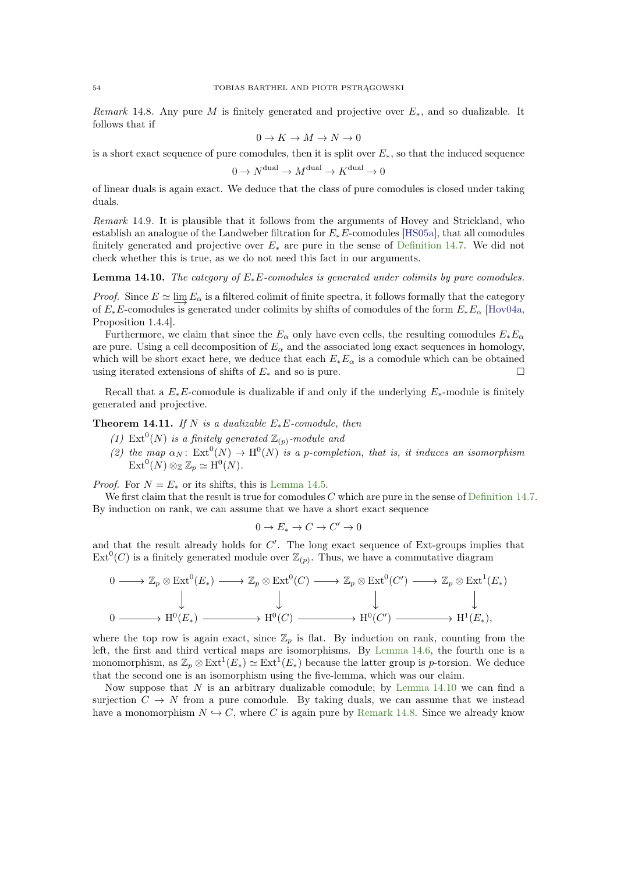<span id="page-53-2"></span>Remark 14.8. Any pure M is finitely generated and projective over  $E_{\ast}$ , and so dualizable. It follows that if

$$
0\to K\to M\to N\to 0
$$

is a short exact sequence of pure comodules, then it is split over  $E_*$ , so that the induced sequence

$$
0 \to N^{\text{dual}} \to M^{\text{dual}} \to K^{\text{dual}} \to 0
$$

of linear duals is again exact. We deduce that the class of pure comodules is closed under taking duals.

Remark 14.9. It is plausible that it follows from the arguments of Hovey and Strickland, who establish an analogue of the Landweber filtration for  $E_*E$ -comodules [\[HS05a\]](#page-59-0), that all comodules finitely generated and projective over  $E_*$  are pure in the sense of [Definition 14.7.](#page-52-1) We did not check whether this is true, as we do not need this fact in our arguments.

<span id="page-53-0"></span>**Lemma 14.10.** The category of  $E_*E$ -comodules is generated under colimits by pure comodules.

*Proof.* Since  $E \simeq \lim_{\alpha \to \infty} E_{\alpha}$  is a filtered colimit of finite spectra, it follows formally that the category of  $E_*E$ -comodules is generated under colimits by shifts of comodules of the form  $E_*E_\alpha$  [\[Hov04a,](#page-59-17) Proposition 1.4.4].

Furthermore, we claim that since the  $E_{\alpha}$  only have even cells, the resulting comodules  $E_*E_{\alpha}$ are pure. Using a cell decomposition of  $E_{\alpha}$  and the associated long exact sequences in homology, which will be short exact here, we deduce that each  $E_*E_\alpha$  is a comodule which can be obtained using iterated extensions of shifts of  $E_*$  and so is pure.

<span id="page-53-1"></span>Recall that a  $E_*E$ -comodule is dualizable if and only if the underlying  $E_*$ -module is finitely generated and projective.

Theorem 14.11. If N is a dualizable  $E_*E$ -comodule, then

- (1) Ext<sup>0</sup>(N) is a finitely generated  $\mathbb{Z}_{(p)}$ -module and
- (2) the map  $\alpha_N$ :  $\text{Ext}^0(N) \to \text{H}^0(N)$  is a p-completion, that is, it induces an isomorphism  $\operatorname{Ext}^0(N)\otimes_{\mathbb{Z}} \mathbb{Z}_p \simeq \mathrm{H}^0(N).$

*Proof.* For  $N = E_*$  or its shifts, this is [Lemma 14.5.](#page-52-0)

We first claim that the result is true for comodules  $C$  which are pure in the sense of [Definition 14.7.](#page-52-1) By induction on rank, we can assume that we have a short exact sequence

$$
0 \to E_* \to C \to C' \to 0
$$

and that the result already holds for  $C'$ . The long exact sequence of Ext-groups implies that  $\text{Ext}^0(C)$  is a finitely generated module over  $\mathbb{Z}_{(p)}$ . Thus, we have a commutative diagram

$$
0 \longrightarrow \mathbb{Z}_p \otimes \text{Ext}^0(E_*) \longrightarrow \mathbb{Z}_p \otimes \text{Ext}^0(C) \longrightarrow \mathbb{Z}_p \otimes \text{Ext}^0(C') \longrightarrow \mathbb{Z}_p \otimes \text{Ext}^1(E_*)
$$
  
\n
$$
0 \longrightarrow H^0(E_*) \longrightarrow H^0(C) \longrightarrow H^0(C') \longrightarrow H^1(E_*)
$$

where the top row is again exact, since  $\mathbb{Z}_p$  is flat. By induction on rank, counting from the left, the first and third vertical maps are isomorphisms. By [Lemma 14.6,](#page-52-2) the fourth one is a monomorphism, as  $\mathbb{Z}_p \otimes \text{Ext}^1(E_*) \simeq \text{Ext}^1(E_*)$  because the latter group is *p*-torsion. We deduce that the second one is an isomorphism using the five-lemma, which was our claim.

Now suppose that  $N$  is an arbitrary dualizable comodule; by [Lemma 14.10](#page-53-0) we can find a surjection  $C \to N$  from a pure comodule. By taking duals, we can assume that we instead have a monomorphism  $N \hookrightarrow C$ , where C is again pure by [Remark 14.8.](#page-52-3) Since we already know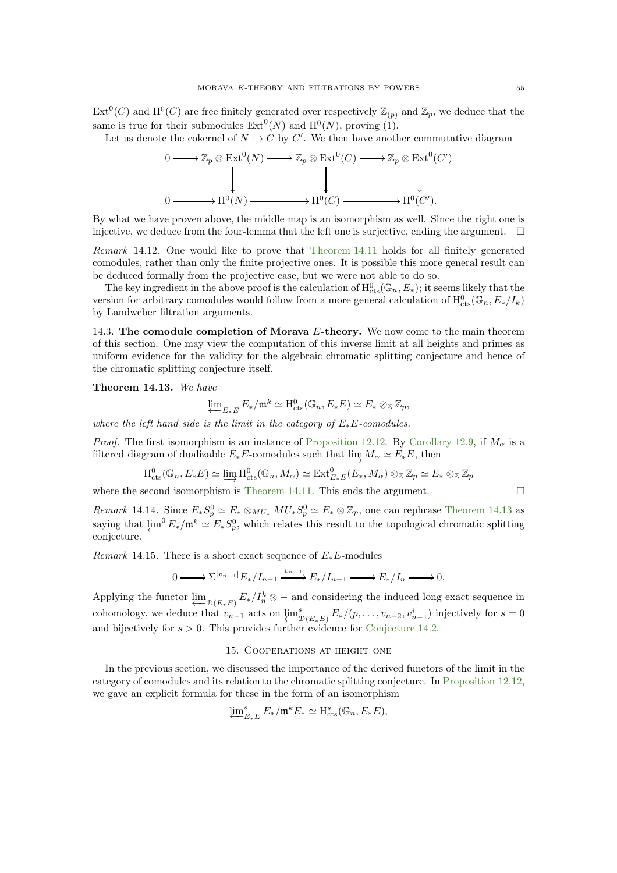$\mathrm{Ext}^0(C)$  and  $\mathrm{H}^0(C)$  are free finitely generated over respectively  $\mathbb{Z}_{(p)}$  and  $\mathbb{Z}_p$ , we deduce that the same is true for their submodules  $\text{Ext}^0(N)$  and  $\text{H}^0(N)$ , proving (1).

Let us denote the cokernel of  $N \hookrightarrow C$  by C'. We then have another commutative diagram



By what we have proven above, the middle map is an isomorphism as well. Since the right one is injective, we deduce from the four-lemma that the left one is surjective, ending the argument.  $\square$ 

Remark 14.12. One would like to prove that [Theorem 14.11](#page-53-1) holds for all finitely generated comodules, rather than only the finite projective ones. It is possible this more general result can be deduced formally from the projective case, but we were not able to do so.

The key ingredient in the above proof is the calculation of  $H^0_{\text{cts}}(\mathbb{G}_n, E_*)$ ; it seems likely that the version for arbitrary comodules would follow from a more general calculation of  $H^0_{\text{cts}}(\mathbb{G}_n, E_*/I_k)$ by Landweber filtration arguments.

14.3. The comodule completion of Morava E-theory. We now come to the main theorem of this section. One may view the computation of this inverse limit at all heights and primes as uniform evidence for the validity for the algebraic chromatic splitting conjecture and hence of the chromatic splitting conjecture itself.

<span id="page-54-1"></span>Theorem 14.13. We have

$$
\varprojlim_{E_*E} E_*/\mathfrak{m}^k \simeq \mathrm{H}^0_{\mathrm{cts}}(\mathbb{G}_n, E_*E) \simeq E_* \otimes_{\mathbb{Z}} \mathbb{Z}_p,
$$

where the left hand side is the limit in the category of  $E_*E$ -comodules.

*Proof.* The first isomorphism is an instance of [Proposition 12.12.](#page-47-0) By [Corollary 12.9,](#page-45-2) if  $M_{\alpha}$  is a filtered diagram of dualizable  $E_*E$ -comodules such that  $\varinjlim M_\alpha \simeq E_*E$ , then

$$
\mathrm{H}_{\mathrm{cts}}^0(\mathbb{G}_n, E_*E) \simeq \varinjlim \mathrm{H}_{\mathrm{cts}}^0(\mathbb{G}_n, M_\alpha) \simeq \mathrm{Ext}_{E_*E}^0(E_*, M_\alpha) \otimes_{\mathbb{Z}} \mathbb{Z}_p \simeq E_* \otimes_{\mathbb{Z}} \mathbb{Z}_p
$$

where the second isomorphism is [Theorem 14.11.](#page-53-1) This ends the argument.  $\square$ 

Remark 14.14. Since  $E_*S_p^0 \simeq E_* \otimes_{MU_*} MU_*S_p^0 \simeq E_* \otimes \mathbb{Z}_p$ , one can rephrase [Theorem 14.13](#page-54-1) as saying that  $\varprojlim^{0} E_*/\mathfrak{m}^k \simeq E_*S_p^0$ , which relates this result to the topological chromatic splitting conjecture.

Remark 14.15. There is a short exact sequence of  $E_*E$ -modules

$$
0 \longrightarrow \sum^{|v_{n-1}|} E_* / I_{n-1} \xrightarrow{v_{n-1}} E_* / I_{n-1} \longrightarrow E_* / I_n \longrightarrow 0.
$$

Applying the functor  $\underline{\lim}_{\mathcal{D}(E_*E)} E_*/I_n^k \otimes -$  and considering the induced long exact sequence in cohomology, we deduce that  $v_{n-1}$  acts on  $\underbrace{\lim}^s_{\mathcal{D}(E_*E)} E_*/(p,\ldots,v_{n-2},v_{n-1}^i)$  injectively for  $s=0$ and bijectively for  $s > 0$ . This provides further evidence for [Conjecture 14.2.](#page-51-3)

#### 15. Cooperations at height one

<span id="page-54-0"></span>In the previous section, we discussed the importance of the derived functors of the limit in the category of comodules and its relation to the chromatic splitting conjecture. In [Proposition 12.12,](#page-47-0) we gave an explicit formula for these in the form of an isomorphism

$$
\varprojlim_{E_*E}^s E_*/\mathfrak{m}^k E_* \simeq \mathrm{H}_{\mathrm{cts}}^s(\mathbb{G}_n, E_*E),
$$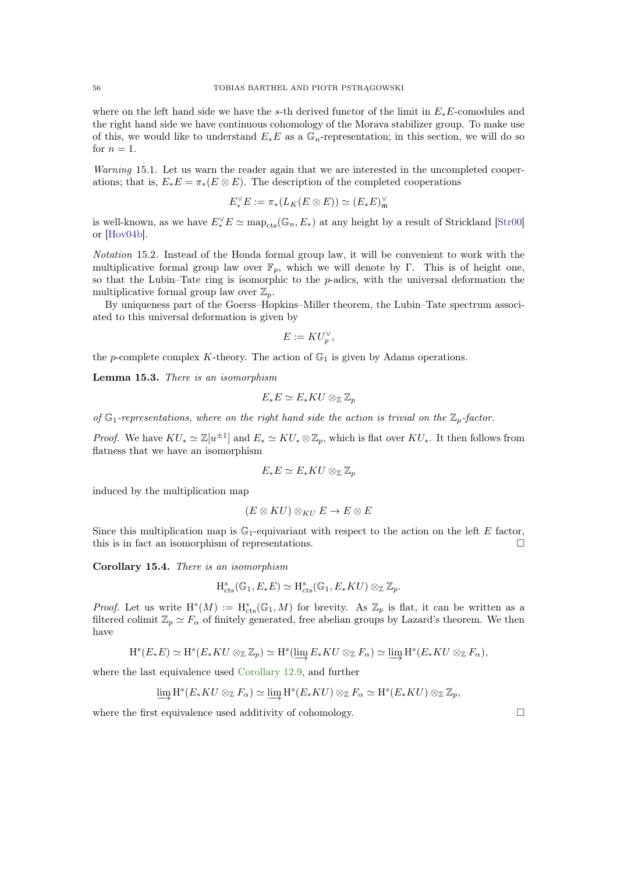<span id="page-55-1"></span>where on the left hand side we have the s-th derived functor of the limit in  $E_*E$ -comodules and the right hand side we have continuous cohomology of the Morava stabilizer group. To make use of this, we would like to understand  $E_*E$  as a  $\mathbb{G}_n$ -representation; in this section, we will do so for  $n = 1$ .

Warning 15.1. Let us warn the reader again that we are interested in the uncompleted cooperations; that is,  $E_*E = \pi_*(E \otimes E)$ . The description of the completed cooperations

$$
E_*^\vee E:=\pi_*(L_K(E\otimes E))\simeq (E_*E)^\vee_{\mathfrak m}
$$

is well-known, as we have  $E_*^{\vee} E \simeq \text{map}_{\text{cts}}(\mathbb{G}_n, E_*)$  at any height by a result of Strickland [\[Str00\]](#page-60-12) or [\[Hov04b\]](#page-59-27).

Notation 15.2. Instead of the Honda formal group law, it will be convenient to work with the multiplicative formal group law over  $\mathbb{F}_p$ , which we will denote by Γ. This is of height one, so that the Lubin–Tate ring is isomorphic to the p-adics, with the universal deformation the multiplicative formal group law over  $\mathbb{Z}_p$ .

By uniqueness part of the Goerss–Hopkins–Miller theorem, the Lubin–Tate spectrum associated to this universal deformation is given by

$$
E := KU_p^{\vee},
$$

the p-complete complex K-theory. The action of  $\mathbb{G}_1$  is given by Adams operations.

Lemma 15.3. There is an isomorphism

$$
E_*E \simeq E_*KU \otimes_{\mathbb{Z}} \mathbb{Z}_p
$$

of  $\mathbb{G}_1$ -representations, where on the right hand side the action is trivial on the  $\mathbb{Z}_p$ -factor.

*Proof.* We have  $KU_* \simeq \mathbb{Z}[u^{\pm 1}]$  and  $E_* \simeq KU_* \otimes \mathbb{Z}_p$ , which is flat over  $KU_*$ . It then follows from flatness that we have an isomorphism

$$
E_*E \simeq E_*KU \otimes_{\mathbb{Z}} \mathbb{Z}_p
$$

induced by the multiplication map

$$
(E \otimes KU) \otimes_{KU} E \to E \otimes E
$$

Since this multiplication map is  $\mathbb{G}_1$ -equivariant with respect to the action on the left E factor, this is in fact an isomorphism of representations.

<span id="page-55-0"></span>Corollary 15.4. There is an isomorphism

$$
H_{\mathrm{cts}}^s(\mathbb{G}_1, E_*E) \simeq H_{\mathrm{cts}}^s(\mathbb{G}_1, E_*KU) \otimes_{\mathbb{Z}} \mathbb{Z}_p.
$$

*Proof.* Let us write  $H^*(M) := H^*_{cts}(\mathbb{G}_1, M)$  for brevity. As  $\mathbb{Z}_p$  is flat, it can be written as a filtered colimit  $\mathbb{Z}_p \simeq F_\alpha$  of finitely generated, free abelian groups by Lazard's theorem. We then have

$$
\mathrm{H}^s(E_*E)\simeq \mathrm{H}^s(E_*KU\otimes_{\mathbb{Z}}\mathbb{Z}_p)\simeq \mathrm{H}^s(\underrightarrow{\lim}\,E_*KU\otimes_{\mathbb{Z}}F_\alpha)\simeq \underrightarrow{\lim}\,\mathrm{H}^s(E_*KU\otimes_{\mathbb{Z}}F_\alpha),
$$

where the last equivalence used [Corollary 12.9,](#page-45-2) and further

$$
\varinjlim \mathrm{H}^s(E_*KU \otimes_{\mathbb{Z}} F_\alpha) \simeq \varinjlim \mathrm{H}^s(E_*KU) \otimes_{\mathbb{Z}} F_\alpha \simeq \mathrm{H}^s(E_*KU) \otimes_{\mathbb{Z}} \mathbb{Z}_p,
$$

where the first equivalence used additivity of cohomology.  $\Box$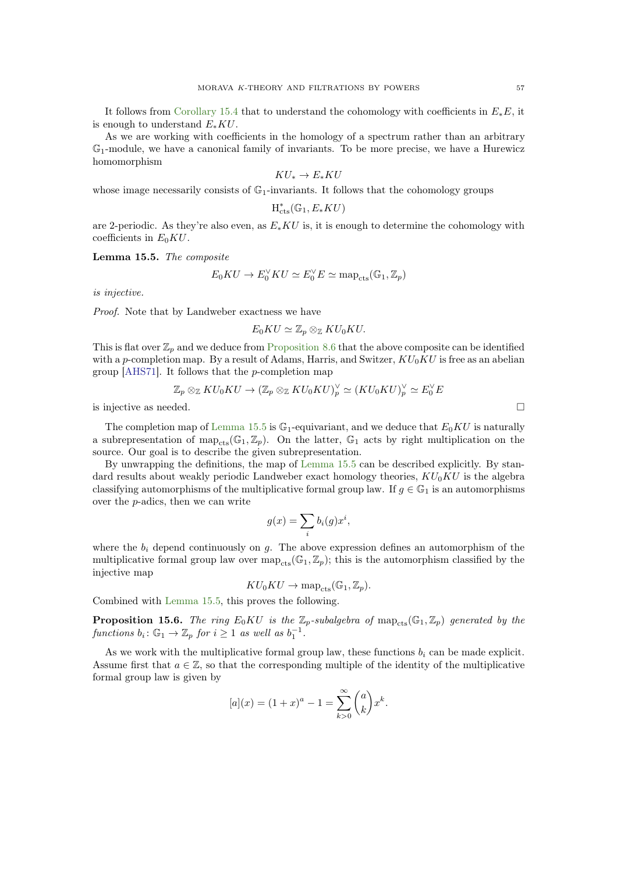<span id="page-56-2"></span>It follows from [Corollary 15.4](#page-55-0) that to understand the cohomology with coefficients in  $E_*E$ , it is enough to understand  $E_*KU$ .

As we are working with coefficients in the homology of a spectrum rather than an arbitrary G1-module, we have a canonical family of invariants. To be more precise, we have a Hurewicz homomorphism

$$
KU_* \to E_*KU
$$

whose image necessarily consists of  $\mathbb{G}_1$ -invariants. It follows that the cohomology groups

$$
\mathrm{H}_{\mathrm{cts}}^{\ast}(\mathbb{G}_1,\mathcal{E}_{\ast}KU)
$$

<span id="page-56-0"></span>are 2-periodic. As they're also even, as  $E_*KU$  is, it is enough to determine the cohomology with coefficients in  $E_0KU$ .

Lemma 15.5. The composite

$$
E_0KU \to E_0^{\vee} KU \simeq E_0^{\vee} E \simeq \text{map}_{\text{cts}}(\mathbb{G}_1, \mathbb{Z}_p)
$$

is injective.

Proof. Note that by Landweber exactness we have

$$
E_0KU \simeq \mathbb{Z}_p \otimes_{\mathbb{Z}} KU_0KU.
$$

This is flat over  $\mathbb{Z}_p$  and we deduce from [Proposition 8.6](#page-25-3) that the above composite can be identified with a p-completion map. By a result of Adams, Harris, and Switzer,  $KU_0KU$  is free as an abelian group [\[AHS71\]](#page-58-9). It follows that the p-completion map

$$
\mathbb{Z}_p\otimes_{\mathbb{Z}}KU_0KU\to (\mathbb{Z}_p\otimes_{\mathbb{Z}}KU_0KU)^\vee_p\simeq (KU_0KU)^\vee_p\simeq E_0^\vee E
$$

is injective as needed.  $\Box$ 

The completion map of [Lemma 15.5](#page-56-0) is  $\mathbb{G}_1$ -equivariant, and we deduce that  $E_0 K U$  is naturally a subrepresentation of map<sub>cts</sub>( $\mathbb{G}_1, \mathbb{Z}_p$ ). On the latter,  $\mathbb{G}_1$  acts by right multiplication on the source. Our goal is to describe the given subrepresentation.

By unwrapping the definitions, the map of [Lemma 15.5](#page-56-0) can be described explicitly. By standard results about weakly periodic Landweber exact homology theories,  $KU_0KU$  is the algebra classifying automorphisms of the multiplicative formal group law. If  $g \in \mathbb{G}_1$  is an automorphisms over the p-adics, then we can write

$$
g(x) = \sum_{i} b_i(g)x^i,
$$

where the  $b_i$  depend continuously on g. The above expression defines an automorphism of the multiplicative formal group law over  $map_{cts}(\mathbb{G}_1, \mathbb{Z}_p)$ ; this is the automorphism classified by the injective map

$$
KU_0KU \to \text{map}_{\text{cts}}(\mathbb{G}_1, \mathbb{Z}_p).
$$

<span id="page-56-1"></span>Combined with [Lemma 15.5,](#page-56-0) this proves the following.

**Proposition 15.6.** The ring  $E_0 K U$  is the  $\mathbb{Z}_p$ -subalgebra of  $map_{\text{cts}}(\mathbb{G}_1, \mathbb{Z}_p)$  generated by the functions  $b_i: \mathbb{G}_1 \to \mathbb{Z}_p$  for  $i \geq 1$  as well as  $b_1^{-1}$ .

As we work with the multiplicative formal group law, these functions  $b_i$  can be made explicit. Assume first that  $a \in \mathbb{Z}$ , so that the corresponding multiple of the identity of the multiplicative formal group law is given by

$$
[a](x) = (1+x)^a - 1 = \sum_{k>0}^{\infty} {a \choose k} x^k.
$$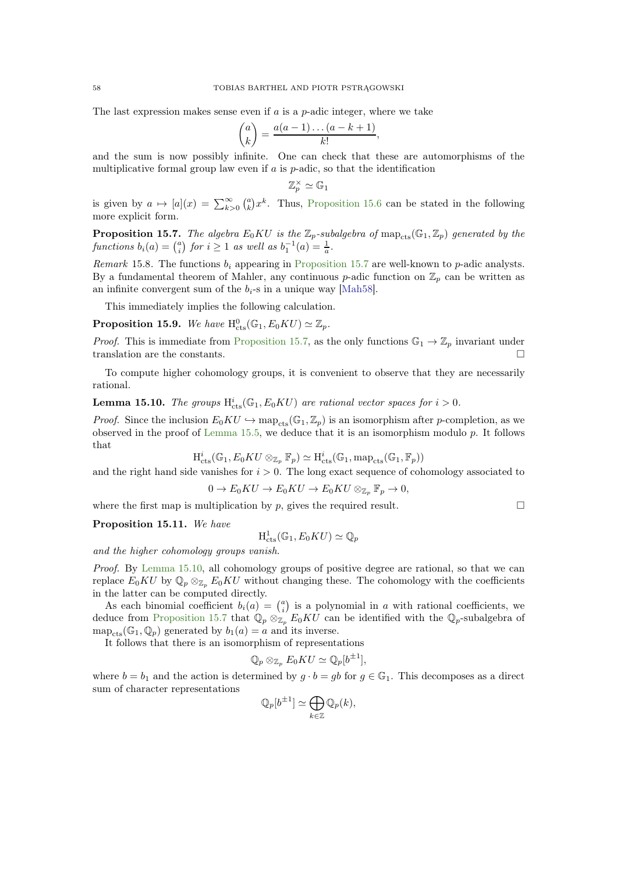<span id="page-57-4"></span>The last expression makes sense even if  $a$  is a  $p$ -adic integer, where we take

$$
\binom{a}{k} = \frac{a(a-1)\dots(a-k+1)}{k!},
$$

and the sum is now possibly infinite. One can check that these are automorphisms of the multiplicative formal group law even if a is  $p$ -adic, so that the identification

$$
\mathbb{Z}_p^\times \simeq \mathbb{G}_1
$$

<span id="page-57-0"></span>is given by  $a \mapsto [a](x) = \sum_{k>0}^{\infty} {a \choose k} x^k$ . Thus, [Proposition 15.6](#page-56-1) can be stated in the following more explicit form.

**Proposition 15.7.** The algebra  $E_0 K U$  is the  $\mathbb{Z}_p$ -subalgebra of  $\text{map}_{\text{cts}}(\mathbb{G}_1, \mathbb{Z}_p)$  generated by the functions  $b_i(a) = \binom{a}{i}$  for  $i \ge 1$  as well as  $b_1^{-1}(a) = \frac{1}{a}$ .

Remark 15.8. The functions  $b_i$  appearing in [Proposition 15.7](#page-57-0) are well-known to p-adic analysts. By a fundamental theorem of Mahler, any continuous p-adic function on  $\mathbb{Z}_p$  can be written as an infinite convergent sum of the  $b_i$ -s in a unique way [\[Mah58\]](#page-60-27).

<span id="page-57-2"></span>This immediately implies the following calculation.

**Proposition 15.9.** We have  $H_{\text{cts}}^{0}(\mathbb{G}_{1}, E_{0}KU) \simeq \mathbb{Z}_{p}$ .

*Proof.* This is immediate from [Proposition 15.7,](#page-57-0) as the only functions  $\mathbb{G}_1 \to \mathbb{Z}_p$  invariant under translation are the constants.

<span id="page-57-1"></span>To compute higher cohomology groups, it is convenient to observe that they are necessarily rational.

**Lemma 15.10.** The groups  $H_{cts}^{i}(\mathbb{G}_1, E_0 K U)$  are rational vector spaces for  $i > 0$ .

*Proof.* Since the inclusion  $E_0 K U \hookrightarrow \text{map}_{\text{cts}}(\mathbb{G}_1, \mathbb{Z}_p)$  is an isomorphism after p-completion, as we observed in the proof of [Lemma 15.5,](#page-56-0) we deduce that it is an isomorphism modulo p. It follows that

$$
\mathrm{H}_{\mathrm{cts}}^i(\mathbb{G}_1, E_0KU \otimes_{\mathbb{Z}_p} \mathbb{F}_p) \simeq \mathrm{H}_{\mathrm{cts}}^i(\mathbb{G}_1, \mathrm{map}_{\mathrm{cts}}(\mathbb{G}_1, \mathbb{F}_p))
$$

and the right hand side vanishes for  $i > 0$ . The long exact sequence of cohomology associated to

$$
0 \to E_0 K U \to E_0 K U \to E_0 K U \otimes_{\mathbb{Z}_p} \mathbb{F}_p \to 0,
$$

<span id="page-57-3"></span>where the first map is multiplication by p, gives the required result.  $\square$ 

Proposition 15.11. We have

$$
H^1_{\mathrm{cts}}(\mathbb{G}_1, E_0KU) \simeq \mathbb{Q}_p
$$

and the higher cohomology groups vanish.

Proof. By [Lemma 15.10,](#page-57-1) all cohomology groups of positive degree are rational, so that we can replace  $E_0KU$  by  $\mathbb{Q}_p\otimes_{\mathbb{Z}_p} E_0KU$  without changing these. The cohomology with the coefficients in the latter can be computed directly.

As each binomial coefficient  $b_i(a) = \binom{a}{i}$  is a polynomial in a with rational coefficients, we deduce from [Proposition 15.7](#page-57-0) that  $\mathbb{Q}_p \otimes_{\mathbb{Z}_p} E_0 K U$  can be identified with the  $\mathbb{Q}_p$ -subalgebra of  $map_{\text{cts}}(\mathbb{G}_1, \mathbb{Q}_n)$  generated by  $b_1(a) = a$  and its inverse.

It follows that there is an isomorphism of representations

$$
\mathbb{Q}_p \otimes_{\mathbb{Z}_p} E_0 K U \simeq \mathbb{Q}_p[b^{\pm 1}],
$$

where  $b = b_1$  and the action is determined by  $g \cdot b = gb$  for  $g \in \mathbb{G}_1$ . This decomposes as a direct sum of character representations

$$
\mathbb{Q}_p[b^{\pm 1}] \simeq \bigoplus_{k \in \mathbb{Z}} \mathbb{Q}_p(k),
$$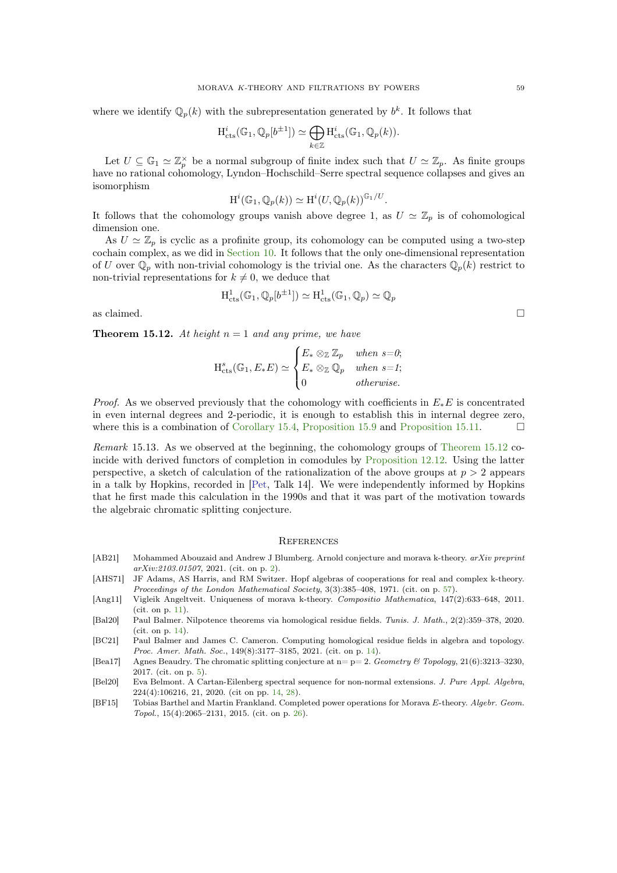<span id="page-58-10"></span>where we identify  $\mathbb{Q}_p(k)$  with the subrepresentation generated by  $b^k$ . It follows that

$$
H^i_{\mathrm{cts}}(\mathbb{G}_1, \mathbb{Q}_p[b^{\pm 1}]) \simeq \bigoplus_{k \in \mathbb{Z}} H^i_{\mathrm{cts}}(\mathbb{G}_1, \mathbb{Q}_p(k)).
$$

Let  $U \subseteq \mathbb{G}_1 \simeq \mathbb{Z}_p^{\times}$  be a normal subgroup of finite index such that  $U \simeq \mathbb{Z}_p$ . As finite groups have no rational cohomology, Lyndon–Hochschild–Serre spectral sequence collapses and gives an isomorphism

$$
H^i(\mathbb{G}_1, \mathbb{Q}_p(k)) \simeq H^i(U, \mathbb{Q}_p(k))^{\mathbb{G}_1/U}.
$$

It follows that the cohomology groups vanish above degree 1, as  $U \simeq \mathbb{Z}_p$  is of cohomological dimension one.

As  $U \simeq \mathbb{Z}_p$  is cyclic as a profinite group, its cohomology can be computed using a two-step cochain complex, as we did in [Section 10.](#page-35-0) It follows that the only one-dimensional representation of U over  $\mathbb{Q}_p$  with non-trivial cohomology is the trivial one. As the characters  $\mathbb{Q}_p(k)$  restrict to non-trivial representations for  $k \neq 0$ , we deduce that

$$
\mathrm{H}^1_{\mathrm{cts}}(\mathbb{G}_1, \mathbb{Q}_p[b^{\pm 1}]) \simeq \mathrm{H}^1_{\mathrm{cts}}(\mathbb{G}_1, \mathbb{Q}_p) \simeq \mathbb{Q}_p
$$

<span id="page-58-3"></span>as claimed.  $\Box$ 

**Theorem 15.12.** At height  $n = 1$  and any prime, we have

$$
H_{\text{cts}}^s(\mathbb{G}_1, E_*E) \simeq \begin{cases} E_* \otimes_{\mathbb{Z}} \mathbb{Z}_p & when s=0; \\ E_* \otimes_{\mathbb{Z}} \mathbb{Q}_p & when s=1; \\ 0 & otherwise. \end{cases}
$$

*Proof.* As we observed previously that the cohomology with coefficients in  $E_*E$  is concentrated in even internal degrees and 2-periodic, it is enough to establish this in internal degree zero, where this is a combination of [Corollary 15.4,](#page-55-0) [Proposition 15.9](#page-57-2) and [Proposition 15.11.](#page-57-3)  $\Box$ 

Remark 15.13. As we observed at the beginning, the cohomology groups of [Theorem 15.12](#page-58-3) coincide with derived functors of completion in comodules by [Proposition 12.12.](#page-47-0) Using the latter perspective, a sketch of calculation of the rationalization of the above groups at  $p > 2$  appears in a talk by Hopkins, recorded in [\[Pet,](#page-60-3) Talk 14]. We were independently informed by Hopkins that he first made this calculation in the 1990s and that it was part of the motivation towards the algebraic chromatic splitting conjecture.

## <span id="page-58-0"></span>**REFERENCES**

- <span id="page-58-1"></span>[AB21] Mohammed Abouzaid and Andrew J Blumberg. Arnold conjecture and morava k-theory. arXiv preprint arXiv:2103.01507, 2021. (cit. on p. [2\)](#page-1-2).
- <span id="page-58-9"></span>[AHS71] JF Adams, AS Harris, and RM Switzer. Hopf algebras of cooperations for real and complex k-theory. Proceedings of the London Mathematical Society, 3(3):385–408, 1971. (cit. on p. [57\)](#page-56-2).
- <span id="page-58-4"></span>[Ang11] Vigleik Angeltveit. Uniqueness of morava k-theory. Compositio Mathematica, 147(2):633–648, 2011. (cit. on p. [11\)](#page-10-1).
- <span id="page-58-5"></span>[Bal20] Paul Balmer. Nilpotence theorems via homological residue fields. Tunis. J. Math., 2(2):359–378, 2020. (cit. on p. [14\)](#page-13-0).
- <span id="page-58-6"></span>[BC21] Paul Balmer and James C. Cameron. Computing homological residue fields in algebra and topology. Proc. Amer. Math. Soc., 149(8):3177–3185, 2021. (cit. on p. [14\)](#page-13-0).
- <span id="page-58-2"></span>[Bea17] Agnes Beaudry. The chromatic splitting conjecture at  $n=p=2$ . Geometry & Topology, 21(6):3213-3230, 2017. (cit. on p. [5\)](#page-4-0).
- <span id="page-58-7"></span>[Bel20] Eva Belmont. A Cartan-Eilenberg spectral sequence for non-normal extensions. J. Pure Appl. Algebra, 224(4):106216, 21, 2020. (cit on pp. [14,](#page-13-0) [28\)](#page-27-3).
- <span id="page-58-8"></span>[BF15] Tobias Barthel and Martin Frankland. Completed power operations for Morava E-theory. Algebr. Geom. Topol., 15(4):2065–2131, 2015. (cit. on p. [26\)](#page-25-4).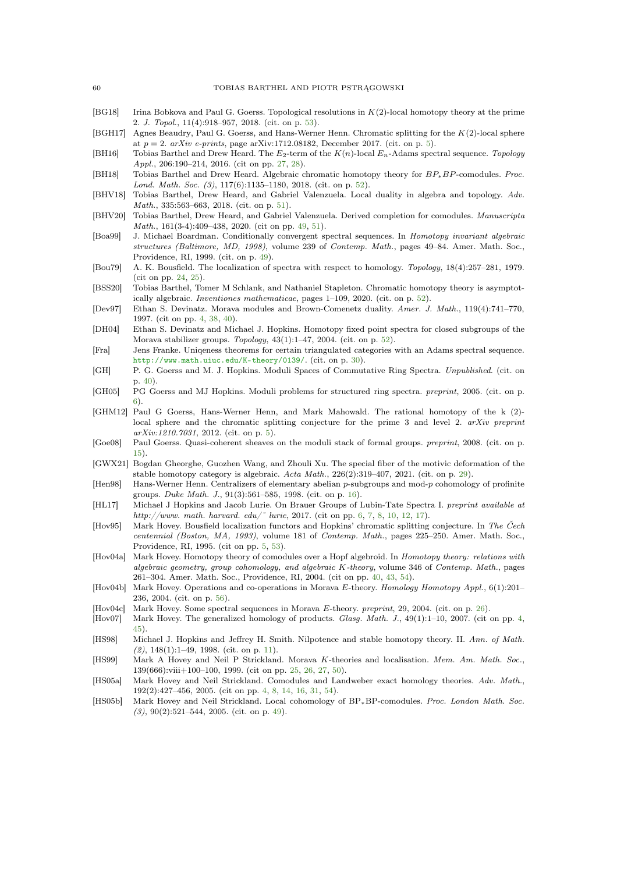- <span id="page-59-26"></span>[BG18] Irina Bobkova and Paul G. Goerss. Topological resolutions in K(2)-local homotopy theory at the prime 2. J. Topol., 11(4):918–957, 2018. (cit. on p. [53\)](#page-52-4).
- <span id="page-59-5"></span>[BGH17] Agnes Beaudry, Paul G. Goerss, and Hans-Werner Henn. Chromatic splitting for the K(2)-local sphere at  $p = 2$ . arXiv e-prints, page arXiv:1712.08182, December 2017. (cit. on p. [5\)](#page-4-0).
- <span id="page-59-14"></span>[BH16] Tobias Barthel and Drew Heard. The  $E_2$ -term of the  $K(n)$ -local  $E_n$ -Adams spectral sequence. Topology Appl., 206:190–214, 2016. (cit on pp. [27,](#page-26-1) [28\)](#page-27-3).
- <span id="page-59-24"></span>[BH18] Tobias Barthel and Drew Heard. Algebraic chromatic homotopy theory for BP∗BP-comodules. Proc. Lond. Math. Soc. (3), 117(6):1135–1180, 2018. (cit. on p. [52\)](#page-51-4).
- <span id="page-59-22"></span>[BHV18] Tobias Barthel, Drew Heard, and Gabriel Valenzuela. Local duality in algebra and topology. Adv. Math., 335:563–663, 2018. (cit. on p. [51\)](#page-50-4).
- <span id="page-59-19"></span>[BHV20] Tobias Barthel, Drew Heard, and Gabriel Valenzuela. Derived completion for comodules. Manuscripta Math., 161(3-4):409–438, 2020. (cit on pp. [49,](#page-48-2) [51\)](#page-50-4).
- <span id="page-59-21"></span>[Boa99] J. Michael Boardman. Conditionally convergent spectral sequences. In Homotopy invariant algebraic structures (Baltimore, MD, 1998), volume 239 of Contemp. Math., pages 49–84. Amer. Math. Soc., Providence, RI, 1999. (cit. on p. [49\)](#page-48-2).
- <span id="page-59-11"></span>[Bou79] A. K. Bousfield. The localization of spectra with respect to homology. Topology, 18(4):257–281, 1979. (cit on pp. [24,](#page-23-2) [25\)](#page-24-2).
- <span id="page-59-23"></span>[BSS20] Tobias Barthel, Tomer M Schlank, and Nathaniel Stapleton. Chromatic homotopy theory is asymptotically algebraic. Inventiones mathematicae, pages 1–109, 2020. (cit. on p. [52\)](#page-51-4).
- <span id="page-59-1"></span>[Dev97] Ethan S. Devinatz. Morava modules and Brown-Comenetz duality. Amer. J. Math., 119(4):741–770, 1997. (cit on pp. [4,](#page-3-1) [38,](#page-37-3) [40\)](#page-39-3).
- <span id="page-59-25"></span>[DH04] Ethan S. Devinatz and Michael J. Hopkins. Homotopy fixed point spectra for closed subgroups of the Morava stabilizer groups. Topology, 43(1):1–47, 2004. (cit. on p. [52\)](#page-51-4).
- <span id="page-59-16"></span>[Fra] Jens Franke. Uniqeness theorems for certain triangulated categories with an Adams spectral sequence. <http://www.math.uiuc.edu/K-theory/0139/>. (cit. on p. [30\)](#page-29-4).
- <span id="page-59-18"></span>[GH] P. G. Goerss and M. J. Hopkins. Moduli Spaces of Commutative Ring Spectra. Unpublished. (cit. on p. [40\)](#page-39-3).
- <span id="page-59-6"></span>[GH05] PG Goerss and MJ Hopkins. Moduli problems for structured ring spectra. preprint, 2005. (cit. on p. [6\)](#page-5-3).
- <span id="page-59-4"></span>[GHM12] Paul G Goerss, Hans-Werner Henn, and Mark Mahowald. The rational homotopy of the k (2) local sphere and the chromatic splitting conjecture for the prime 3 and level 2. arXiv preprint arXiv:1210.7031, 2012. (cit. on p. [5\)](#page-4-0).
- <span id="page-59-9"></span>[Goe08] Paul Goerss. Quasi-coherent sheaves on the moduli stack of formal groups. preprint, 2008. (cit. on p. [15\)](#page-14-4).
- <span id="page-59-15"></span>[GWX21] Bogdan Gheorghe, Guozhen Wang, and Zhouli Xu. The special fiber of the motivic deformation of the stable homotopy category is algebraic.  $Acta Math., 226(2):319-407, 2021.$  (cit. on p. [29\)](#page-28-1).
- <span id="page-59-10"></span>[Hen98] Hans-Werner Henn. Centralizers of elementary abelian p-subgroups and mod-p cohomology of profinite groups. Duke Math. J., 91(3):561–585, 1998. (cit. on p. [16\)](#page-15-2).
- <span id="page-59-7"></span>[HL17] Michael J Hopkins and Jacob Lurie. On Brauer Groups of Lubin-Tate Spectra I. preprint available at http://www. math. harvard. edu/~ lurie, 2017. (cit on pp. [6,](#page-5-3) [7,](#page-6-2) [8,](#page-7-3) [10,](#page-9-2) [12,](#page-11-4) [17\)](#page-16-2).
- <span id="page-59-3"></span>[Hov95] Mark Hovey. Bousfield localization functors and Hopkins' chromatic splitting conjecture. In The Čech centennial (Boston, MA, 1993), volume 181 of Contemp. Math., pages 225–250. Amer. Math. Soc., Providence, RI, 1995. (cit on pp. [5,](#page-4-0) [53\)](#page-52-4).
- <span id="page-59-17"></span>[Hov04a] Mark Hovey. Homotopy theory of comodules over a Hopf algebroid. In Homotopy theory: relations with algebraic geometry, group cohomology, and algebraic K-theory, volume 346 of Contemp. Math., pages 261–304. Amer. Math. Soc., Providence, RI, 2004. (cit on pp. [40,](#page-39-3) [43,](#page-42-1) [54\)](#page-53-2).
- <span id="page-59-27"></span>[Hov04b] Mark Hovey. Operations and co-operations in Morava E-theory. Homology Homotopy Appl., 6(1):201– 236, 2004. (cit. on p. [56\)](#page-55-1).
- <span id="page-59-13"></span>[Hov04c] Mark Hovey. Some spectral sequences in Morava E-theory. preprint, 29, 2004. (cit. on p. [26\)](#page-25-4).
- <span id="page-59-2"></span>[Hov07] Mark Hovey. The generalized homology of products. Glasg. Math. J., 49(1):1–10, 2007. (cit on pp. [4,](#page-3-1) [45\)](#page-44-2).
- <span id="page-59-8"></span>[HS98] Michael J. Hopkins and Jeffrey H. Smith. Nilpotence and stable homotopy theory. II. Ann. of Math.  $(2)$ , 148(1):1–49, 1998. (cit. on p. [11\)](#page-10-1).
- <span id="page-59-12"></span>[HS99] Mark A Hovey and Neil P Strickland. Morava K-theories and localisation. Mem. Am. Math. Soc., 139(666):viii+100–100, 1999. (cit on pp. [25,](#page-24-2) [26,](#page-25-4) [27,](#page-26-1) [50\)](#page-49-4).
- <span id="page-59-0"></span>[HS05a] Mark Hovey and Neil Strickland. Comodules and Landweber exact homology theories. Adv. Math., 192(2):427–456, 2005. (cit on pp. [4,](#page-3-1) [8,](#page-7-3) [14,](#page-13-0) [16,](#page-15-2) [31,](#page-30-1) [54\)](#page-53-2).
- <span id="page-59-20"></span>[HS05b] Mark Hovey and Neil Strickland. Local cohomology of  $BP_*BP$ -comodules. Proc. London Math. Soc. (3), 90(2):521–544, 2005. (cit. on p. [49\)](#page-48-2).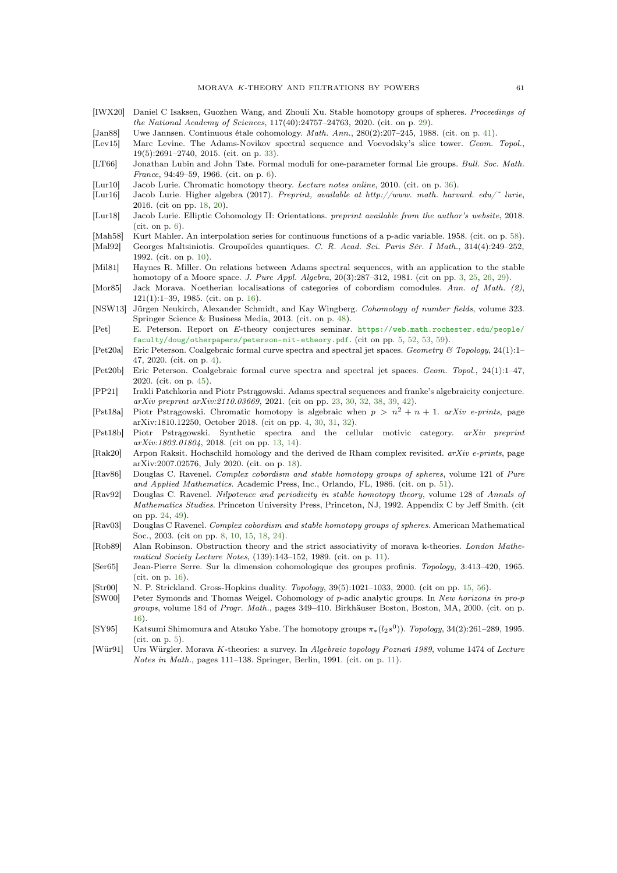- <span id="page-60-20"></span>[IWX20] Daniel C Isaksen, Guozhen Wang, and Zhouli Xu. Stable homotopy groups of spheres. Proceedings of the National Academy of Sciences, 117(40):24757–24763, 2020. (cit. on p. [29\)](#page-28-1).
- <span id="page-60-23"></span>[Jan88] Uwe Jannsen. Continuous étale cohomology. Math. Ann., 280(2):207–245, 1988. (cit. on p. [41\)](#page-40-3).
- <span id="page-60-21"></span>[Lev15] Marc Levine. The Adams-Novikov spectral sequence and Voevodsky's slice tower. Geom. Topol., 19(5):2691–2740, 2015. (cit. on p. [33\)](#page-32-1).
- <span id="page-60-5"></span>[LT66] Jonathan Lubin and John Tate. Formal moduli for one-parameter formal Lie groups. Bull. Soc. Math. France, 94:49–59, 1966. (cit. on p. [6\)](#page-5-3).
- <span id="page-60-22"></span>[Lur10] Jacob Lurie. Chromatic homotopy theory. Lecture notes online, 2010. (cit. on p. [36\)](#page-35-3).
- <span id="page-60-16"></span>[Lur16] Jacob Lurie. Higher algebra (2017). Preprint, available at http://www. math. harvard. edu/˜ lurie, 2016. (cit on pp. [18,](#page-17-1) [20\)](#page-19-2).
- <span id="page-60-6"></span>[Lur18] Jacob Lurie. Elliptic Cohomology II: Orientations. preprint available from the author's website, 2018. (cit. on p. [6\)](#page-5-3).
- <span id="page-60-27"></span>[Mah58] Kurt Mahler. An interpolation series for continuous functions of a p-adic variable. 1958. (cit. on p. [58\)](#page-57-4).
- <span id="page-60-8"></span>[Mal92] Georges Maltsiniotis. Groupoïdes quantiques. C. R. Acad. Sci. Paris Sér. I Math., 314(4):249–252, 1992. (cit. on p. [10\)](#page-9-2).
- <span id="page-60-0"></span>[Mil81] Haynes R. Miller. On relations between Adams spectral sequences, with an application to the stable homotopy of a Moore space. J. Pure Appl. Algebra, 20(3):287–312, 1981. (cit on pp. [3,](#page-2-0) [25,](#page-24-2) [26,](#page-25-4) [29\)](#page-28-1).
- <span id="page-60-13"></span>[Mor85] Jack Morava. Noetherian localisations of categories of cobordism comodules. Ann. of Math. (2), 121(1):1–39, 1985. (cit. on p. [16\)](#page-15-2).
- <span id="page-60-25"></span>[NSW13] Jürgen Neukirch, Alexander Schmidt, and Kay Wingberg. Cohomology of number fields, volume 323. Springer Science & Business Media, 2013. (cit. on p. [48\)](#page-47-2).
- <span id="page-60-3"></span>[Pet] E. Peterson. Report on E-theory conjectures seminar. [https://web.math.rochester.edu/people/](https://web.math.rochester.edu/people/faculty/doug/otherpapers/peterson-mit-etheory.pdf) [faculty/doug/otherpapers/peterson-mit-etheory.pdf](https://web.math.rochester.edu/people/faculty/doug/otherpapers/peterson-mit-etheory.pdf). (cit on pp. [5,](#page-4-0) [52,](#page-51-4) [53,](#page-52-4) [59\)](#page-58-10).
- <span id="page-60-2"></span>[Pet20a] Eric Peterson. Coalgebraic formal curve spectra and spectral jet spaces. Geometry & Topology, 24(1):1– 47, 2020. (cit. on p. [4\)](#page-3-1).
- <span id="page-60-24"></span>[Pet20b] Eric Peterson. Coalgebraic formal curve spectra and spectral jet spaces. Geom. Topol., 24(1):1–47, 2020. (cit. on p. [45\)](#page-44-2).
- <span id="page-60-18"></span>[PP21] Irakli Patchkoria and Piotr Pstrągowski. Adams spectral sequences and franke's algebraicity conjecture. arXiv preprint arXiv:2110.03669, 2021. (cit on pp. [23,](#page-22-5) [30,](#page-29-4) [32,](#page-31-2) [38,](#page-37-3) [39,](#page-38-1) [42\)](#page-41-2).
- <span id="page-60-1"></span>[Pst18a] Piotr Pstrągowski. Chromatic homotopy is algebraic when  $p > n^2 + n + 1$ . arXiv e-prints, page arXiv:1810.12250, October 2018. (cit on pp. [4,](#page-3-1) [30,](#page-29-4) [31,](#page-30-1) [32\)](#page-31-2).
- <span id="page-60-11"></span>[Pst18b] Piotr Pstrągowski. Synthetic spectra and the cellular motivic category. arXiv preprint  $arXiv:1803.01804$ , 2018. (cit on pp. [13,](#page-12-2) [14\)](#page-13-0).
- <span id="page-60-17"></span>[Rak20] Arpon Raksit. Hochschild homology and the derived de Rham complex revisited. arXiv e-prints, page arXiv:2007.02576, July 2020. (cit. on p. [18\)](#page-17-1).
- <span id="page-60-26"></span>[Rav86] Douglas C. Ravenel. Complex cobordism and stable homotopy groups of spheres, volume 121 of Pure and Applied Mathematics. Academic Press, Inc., Orlando, FL, 1986. (cit. on p. [51\)](#page-50-4).
- <span id="page-60-19"></span>[Rav92] Douglas C. Ravenel. Nilpotence and periodicity in stable homotopy theory, volume 128 of Annals of Mathematics Studies. Princeton University Press, Princeton, NJ, 1992. Appendix C by Jeff Smith. (cit on pp. [24,](#page-23-2) [49\)](#page-48-2).
- <span id="page-60-7"></span>[Rav03] Douglas C Ravenel. Complex cobordism and stable homotopy groups of spheres. American Mathematical Soc., 2003. (cit on pp. [8,](#page-7-3) [10,](#page-9-2) [15,](#page-14-4) [18,](#page-17-1) [24\)](#page-23-2).
- <span id="page-60-9"></span>[Rob89] Alan Robinson. Obstruction theory and the strict associativity of morava k-theories. London Mathematical Society Lecture Notes, (139):143–152, 1989. (cit. on p. [11\)](#page-10-1).
- <span id="page-60-15"></span>[Ser65] Jean-Pierre Serre. Sur la dimension cohomologique des groupes profinis. Topology, 3:413–420, 1965. (cit. on p. [16\)](#page-15-2).
- <span id="page-60-12"></span>[Str00] N. P. Strickland. Gross-Hopkins duality. Topology, 39(5):1021–1033, 2000. (cit on pp. [15,](#page-14-4) [56\)](#page-55-1).
- <span id="page-60-14"></span>[SW00] Peter Symonds and Thomas Weigel. Cohomology of p-adic analytic groups. In New horizons in pro-p groups, volume 184 of Progr. Math., pages 349–410. Birkhäuser Boston, Boston, MA, 2000. (cit. on p. [16\)](#page-15-2).
- <span id="page-60-4"></span>[SY95] Katsumi Shimomura and Atsuko Yabe. The homotopy groups  $\pi_*(l_2s^0)$ ). Topology, 34(2):261–289, 1995. (cit. on p. [5\)](#page-4-0).
- <span id="page-60-10"></span>[Wür91] Urs Würgler. Morava K-theories: a survey. In Algebraic topology Poznań 1989, volume 1474 of Lecture Notes in Math., pages 111–138. Springer, Berlin, 1991. (cit. on p. [11\)](#page-10-1).